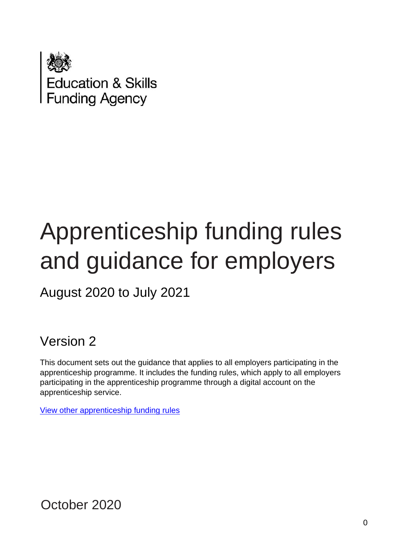

# Apprenticeship funding rules and guidance for employers

August 2020 to July 2021

Version 2

This document sets out the guidance that applies to all employers participating in the apprenticeship programme. It includes the funding rules, which apply to all employers participating in the apprenticeship programme through a digital account on the apprenticeship service.

[View other apprenticeship funding rules](https://www.gov.uk/guidance/apprenticeship-funding-rules)

October 2020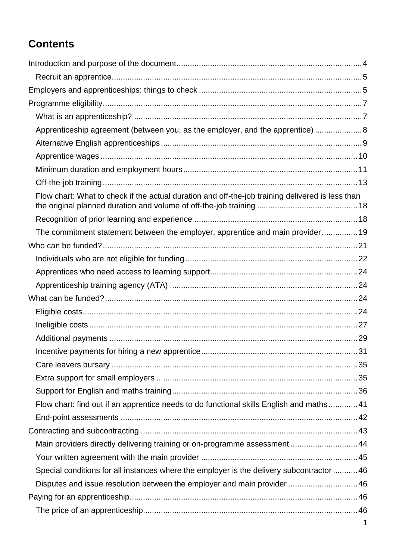# **Contents**

| Apprenticeship agreement (between you, as the employer, and the apprentice) 8                    |  |
|--------------------------------------------------------------------------------------------------|--|
|                                                                                                  |  |
|                                                                                                  |  |
|                                                                                                  |  |
|                                                                                                  |  |
| Flow chart: What to check if the actual duration and off-the-job training delivered is less than |  |
|                                                                                                  |  |
| The commitment statement between the employer, apprentice and main provider 19                   |  |
|                                                                                                  |  |
|                                                                                                  |  |
|                                                                                                  |  |
|                                                                                                  |  |
|                                                                                                  |  |
|                                                                                                  |  |
|                                                                                                  |  |
|                                                                                                  |  |
|                                                                                                  |  |
|                                                                                                  |  |
|                                                                                                  |  |
|                                                                                                  |  |
| Flow chart: find out if an apprentice needs to do functional skills English and maths41          |  |
|                                                                                                  |  |
|                                                                                                  |  |
| Main providers directly delivering training or on-programme assessment  44                       |  |
|                                                                                                  |  |
| Special conditions for all instances where the employer is the delivery subcontractor  46        |  |
| Disputes and issue resolution between the employer and main provider  46                         |  |
|                                                                                                  |  |
|                                                                                                  |  |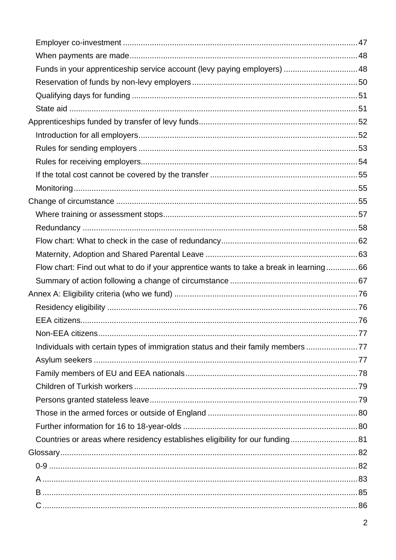| Funds in your apprenticeship service account (levy paying employers)  48               |  |
|----------------------------------------------------------------------------------------|--|
|                                                                                        |  |
|                                                                                        |  |
|                                                                                        |  |
|                                                                                        |  |
|                                                                                        |  |
|                                                                                        |  |
|                                                                                        |  |
|                                                                                        |  |
|                                                                                        |  |
|                                                                                        |  |
|                                                                                        |  |
|                                                                                        |  |
|                                                                                        |  |
|                                                                                        |  |
| Flow chart: Find out what to do if your apprentice wants to take a break in learning66 |  |
|                                                                                        |  |
|                                                                                        |  |
|                                                                                        |  |
|                                                                                        |  |
|                                                                                        |  |
|                                                                                        |  |
| Individuals with certain types of immigration status and their family members 77       |  |
|                                                                                        |  |
|                                                                                        |  |
|                                                                                        |  |
|                                                                                        |  |
|                                                                                        |  |
|                                                                                        |  |
|                                                                                        |  |
| Countries or areas where residency establishes eligibility for our funding 81          |  |
|                                                                                        |  |
|                                                                                        |  |
|                                                                                        |  |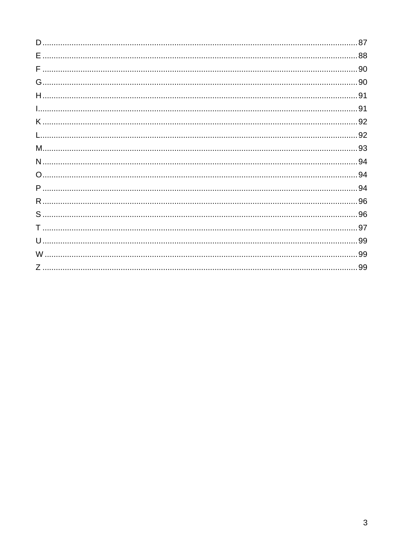| .99 |
|-----|
|     |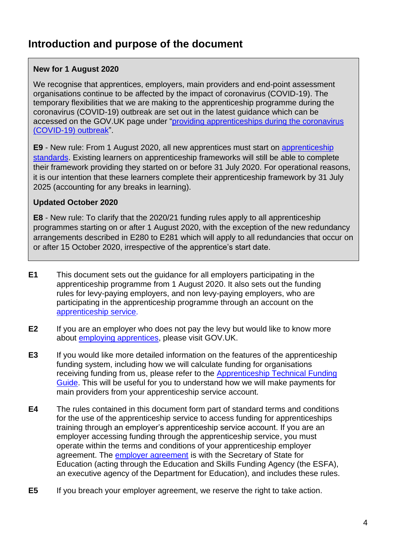# <span id="page-4-0"></span>**Introduction and purpose of the document**

#### **New for 1 August 2020**

We recognise that apprentices, employers, main providers and end-point assessment organisations continue to be affected by the impact of coronavirus (COVID-19). The temporary flexibilities that we are making to the apprenticeship programme during the coronavirus (COVID-19) outbreak are set out in the latest guidance which can be accessed on the GOV.UK page under "[providing apprenticeships during the coronavirus](https://www.gov.uk/government/publications/coronavirus-covid-19-apprenticeship-programme-response/coronavirus-covid-19-guidance-for-apprentices-employers-training-providers-end-point-assessment-organisations-and-external-quality-assurance-pro)  [\(COVID-19\) outbreak](https://www.gov.uk/government/publications/coronavirus-covid-19-apprenticeship-programme-response/coronavirus-covid-19-guidance-for-apprentices-employers-training-providers-end-point-assessment-organisations-and-external-quality-assurance-pro)".

**[E9](#page-5-2)** - New rule: From 1 August 2020, all new apprentices must start on [apprenticeship](https://www.instituteforapprenticeships.org/apprenticeship-standards/)  [standards.](https://www.instituteforapprenticeships.org/apprenticeship-standards/) Existing learners on apprenticeship frameworks will still be able to complete their framework providing they started on or before 31 July 2020. For operational reasons, it is our intention that these learners complete their apprenticeship framework by 31 July 2025 (accounting for any breaks in learning).

#### **Updated October 2020**

**[E8](#page-5-3)** - New rule: To clarify that the 2020/21 funding rules apply to all apprenticeship programmes starting on or after 1 August 2020, with the exception of the new redundancy arrangements described in [E280](#page-60-0) to [E281](#page-61-0) which will apply to all redundancies that occur on or after 15 October 2020, irrespective of the apprentice's start date.

- **E1** This document sets out the guidance for all employers participating in the apprenticeship programme from 1 August 2020. It also sets out the funding rules for levy-paying employers, and non levy-paying employers, who are participating in the apprenticeship programme through an account on the [apprenticeship service](https://manage-apprenticeships.service.gov.uk/).
- **E2** If you are an employer who does not pay the levy but would like to know more about [employing apprentices,](https://www.gov.uk/take-on-an-apprentice/get-funding) please visit [GOV.UK.](https://www.gov.uk/take-on-an-apprentice)
- **E3** If you would like more detailed information on the features of the apprenticeship funding system, including how we will calculate funding for organisations receiving funding from us, please refer to the [Apprenticeship Technical Funding](https://www.gov.uk/government/publications/apprenticeship-technical-funding-guide)  [Guide.](https://www.gov.uk/government/publications/apprenticeship-technical-funding-guide) This will be useful for you to understand how we will make payments for main providers from your apprenticeship service account.
- **E4** The rules contained in this document form part of standard terms and conditions for the use of the apprenticeship service to access funding for apprenticeships training through an employer's apprenticeship service account. If you are an employer accessing funding through the apprenticeship service, you must operate within the terms and conditions of your apprenticeship employer agreement. The [employer agreement](https://www.gov.uk/government/publications/apprenticeship-funding-legal-agreement-to-enable-spending) is with the Secretary of State for Education (acting through the Education and Skills Funding Agency (the ESFA), an executive agency of the Department for Education), and includes these rules.
- **E5** If you breach your employer agreement, we reserve the right to take action.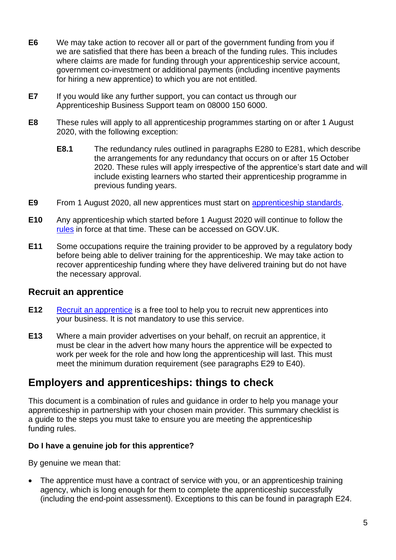- **E6** We may take action to recover all or part of the government funding from you if we are satisfied that there has been a breach of the funding rules. This includes where claims are made for funding through your apprenticeship service account, government co-investment or additional payments (including incentive payments for hiring a new apprentice) to which you are not entitled.
- **E7** If you would like any further support, you can contact us through our Apprenticeship Business Support team on 08000 150 6000.
- <span id="page-5-3"></span>**E8** These rules will apply to all apprenticeship programmes starting on or after 1 August 2020, with the following exception:
	- **E8.1** The redundancy rules outlined in paragraphs [E280](#page-60-0) to [E281,](#page-61-0) which describe the arrangements for any redundancy that occurs on or after 15 October 2020. These rules will apply irrespective of the apprentice's start date and will include existing learners who started their apprenticeship programme in previous funding years.
- <span id="page-5-2"></span>**E9** From 1 August 2020, all new apprentices must start on [apprenticeship](https://www.instituteforapprenticeships.org/apprenticeship-standards/) standards.
- **E10** Any apprenticeship which started before 1 August 2020 will continue to follow the [rules](https://www.gov.uk/guidance/apprenticeship-funding-rules) in force at that time. These can be accessed on GOV.UK.
- **E11** Some occupations require the training provider to be approved by a regulatory body before being able to deliver training for the apprenticeship. We may take action to recover apprenticeship funding where they have delivered training but do not have the necessary approval.

#### <span id="page-5-0"></span>**Recruit an apprentice**

- **E12** [Recruit an apprentice](https://www.gov.uk/recruit-apprentice) is a free tool to help you to recruit new apprentices into your business. It is not mandatory to use this service.
- **E13** Where a main provider advertises on your behalf, on recruit an apprentice, it must be clear in the advert how many hours the apprentice will be expected to work per week for the role and how long the apprenticeship will last. This must meet the minimum duration requirement (see paragraphs [E29](#page-11-1) to [E40\)](#page-13-1).

## <span id="page-5-1"></span>**Employers and apprenticeships: things to check**

This document is a combination of rules and guidance in order to help you manage your apprenticeship in partnership with your chosen main provider. This summary checklist is a guide to the steps you must take to ensure you are meeting the apprenticeship funding rules.

#### **Do I have a genuine job for this apprentice?**

By genuine we mean that:

• The apprentice must have a contract of service with you, or an apprenticeship training agency, which is long enough for them to complete the apprenticeship successfully (including the end-point assessment). Exceptions to this can be found in paragraph [E24.](#page-9-1)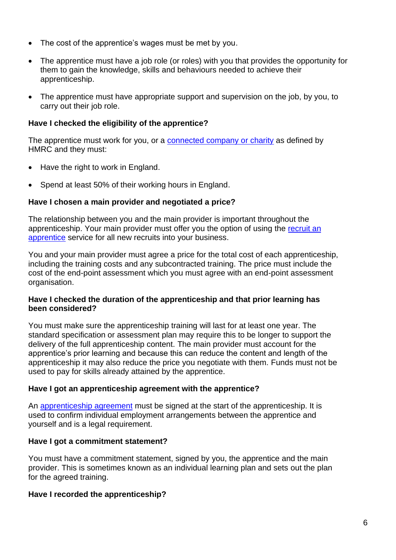- The cost of the apprentice's wages must be met by you.
- The apprentice must have a job role (or roles) with you that provides the opportunity for them to gain the knowledge, skills and behaviours needed to achieve their apprenticeship.
- The apprentice must have appropriate support and supervision on the job, by you, to carry out their job role.

#### **Have I checked the eligibility of the apprentice?**

The apprentice must work for you, or a [connected company or](https://www.gov.uk/hmrc-internal-manuals/apprenticeship-levy/alm11000) charity as defined by HMRC and they must:

- Have the right to work in England.
- Spend at least 50% of their working hours in England.

#### **Have I chosen a main provider and negotiated a price?**

The relationship between you and the main provider is important throughout the apprenticeship. Your main provider must offer you the option of using the [recruit an](https://www.gov.uk/recruit-apprentice)  [apprentice](https://www.gov.uk/recruit-apprentice) service for all new recruits into your business.

You and your main provider must agree a price for the total cost of each apprenticeship, including the training costs and any subcontracted training. The price must include the cost of the end-point assessment which you must agree with an end-point assessment organisation.

#### **Have I checked the duration of the apprenticeship and that prior learning has been considered?**

You must make sure the apprenticeship training will last for at least one year. The standard specification or assessment plan may require this to be longer to support the delivery of the full apprenticeship content. The main provider must account for the apprentice's prior learning and because this can reduce the content and length of the apprenticeship it may also reduce the price you negotiate with them. Funds must not be used to pay for skills already attained by the apprentice.

#### **Have I got an apprenticeship agreement with the apprentice?**

An [apprenticeship agreement](https://www.gov.uk/take-on-an-apprentice/apprenticeship-agreement) must be signed at the start of the apprenticeship. It is used to confirm individual employment arrangements between the apprentice and yourself and is a legal requirement.

#### **Have I got a commitment statement?**

You must have a commitment statement, signed by you, the apprentice and the main provider. This is sometimes known as an individual learning plan and sets out the plan for the agreed training.

#### **Have I recorded the apprenticeship?**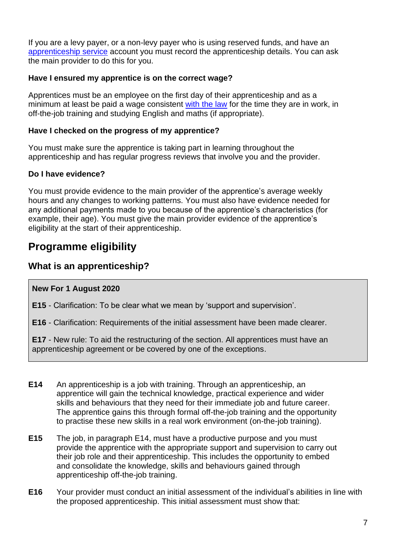If you are a levy payer, or a non-levy payer who is using reserved funds, and have an [apprenticeship service](https://manage-apprenticeships.service.gov.uk/) account you must record the apprenticeship details. You can ask the main provider to do this for you.

#### **Have I ensured my apprentice is on the correct wage?**

Apprentices must be an employee on the first day of their apprenticeship and as a minimum at least be paid a wage consistent [with the law](https://www.gov.uk/national-minimum-wage-rates) for the time they are in work, in off-the-job training and studying English and maths (if appropriate).

#### **Have I checked on the progress of my apprentice?**

You must make sure the apprentice is taking part in learning throughout the apprenticeship and has regular progress reviews that involve you and the provider.

#### **Do I have evidence?**

You must provide evidence to the main provider of the apprentice's average weekly hours and any changes to working patterns. You must also have evidence needed for any additional payments made to you because of the apprentice's characteristics (for example, their age). You must give the main provider evidence of the apprentice's eligibility at the start of their apprenticeship.

# <span id="page-7-0"></span>**Programme eligibility**

## <span id="page-7-1"></span>**What is an apprenticeship?**

#### **New For 1 August 2020**

**[E15](#page-7-2)** - Clarification: To be clear what we mean by 'support and supervision'.

**[E16](#page-7-3)** - Clarification: Requirements of the initial assessment have been made clearer.

**[E17](#page-8-1)** - New rule: To aid the restructuring of the section. All apprentices must have an apprenticeship agreement or be covered by one of the exceptions.

- <span id="page-7-4"></span>**E14** An apprenticeship is a job with training. Through an apprenticeship, an apprentice will gain the technical knowledge, practical experience and wider skills and behaviours that they need for their immediate job and future career. The apprentice gains this through formal off-the-job training and the opportunity to practise these new skills in a real work environment (on-the-job training).
- <span id="page-7-2"></span>**E15** The job, in paragraph [E14,](#page-7-4) must have a productive purpose and you must provide the apprentice with the appropriate support and supervision to carry out their job role and their apprenticeship. This includes the opportunity to embed and consolidate the knowledge, skills and behaviours gained through apprenticeship off-the-job training.
- <span id="page-7-3"></span>**E16** Your provider must conduct an initial assessment of the individual's abilities in line with the proposed apprenticeship. This initial assessment must show that: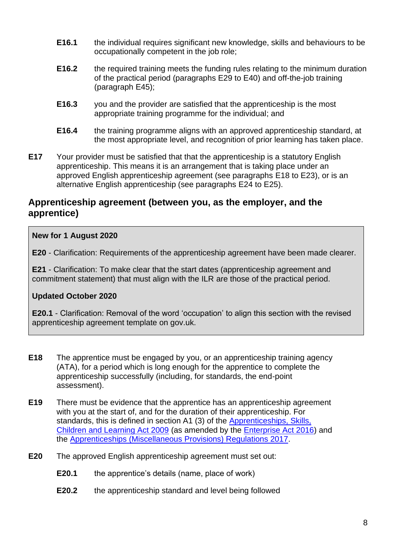- **E16.1** the individual requires significant new knowledge, skills and behaviours to be occupationally competent in the job role;
- **E16.2** the required training meets the funding rules relating to the minimum duration of the practical period (paragraphs [E29](#page-11-1) to [E40\)](#page-13-1) and off-the-job training (paragraph [E45\)](#page-14-0);
- **E16.3** you and the provider are satisfied that the apprenticeship is the most appropriate training programme for the individual; and
- **E16.4** the training programme aligns with an approved apprenticeship standard, at the most appropriate level, and recognition of prior learning has taken place.
- <span id="page-8-1"></span>**E17** Your provider must be satisfied that that the apprenticeship is a statutory English apprenticeship. This means it is an arrangement that is taking place under an approved English apprenticeship agreement (see paragraphs [E18](#page-8-2) to [E23\)](#page-9-2), or is an alternative English apprenticeship (see paragraphs [E24](#page-9-1) to [E25\)](#page-10-1).

#### <span id="page-8-0"></span>**Apprenticeship agreement (between you, as the employer, and the apprentice)**

#### **New for 1 August 2020**

**[E20](#page-8-3)** - Clarification: Requirements of the apprenticeship agreement have been made clearer.

**[E21](#page-9-3)** - Clarification: To make clear that the start dates (apprenticeship agreement and commitment statement) that must align with the ILR are those of the practical period.

#### **Updated October 2020**

**[E20.1](#page-8-4)** - Clarification: Removal of the word 'occupation' to align this section with the revised apprenticeship agreement template on gov.uk.

- <span id="page-8-2"></span>**E18** The apprentice must be engaged by you, or an apprenticeship training agency (ATA), for a period which is long enough for the apprentice to complete the apprenticeship successfully (including, for standards, the end-point assessment).
- <span id="page-8-5"></span>**E19** There must be evidence that the apprentice has an apprenticeship agreement with you at the start of, and for the duration of their apprenticeship. For standards, this is defined in section A1 (3) of the [Apprenticeships, Skills,](https://www.legislation.gov.uk/ukpga/2009/22/contents)  [Children and Learning Act 2009](https://www.legislation.gov.uk/ukpga/2009/22/contents) (as amended by the [Enterprise Act 2016\)](http://www.legislation.gov.uk/ukpga/2016/12/part/4/enacted) and the [Apprenticeships \(Miscellaneous Provisions\) Regulations 2017.](http://www.legislation.gov.uk/uksi/2017/1310/contents/made)
- <span id="page-8-4"></span><span id="page-8-3"></span>**E20** The approved English apprenticeship agreement must set out:
	- **E20.1** the apprentice's details (name, place of work)
	- **E20.2** the apprenticeship standard and level being followed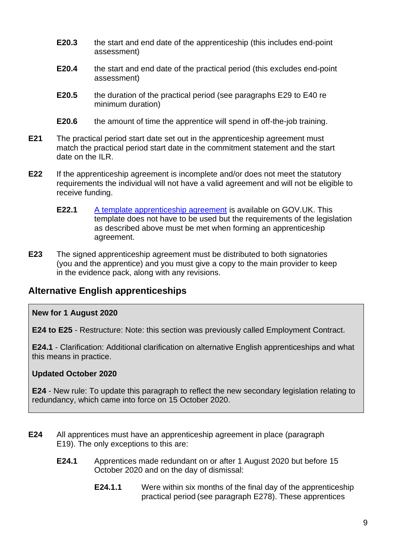- **E20.3** the start and end date of the apprenticeship (this includes end-point assessment)
- **E20.4** the start and end date of the practical period (this excludes end-point assessment)
- **E20.5** the duration of the practical period (see paragraphs [E29](#page-11-1) to [E40](#page-13-1) re minimum duration)
- **E20.6** the amount of time the apprentice will spend in off-the-job training.
- <span id="page-9-3"></span>**E21** The practical period start date set out in the apprenticeship agreement must match the practical period start date in the commitment statement and the start date on the ILR.
- **E22** If the apprenticeship agreement is incomplete and/or does not meet the statutory requirements the individual will not have a valid agreement and will not be eligible to receive funding.
	- **E22.1** [A template apprenticeship agreement](https://www.gov.uk/take-on-an-apprentice/apprenticeship-agreement) is available on GOV.UK. This template does not have to be used but the requirements of the legislation as described above must be met when forming an apprenticeship agreement.
- <span id="page-9-2"></span>**E23** The signed apprenticeship agreement must be distributed to both signatories (you and the apprentice) and you must give a copy to the main provider to keep in the evidence pack, along with any revisions.

## <span id="page-9-0"></span>**Alternative English apprenticeships**

#### **New for 1 August 2020**

**[E24](#page-9-1) to [E25](#page-10-1)** - Restructure: Note: this section was previously called Employment Contract.

**[E24.1](#page-9-4)** - Clarification: Additional clarification on alternative English apprenticeships and what this means in practice.

#### **Updated October 2020**

**[E24](#page-9-1)** - New rule: To update this paragraph to reflect the new secondary legislation relating to redundancy, which came into force on 15 October 2020.

- <span id="page-9-4"></span><span id="page-9-1"></span>**E24** All apprentices must have an apprenticeship agreement in place (paragraph [E19\)](#page-8-5). The only exceptions to this are:
	- **E24.1** Apprentices made redundant on or after 1 August 2020 but before 15 October 2020 and on the day of dismissal:
		- **E24.1.1** Were within six months of the final day of the apprenticeship practical period (see paragraph [E278\)](#page-58-1). These apprentices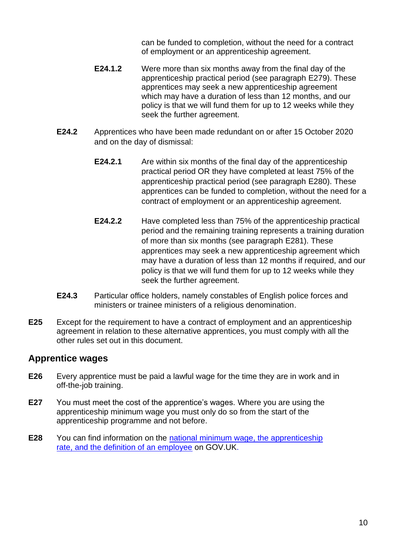can be funded to completion, without the need for a contract of employment or an apprenticeship agreement.

- **E24.1.2** Were more than six months away from the final day of the apprenticeship practical period (see paragraph [E279\)](#page-59-0). These apprentices may seek a new apprenticeship agreement which may have a duration of less than 12 months, and our policy is that we will fund them for up to 12 weeks while they seek the further agreement.
- **E24.2** Apprentices who have been made redundant on or after 15 October 2020 and on the day of dismissal:
	- **E24.2.1** Are within six months of the final day of the apprenticeship practical period OR they have completed at least 75% of the apprenticeship practical period (see paragraph [E280\)](#page-60-0). These apprentices can be funded to completion, without the need for a contract of employment or an apprenticeship agreement.
	- **E24.2.2** Have completed less than 75% of the apprenticeship practical period and the remaining training represents a training duration of more than six months (see paragraph [E281\)](#page-61-0). These apprentices may seek a new apprenticeship agreement which may have a duration of less than 12 months if required, and our policy is that we will fund them for up to 12 weeks while they seek the further agreement.
- **E24.3** Particular office holders, namely constables of English police forces and ministers or trainee ministers of a religious denomination.
- <span id="page-10-1"></span>**E25** Except for the requirement to have a contract of employment and an apprenticeship agreement in relation to these alternative apprentices, you must comply with all the other rules set out in this document.

## <span id="page-10-0"></span>**Apprentice wages**

- **E26** Every apprentice must be paid a lawful wage for the time they are in work and in off-the-job training.
- **E27** You must meet the cost of the apprentice's wages. Where you are using the apprenticeship minimum wage you must only do so from the start of the apprenticeship programme and not before.
- **E28** You can find information on the [national minimum wage, the apprenticeship](https://www.gov.uk/national-minimum-wage-rates)  [rate, and the definition of an employee](https://www.gov.uk/national-minimum-wage-rates) on GOV.UK.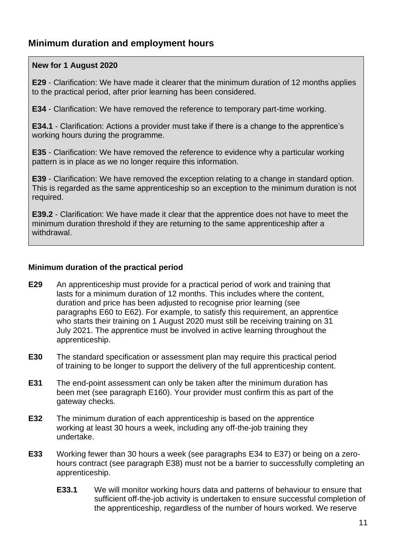## <span id="page-11-0"></span>**Minimum duration and employment hours**

#### **New for 1 August 2020**

**[E29](#page-11-1)** - Clarification: We have made it clearer that the minimum duration of 12 months applies to the practical period, after prior learning has been considered.

**[E34](#page-12-0)** - Clarification: We have removed the reference to temporary part-time working.

**[E34.1](#page-12-1)** - Clarification: Actions a provider must take if there is a change to the apprentice's working hours during the programme.

**[E35](#page-12-2)** - Clarification: We have removed the reference to evidence why a particular working pattern is in place as we no longer require this information.

**[E39](#page-12-3)** - Clarification: We have removed the exception relating to a change in standard option. This is regarded as the same apprenticeship so an exception to the minimum duration is not required.

**[E39.2](#page-13-2)** - Clarification: We have made it clear that the apprentice does not have to meet the minimum duration threshold if they are returning to the same apprenticeship after a withdrawal.

#### **Minimum duration of the practical period**

- <span id="page-11-1"></span>**E29** An apprenticeship must provide for a practical period of work and training that lasts for a minimum duration of 12 months. This includes where the content, duration and price has been adjusted to recognise prior learning (see paragraphs [E60](#page-18-2) to [E62\)](#page-18-3). For example, to satisfy this requirement, an apprentice who starts their training on 1 August 2020 must still be receiving training on 31 July 2021. The apprentice must be involved in active learning throughout the apprenticeship.
- **E30** The standard specification or assessment plan may require this practical period of training to be longer to support the delivery of the full apprenticeship content.
- **E31** The end-point assessment can only be taken after the minimum duration has been met (see paragraph [E160\)](#page-42-1). Your provider must confirm this as part of the gateway checks.
- **E32** The minimum duration of each apprenticeship is based on the apprentice working at least 30 hours a week, including any off-the-job training they undertake.
- **E33** Working fewer than 30 hours a week (see paragraphs [E34](#page-12-0) to [E37\)](#page-12-4) or being on a zerohours contract (see paragraph [E38\)](#page-12-5) must not be a barrier to successfully completing an apprenticeship.
	- **E33.1** We will monitor working hours data and patterns of behaviour to ensure that sufficient off-the-job activity is undertaken to ensure successful completion of the apprenticeship, regardless of the number of hours worked. We reserve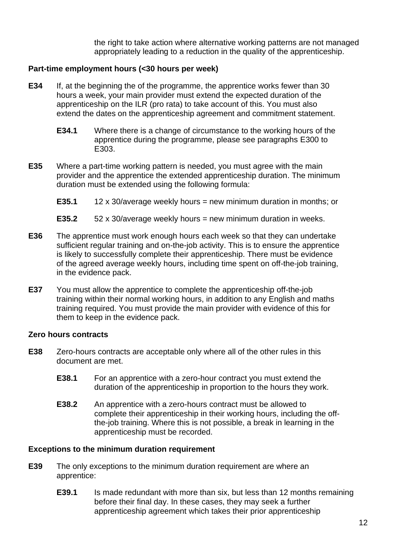the right to take action where alternative working patterns are not managed appropriately leading to a reduction in the quality of the apprenticeship.

#### **Part-time employment hours (<30 hours per week)**

- <span id="page-12-0"></span>**E34** If, at the beginning the of the programme, the apprentice works fewer than 30 hours a week, your main provider must extend the expected duration of the apprenticeship on the ILR (pro rata) to take account of this. You must also extend the dates on the apprenticeship agreement and commitment statement.
	- **E34.1** Where there is a change of circumstance to the working hours of the apprentice during the programme, please see paragraphs [E300](#page-69-0) to [E303.](#page-69-1)
- <span id="page-12-2"></span><span id="page-12-1"></span>**E35** Where a part-time working pattern is needed, you must agree with the main provider and the apprentice the extended apprenticeship duration. The minimum duration must be extended using the following formula:
	- **E35.1** 12 x 30/average weekly hours = new minimum duration in months; or
	- **E35.2** 52 x 30/average weekly hours = new minimum duration in weeks.
- **E36** The apprentice must work enough hours each week so that they can undertake sufficient regular training and on-the-job activity. This is to ensure the apprentice is likely to successfully complete their apprenticeship. There must be evidence of the agreed average weekly hours, including time spent on off-the-job training, in the evidence pack.
- <span id="page-12-4"></span>**E37** You must allow the apprentice to complete the apprenticeship off-the-job training within their normal working hours, in addition to any English and maths training required. You must provide the main provider with evidence of this for them to keep in the evidence pack.

#### **Zero hours contracts**

- <span id="page-12-5"></span>**E38** Zero-hours contracts are acceptable only where all of the other rules in this document are met.
	- **E38.1** For an apprentice with a zero-hour contract you must extend the duration of the apprenticeship in proportion to the hours they work.
	- **E38.2** An apprentice with a zero-hours contract must be allowed to complete their apprenticeship in their working hours, including the offthe-job training. Where this is not possible, a break in learning in the apprenticeship must be recorded.

#### **Exceptions to the minimum duration requirement**

- <span id="page-12-3"></span>**E39** The only exceptions to the minimum duration requirement are where an apprentice:
	- **E39.1** Is made redundant with more than six, but less than 12 months remaining before their final day. In these cases, they may seek a further apprenticeship agreement which takes their prior apprenticeship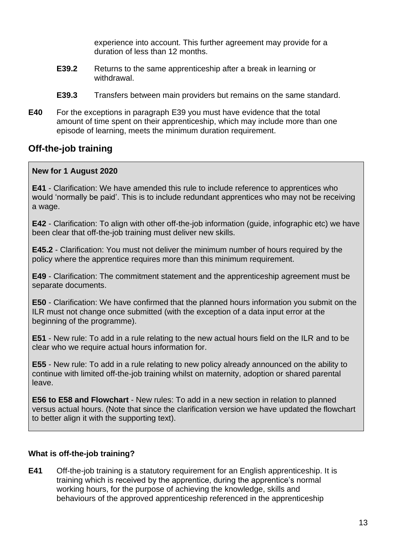experience into account. This further agreement may provide for a duration of less than 12 months.

- <span id="page-13-2"></span>**E39.2** Returns to the same apprenticeship after a break in learning or withdrawal.
- **E39.3** Transfers between main providers but remains on the same standard.
- <span id="page-13-1"></span>**E40** For the exceptions in paragraph [E39](#page-12-3) you must have evidence that the total amount of time spent on their apprenticeship, which may include more than one episode of learning, meets the minimum duration requirement.

## <span id="page-13-0"></span>**Off-the-job training**

#### **New for 1 August 2020**

**[E41](#page-13-3)** - Clarification: We have amended this rule to include reference to apprentices who would 'normally be paid'. This is to include redundant apprentices who may not be receiving a wage.

**[E42](#page-14-1)** - Clarification: To align with other off-the-job information (guide, infographic etc) we have been clear that off-the-job training must deliver new skills.

**[E45.2](#page-14-2)** - Clarification: You must not deliver the minimum number of hours required by the policy where the apprentice requires more than this minimum requirement.

**[E49](#page-15-0)** - Clarification: The commitment statement and the apprenticeship agreement must be separate documents.

**[E50](#page-15-1)** - Clarification: We have confirmed that the planned hours information you submit on the ILR must not change once submitted (with the exception of a data input error at the beginning of the programme).

**[E51](#page-15-2)** - New rule: To add in a rule relating to the new actual hours field on the ILR and to be clear who we require actual hours information for.

**[E55](#page-16-0)** - New rule: To add in a rule relating to new policy already announced on the ability to continue with limited off-the-job training whilst on maternity, adoption or shared parental leave.

**[E56](#page-16-1) to [E58](#page-17-0) and Flowchart** - New rules: To add in a new section in relation to planned versus actual hours. (Note that since the clarification version we have updated the flowchart to better align it with the supporting text).

#### **What is off-the-job training?**

<span id="page-13-3"></span>**E41** Off-the-job training is a statutory requirement for an English apprenticeship. It is training which is received by the apprentice, during the apprentice's normal working hours, for the purpose of achieving the knowledge, skills and behaviours of the approved apprenticeship referenced in the apprenticeship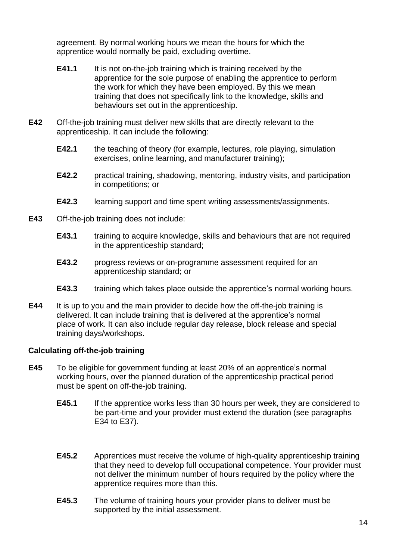agreement. By normal working hours we mean the hours for which the apprentice would normally be paid, excluding overtime.

- **E41.1** It is not on-the-job training which is training received by the apprentice for the sole purpose of enabling the apprentice to perform the work for which they have been employed. By this we mean training that does not specifically link to the knowledge, skills and behaviours set out in the apprenticeship.
- <span id="page-14-1"></span>**E42** Off-the-job training must deliver new skills that are directly relevant to the apprenticeship. It can include the following:
	- **E42.1** the teaching of theory (for example, lectures, role playing, simulation exercises, online learning, and manufacturer training);
	- **E42.2** practical training, shadowing, mentoring, industry visits, and participation in competitions; or
	- **E42.3** learning support and time spent writing assessments/assignments.
- <span id="page-14-3"></span>**E43** Off-the-job training does not include:
	- **E43.1** training to acquire knowledge, skills and behaviours that are not required in the apprenticeship standard;
	- **E43.2** progress reviews or on-programme assessment required for an apprenticeship standard; or
	- **E43.3** training which takes place outside the apprentice's normal working hours.
- **E44** It is up to you and the main provider to decide how the off-the-job training is delivered. It can include training that is delivered at the apprentice's normal place of work. It can also include regular day release, block release and special training days/workshops.

#### **Calculating off-the-job training**

- <span id="page-14-2"></span><span id="page-14-0"></span>**E45** To be eligible for government funding at least 20% of an apprentice's normal working hours, over the planned duration of the apprenticeship practical period must be spent on off-the-job training.
	- **E45.1** If the apprentice works less than 30 hours per week, they are considered to be part-time and your provider must extend the duration (see paragraphs [E34](#page-12-0) to [E37\)](#page-12-4).
	- **E45.2** Apprentices must receive the volume of high-quality apprenticeship training that they need to develop full occupational competence. Your provider must not deliver the minimum number of hours required by the policy where the apprentice requires more than this.
	- **E45.3** The volume of training hours your provider plans to deliver must be supported by the initial assessment.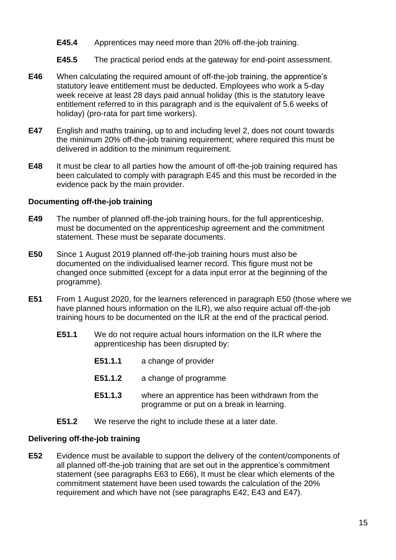- **E45.4** Apprentices may need more than 20% off-the-job training.
- **E45.5** The practical period ends at the gateway for end-point assessment.
- **E46** When calculating the required amount of off-the-job training, the apprentice's statutory leave entitlement must be deducted. Employees who work a 5-day week receive at least 28 days paid annual holiday (this is the statutory leave entitlement referred to in this paragraph and is the equivalent of 5.6 weeks of holiday) (pro-rata for part time workers).
- <span id="page-15-3"></span>**E47** English and maths training, up to and including level 2, does not count towards the minimum 20% off-the-job training requirement; where required this must be delivered in addition to the minimum requirement.
- **E48** It must be clear to all parties how the amount of off-the-job training required has been calculated to comply with paragraph [E45](#page-14-0) and this must be recorded in the evidence pack by the main provider.

#### **Documenting off-the-job training**

- <span id="page-15-0"></span>**E49** The number of planned off-the-job training hours, for the full apprenticeship, must be documented on the apprenticeship agreement and the commitment statement. These must be separate documents.
- <span id="page-15-1"></span>**E50** Since 1 August 2019 planned off-the-job training hours must also be documented on the individualised learner record. This figure must not be changed once submitted (except for a data input error at the beginning of the programme).
- <span id="page-15-2"></span>**E51** From 1 August 2020, for the learners referenced in paragraph [E50](#page-15-1) (those where we have planned hours information on the ILR), we also require actual off-the-job training hours to be documented on the ILR at the end of the practical period.
	- **E51.1** We do not require actual hours information on the ILR where the apprenticeship has been disrupted by:
		- **E51.1.1** a change of provider
		- **E51.1.2** a change of programme
		- **E51.1.3** where an apprentice has been withdrawn from the programme or put on a break in learning.
	- **E51.2** We reserve the right to include these at a later date.

#### **Delivering off-the-job training**

**E52** Evidence must be available to support the delivery of the content/components of all planned off-the-job training that are set out in the apprentice's commitment statement (see paragraphs [E63](#page-19-1) to [E66\)](#page-20-0), It must be clear which elements of the commitment statement have been used towards the calculation of the 20% requirement and which have not (see paragraphs [E42,](#page-14-1) [E43](#page-14-3) and [E47\)](#page-15-3).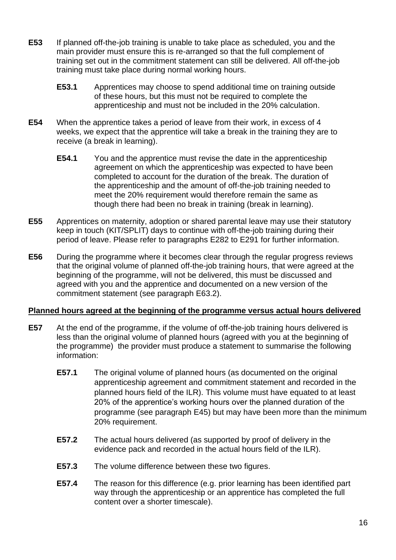- **E53** If planned off-the-job training is unable to take place as scheduled, you and the main provider must ensure this is re-arranged so that the full complement of training set out in the commitment statement can still be delivered. All off-the-job training must take place during normal working hours.
	- **E53.1** Apprentices may choose to spend additional time on training outside of these hours, but this must not be required to complete the apprenticeship and must not be included in the 20% calculation.
- **E54** When the apprentice takes a period of leave from their work, in excess of 4 weeks, we expect that the apprentice will take a break in the training they are to receive (a break in learning).
	- **E54.1** You and the apprentice must revise the date in the apprenticeship agreement on which the apprenticeship was expected to have been completed to account for the duration of the break. The duration of the apprenticeship and the amount of off-the-job training needed to meet the 20% requirement would therefore remain the same as though there had been no break in training (break in learning).
- <span id="page-16-0"></span>**E55** Apprentices on maternity, adoption or shared parental leave may use their statutory keep in touch (KIT/SPLIT) days to continue with off-the-job training during their period of leave. Please refer to paragraphs [E282](#page-63-1) to [E291](#page-64-0) for further information.
- <span id="page-16-1"></span>**E56** During the programme where it becomes clear through the regular progress reviews that the original volume of planned off-the-job training hours, that were agreed at the beginning of the programme, will not be delivered, this must be discussed and agreed with you and the apprentice and documented on a new version of the commitment statement (see paragraph [E63.2\)](#page-19-2).

#### **Planned hours agreed at the beginning of the programme versus actual hours delivered**

- **E57** At the end of the programme, if the volume of off-the-job training hours delivered is less than the original volume of planned hours (agreed with you at the beginning of the programme) the provider must produce a statement to summarise the following information:
	- **E57.1** The original volume of planned hours (as documented on the original apprenticeship agreement and commitment statement and recorded in the planned hours field of the ILR). This volume must have equated to at least 20% of the apprentice's working hours over the planned duration of the programme (see paragraph [E45\)](#page-14-0) but may have been more than the minimum 20% requirement.
	- **E57.2** The actual hours delivered (as supported by proof of delivery in the evidence pack and recorded in the actual hours field of the ILR).
	- **E57.3** The volume difference between these two figures.
	- **E57.4** The reason for this difference (e.g. prior learning has been identified part way through the apprenticeship or an apprentice has completed the full content over a shorter timescale).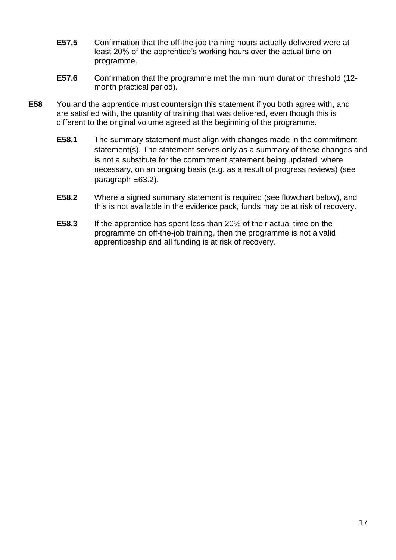- **E57.5** Confirmation that the off-the-job training hours actually delivered were at least 20% of the apprentice's working hours over the actual time on programme.
- **E57.6** Confirmation that the programme met the minimum duration threshold (12 month practical period).
- <span id="page-17-0"></span>**E58** You and the apprentice must countersign this statement if you both agree with, and are satisfied with, the quantity of training that was delivered, even though this is different to the original volume agreed at the beginning of the programme.
	- **E58.1** The summary statement must align with changes made in the commitment statement(s). The statement serves only as a summary of these changes and is not a substitute for the commitment statement being updated, where necessary, on an ongoing basis (e.g. as a result of progress reviews) (see paragraph [E63.2\)](#page-19-2).
	- **E58.2** Where a signed summary statement is required (see flowchart below), and this is not available in the evidence pack, funds may be at risk of recovery.
	- **E58.3** If the apprentice has spent less than 20% of their actual time on the programme on off-the-job training, then the programme is not a valid apprenticeship and all funding is at risk of recovery.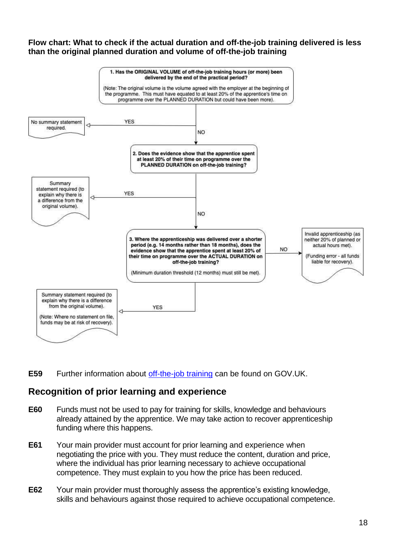#### <span id="page-18-0"></span>**Flow chart: What to check if the actual duration and off-the-job training delivered is less than the original planned duration and volume of off-the-job training**



**E59** Further information about [off-the-job training](https://www.gov.uk/government/publications/apprenticeships-off-the-job-training) can be found on GOV.UK.

## <span id="page-18-1"></span>**Recognition of prior learning and experience**

- <span id="page-18-2"></span>**E60** Funds must not be used to pay for training for skills, knowledge and behaviours already attained by the apprentice. We may take action to recover apprenticeship funding where this happens.
- **E61** Your main provider must account for prior learning and experience when negotiating the price with you. They must reduce the content, duration and price, where the individual has prior learning necessary to achieve occupational competence. They must explain to you how the price has been reduced.
- <span id="page-18-3"></span>**E62** Your main provider must thoroughly assess the apprentice's existing knowledge, skills and behaviours against those required to achieve occupational competence.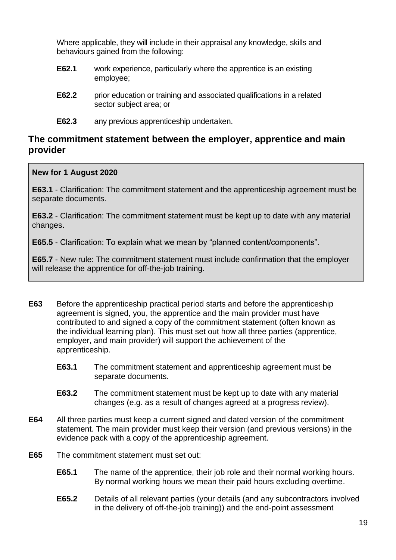Where applicable, they will include in their appraisal any knowledge, skills and behaviours gained from the following:

- **E62.1** work experience, particularly where the apprentice is an existing employee;
- **E62.2** prior education or training and associated qualifications in a related sector subject area; or
- **E62.3** any previous apprenticeship undertaken.

## <span id="page-19-0"></span>**The commitment statement between the employer, apprentice and main provider**

#### **New for 1 August 2020**

**[E63.1](#page-19-3)** - Clarification: The commitment statement and the apprenticeship agreement must be separate documents.

**[E63.2](#page-19-2)** - Clarification: The commitment statement must be kept up to date with any material changes.

**[E65.5](#page-20-1)** - Clarification: To explain what we mean by "planned content/components".

**[E65.7](#page-20-2)** - New rule: The commitment statement must include confirmation that the employer will release the apprentice for off-the-job training.

- <span id="page-19-1"></span>**E63** Before the apprenticeship practical period starts and before the apprenticeship agreement is signed, you, the apprentice and the main provider must have contributed to and signed a copy of the commitment statement (often known as the individual learning plan). This must set out how all three parties (apprentice, employer, and main provider) will support the achievement of the apprenticeship.
	- **E63.1** The commitment statement and apprenticeship agreement must be separate documents.
	- **E63.2** The commitment statement must be kept up to date with any material changes (e.g. as a result of changes agreed at a progress review).
- <span id="page-19-3"></span><span id="page-19-2"></span>**E64** All three parties must keep a current signed and dated version of the commitment statement. The main provider must keep their version (and previous versions) in the evidence pack with a copy of the apprenticeship agreement.
- **E65** The commitment statement must set out:
	- **E65.1** The name of the apprentice, their job role and their normal working hours. By normal working hours we mean their paid hours excluding overtime.
	- **E65.2** Details of all relevant parties (your details (and any subcontractors involved in the delivery of off-the-job training)) and the end-point assessment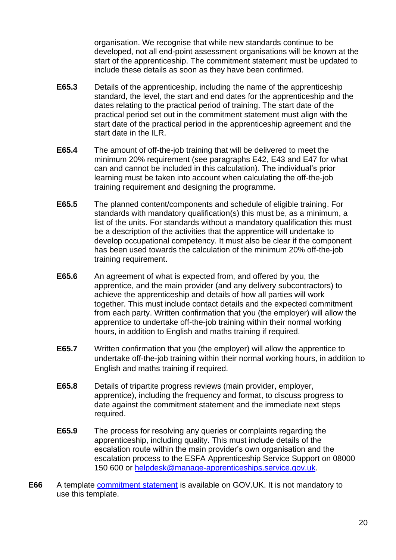organisation. We recognise that while new standards continue to be developed, not all end-point assessment organisations will be known at the start of the apprenticeship. The commitment statement must be updated to include these details as soon as they have been confirmed.

- **E65.3** Details of the apprenticeship, including the name of the apprenticeship standard, the level, the start and end dates for the apprenticeship and the dates relating to the practical period of training. The start date of the practical period set out in the commitment statement must align with the start date of the practical period in the apprenticeship agreement and the start date in the ILR.
- **E65.4** The amount of off-the-job training that will be delivered to meet the minimum 20% requirement (see paragraphs [E42,](#page-14-1) [E43](#page-14-3) and [E47](#page-15-3) for what can and cannot be included in this calculation). The individual's prior learning must be taken into account when calculating the off-the-job training requirement and designing the programme.
- <span id="page-20-1"></span>**E65.5** The planned content/components and schedule of eligible training. For standards with mandatory qualification(s) this must be, as a minimum, a list of the units. For standards without a mandatory qualification this must be a description of the activities that the apprentice will undertake to develop occupational competency. It must also be clear if the component has been used towards the calculation of the minimum 20% off-the-job training requirement.
- **E65.6** An agreement of what is expected from, and offered by you, the apprentice, and the main provider (and any delivery subcontractors) to achieve the apprenticeship and details of how all parties will work together. This must include contact details and the expected commitment from each party. Written confirmation that you (the employer) will allow the apprentice to undertake off-the-job training within their normal working hours, in addition to English and maths training if required.
- <span id="page-20-2"></span>**E65.7** Written confirmation that you (the employer) will allow the apprentice to undertake off-the-job training within their normal working hours, in addition to English and maths training if required.
- **E65.8** Details of tripartite progress reviews (main provider, employer, apprentice), including the frequency and format, to discuss progress to date against the commitment statement and the immediate next steps required.
- **E65.9** The process for resolving any queries or complaints regarding the apprenticeship, including quality. This must include details of the escalation route within the main provider's own organisation and the escalation process to the ESFA Apprenticeship Service Support on 08000 150 600 or [helpdesk@manage-apprenticeships.service.gov.uk.](mailto:helpdesk@manage-apprenticeships.service.gov.uk)
- <span id="page-20-0"></span>**E66** A template [commitment statement](https://www.gov.uk/government/publications/apprenticeships-off-the-job-training) is available on GOV.UK. It is not mandatory to use this template.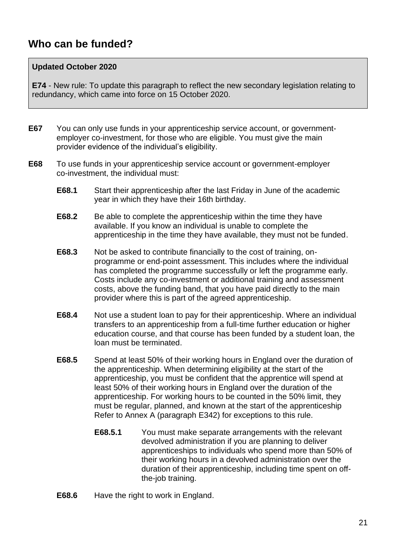# <span id="page-21-0"></span>**Who can be funded?**

#### **Updated October 2020**

**[E74](#page-22-1)** - New rule: To update this paragraph to reflect the new secondary legislation relating to redundancy, which came into force on 15 October 2020.

- **E67** You can only use funds in your apprenticeship service account, or governmentemployer co-investment, for those who are eligible. You must give the main provider evidence of the individual's eligibility.
- **E68** To use funds in your apprenticeship service account or government-employer co-investment, the individual must:
	- **E68.1** Start their apprenticeship after the last Friday in June of the academic year in which they have their 16th birthday.
	- **E68.2** Be able to complete the apprenticeship within the time they have available. If you know an individual is unable to complete the apprenticeship in the time they have available, they must not be funded.
	- **E68.3** Not be asked to contribute financially to the cost of training, onprogramme or end-point assessment. This includes where the individual has completed the programme successfully or left the programme early. Costs include any co-investment or additional training and assessment costs, above the funding band, that you have paid directly to the main provider where this is part of the agreed apprenticeship.
	- **E68.4** Not use a student loan to pay for their apprenticeship. Where an individual transfers to an apprenticeship from a full-time further education or higher education course, and that course has been funded by a student loan, the loan must be terminated.
	- **E68.5** Spend at least 50% of their working hours in England over the duration of the apprenticeship. When determining eligibility at the start of the apprenticeship, you must be confident that the apprentice will spend at least 50% of their working hours in England over the duration of the apprenticeship. For working hours to be counted in the 50% limit, they must be regular, planned, and known at the start of the apprenticeship Refer to Annex A (paragraph [E342\)](#page-80-2) for exceptions to this rule.
		- **E68.5.1** You must make separate arrangements with the relevant devolved administration if you are planning to deliver apprenticeships to individuals who spend more than 50% of their working hours in a devolved administration over the duration of their apprenticeship, including time spent on offthe-job training.
	- **E68.6** Have the right to work in England.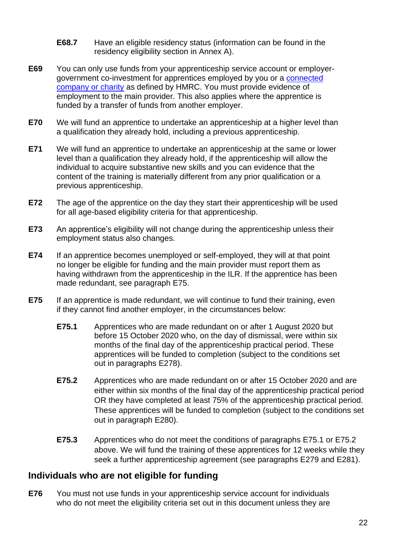- **E68.7** Have an eligible residency status (information can be found in the residency eligibility section in Annex A).
- <span id="page-22-5"></span>**E69** You can only use funds from your apprenticeship service account or employergovernment co-investment for apprentices employed by you or a [connected](https://www.gov.uk/hmrc-internal-manuals/apprenticeship-levy/alm11000)  [company or charity](https://www.gov.uk/hmrc-internal-manuals/apprenticeship-levy/alm11000) as defined by HMRC. You must provide evidence of employment to the main provider. This also applies where the apprentice is funded by a transfer of funds from another employer.
- **E70** We will fund an apprentice to undertake an apprenticeship at a higher level than a qualification they already hold, including a previous apprenticeship.
- **E71** We will fund an apprentice to undertake an apprenticeship at the same or lower level than a qualification they already hold, if the apprenticeship will allow the individual to acquire substantive new skills and you can evidence that the content of the training is materially different from any prior qualification or a previous apprenticeship.
- **E72** The age of the apprentice on the day they start their apprenticeship will be used for all age-based eligibility criteria for that apprenticeship.
- **E73** An apprentice's eligibility will not change during the apprenticeship unless their employment status also changes.
- <span id="page-22-1"></span>**E74** If an apprentice becomes unemployed or self-employed, they will at that point no longer be eligible for funding and the main provider must report them as having withdrawn from the apprenticeship in the ILR. If the apprentice has been made redundant, see paragraph [E75.](#page-22-2)
- <span id="page-22-4"></span><span id="page-22-3"></span><span id="page-22-2"></span>**E75** If an apprentice is made redundant, we will continue to fund their training, even if they cannot find another employer, in the circumstances below:
	- **E75.1** Apprentices who are made redundant on or after 1 August 2020 but before 15 October 2020 who, on the day of dismissal, were within six months of the final day of the apprenticeship practical period. These apprentices will be funded to completion (subject to the conditions set out in paragraphs [E278\)](#page-58-1).
	- **E75.2** Apprentices who are made redundant on or after 15 October 2020 and are either within six months of the final day of the apprenticeship practical period OR they have completed at least 75% of the apprenticeship practical period. These apprentices will be funded to completion (subject to the conditions set out in paragraph [E280\)](#page-60-0).
	- **E75.3** Apprentices who do not meet the conditions of paragraphs [E75.1](#page-22-3) or [E75.2](#page-22-4) above. We will fund the training of these apprentices for 12 weeks while they seek a further apprenticeship agreement (see paragraphs [E279](#page-59-0) and [E281\)](#page-61-0).

## <span id="page-22-0"></span>**Individuals who are not eligible for funding**

**E76** You must not use funds in your apprenticeship service account for individuals who do not meet the eligibility criteria set out in this document unless they are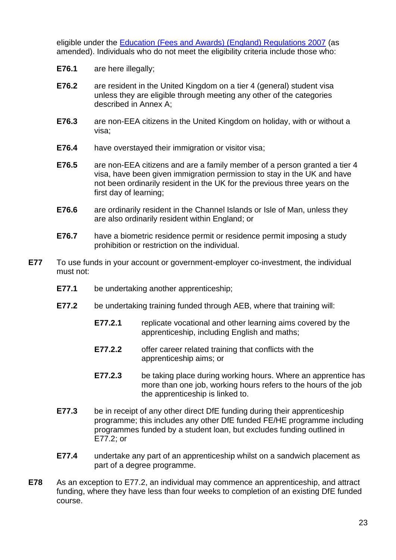eligible under the [Education \(Fees and Awards\) \(England\) Regulations 2007](http://www.legislation.gov.uk/uksi/2007/779/contents/made) (as amended). Individuals who do not meet the eligibility criteria include those who:

- **E76.1** are here illegally;
- **E76.2** are resident in the United Kingdom on a tier 4 (general) student visa unless they are eligible through meeting any other of the categories described in Annex A;
- **E76.3** are non-EEA citizens in the United Kingdom on holiday, with or without a visa;
- **E76.4** have overstayed their immigration or visitor visa;
- **E76.5** are non-EEA citizens and are a family member of a person granted a tier 4 visa, have been given immigration permission to stay in the UK and have not been ordinarily resident in the UK for the previous three years on the first day of learning;
- **E76.6** are ordinarily resident in the Channel Islands or Isle of Man, unless they are also ordinarily resident within England; or
- **E76.7** have a biometric residence permit or residence permit imposing a study prohibition or restriction on the individual.
- <span id="page-23-1"></span><span id="page-23-0"></span>**E77** To use funds in your account or government-employer co-investment, the individual must not:
	- **E77.1** be undertaking another apprenticeship:
	- **E77.2** be undertaking training funded through AEB, where that training will:
		- **E77.2.1** replicate vocational and other learning aims covered by the apprenticeship, including English and maths;
		- **E77.2.2** offer career related training that conflicts with the apprenticeship aims; or
		- **E77.2.3** be taking place during working hours. Where an apprentice has more than one job, working hours refers to the hours of the job the apprenticeship is linked to.
	- **E77.3** be in receipt of any other direct DfE funding during their apprenticeship programme; this includes any other DfE funded FE/HE programme including programmes funded by a student loan, but excludes funding outlined in [E77.2;](#page-23-0) or
	- **E77.4** undertake any part of an apprenticeship whilst on a sandwich placement as part of a degree programme.
- **E78** As an exception to [E77.](#page-23-1)2, an individual may commence an apprenticeship, and attract funding, where they have less than four weeks to completion of an existing DfE funded course.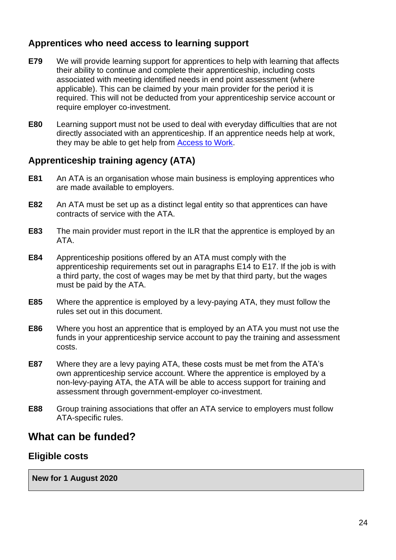## <span id="page-24-0"></span>**Apprentices who need access to learning support**

- **E79** We will provide learning support for apprentices to help with learning that affects their ability to continue and complete their apprenticeship, including costs associated with meeting identified needs in end point assessment (where applicable). This can be claimed by your main provider for the period it is required. This will not be deducted from your apprenticeship service account or require employer co-investment.
- **E80** Learning support must not be used to deal with everyday difficulties that are not directly associated with an apprenticeship. If an apprentice needs help at work, they may be able to get help from **Access to Work**.

## <span id="page-24-1"></span>**Apprenticeship training agency (ATA)**

- **E81** An ATA is an organisation whose main business is employing apprentices who are made available to employers.
- **E82** An ATA must be set up as a distinct legal entity so that apprentices can have contracts of service with the ATA.
- **E83** The main provider must report in the ILR that the apprentice is employed by an ATA.
- **E84** Apprenticeship positions offered by an ATA must comply with the apprenticeship requirements set out in paragraphs [E14](#page-7-4) to [E17.](#page-8-1) If the job is with a third party, the cost of wages may be met by that third party, but the wages must be paid by the ATA.
- **E85** Where the apprentice is employed by a levy-paying ATA, they must follow the rules set out in this document.
- **E86** Where you host an apprentice that is employed by an ATA you must not use the funds in your apprenticeship service account to pay the training and assessment costs.
- **E87** Where they are a levy paying ATA, these costs must be met from the ATA's own apprenticeship service account. Where the apprentice is employed by a non-levy-paying ATA, the ATA will be able to access support for training and assessment through government-employer co-investment.
- **E88** Group training associations that offer an ATA service to employers must follow ATA-specific rules.

## <span id="page-24-2"></span>**What can be funded?**

## <span id="page-24-3"></span>**Eligible costs**

**New for 1 August 2020**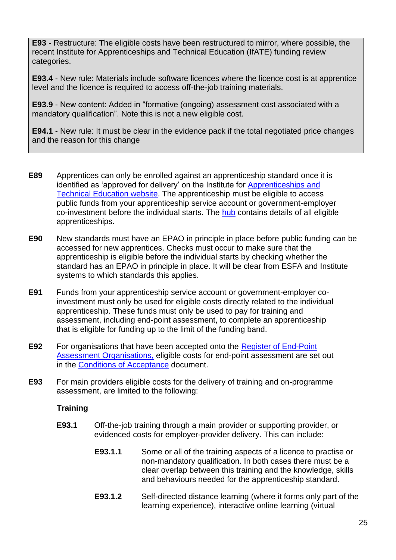**[E93](#page-25-0)** - Restructure: The eligible costs have been restructured to mirror, where possible, the recent Institute for Apprenticeships and Technical Education (IfATE) funding review categories.

**[E93.4](#page-26-0)** - New rule: Materials include software licences where the licence cost is at apprentice level and the licence is required to access off-the-job training materials.

**[E93.9](#page-26-1)** - New content: Added in "formative (ongoing) assessment cost associated with a mandatory qualification". Note this is not a new eligible cost.

**[E94.1](#page-27-1)** - New rule: It must be clear in the evidence pack if the total negotiated price changes and the reason for this change

- **E89** Apprentices can only be enrolled against an apprenticeship standard once it is identified as 'approved for delivery' on the Institute for [Apprenticeships and](https://www.instituteforapprenticeships.org/apprenticeship-standards/)  [Technical Education website.](https://www.instituteforapprenticeships.org/apprenticeship-standards/) The apprenticeship must be eligible to access public funds from your apprenticeship service account or government-employer co-investment before the individual starts. The [hub](https://hub.fasst.org.uk/Pages/default.aspx) contains details of all eligible apprenticeships.
- **E90** New standards must have an EPAO in principle in place before public funding can be accessed for new apprentices. Checks must occur to make sure that the apprenticeship is eligible before the individual starts by checking whether the standard has an EPAO in principle in place. It will be clear from ESFA and Institute systems to which standards this applies.
- **E91** Funds from your apprenticeship service account or government-employer coinvestment must only be used for eligible costs directly related to the individual apprenticeship. These funds must only be used to pay for training and assessment, including end-point assessment, to complete an apprenticeship that is eligible for funding up to the limit of the funding band.
- **E92** For organisations that have been accepted onto the [Register of End-Point](https://www.gov.uk/government/collections/register-of-apprentice-assessment-organisations)  [Assessment Organisations,](https://www.gov.uk/government/collections/register-of-apprentice-assessment-organisations) eligible costs for end-point assessment are set out in the [Conditions of Acceptance](https://www.gov.uk/guidance/conditions-for-being-on-the-register-of-end-point-assessment-organisations) document.
- <span id="page-25-0"></span>**E93** For main providers eligible costs for the delivery of training and on-programme assessment, are limited to the following:

#### **Training**

- **E93.1** Off-the-job training through a main provider or supporting provider, or evidenced costs for employer-provider delivery. This can include:
	- **E93.1.1** Some or all of the training aspects of a licence to practise or non-mandatory qualification. In both cases there must be a clear overlap between this training and the knowledge, skills and behaviours needed for the apprenticeship standard.
	- **E93.1.2** Self-directed distance learning (where it forms only part of the learning experience), interactive online learning (virtual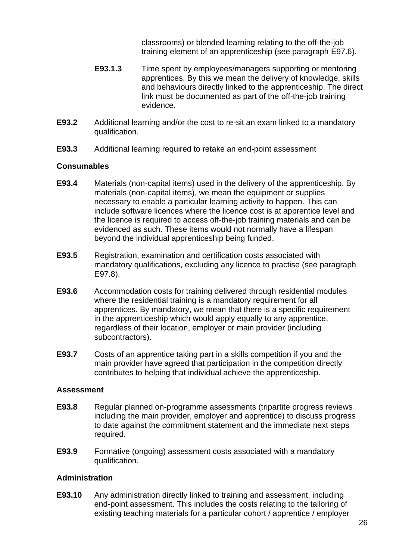classrooms) or blended learning relating to the off-the-job training element of an apprenticeship (see paragraph [E97.6\)](#page-28-0).

- **E93.1.3** Time spent by employees/managers supporting or mentoring apprentices. By this we mean the delivery of knowledge, skills and behaviours directly linked to the apprenticeship. The direct link must be documented as part of the off-the-job training evidence.
- **E93.2** Additional learning and/or the cost to re-sit an exam linked to a mandatory qualification.
- **E93.3** Additional learning required to retake an end-point assessment

#### **Consumables**

- <span id="page-26-0"></span>**E93.4** Materials (non-capital items) used in the delivery of the apprenticeship. By materials (non-capital items), we mean the equipment or supplies necessary to enable a particular learning activity to happen. This can include software licences where the licence cost is at apprentice level and the licence is required to access off-the-job training materials and can be evidenced as such. These items would not normally have a lifespan beyond the individual apprenticeship being funded.
- **E93.5** Registration, examination and certification costs associated with mandatory qualifications, excluding any licence to practise (see paragraph [E97.8\)](#page-28-1).
- **E93.6** Accommodation costs for training delivered through residential modules where the residential training is a mandatory requirement for all apprentices. By mandatory, we mean that there is a specific requirement in the apprenticeship which would apply equally to any apprentice, regardless of their location, employer or main provider (including subcontractors).
- **E93.7** Costs of an apprentice taking part in a skills competition if you and the main provider have agreed that participation in the competition directly contributes to helping that individual achieve the apprenticeship.

#### **Assessment**

- **E93.8** Regular planned on-programme assessments (tripartite progress reviews including the main provider, employer and apprentice) to discuss progress to date against the commitment statement and the immediate next steps required.
- <span id="page-26-1"></span>**E93.9** Formative (ongoing) assessment costs associated with a mandatory qualification.

#### **Administration**

**E93.10** Any administration directly linked to training and assessment, including end-point assessment. This includes the costs relating to the tailoring of existing teaching materials for a particular cohort / apprentice / employer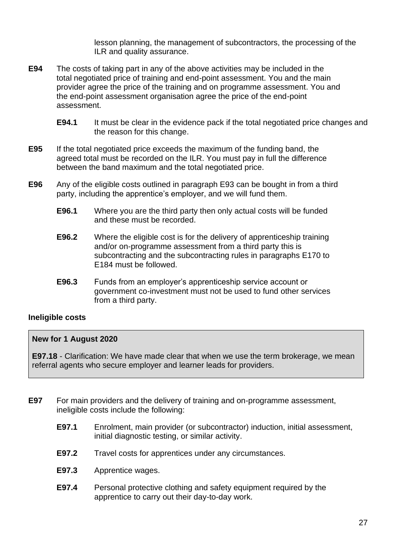lesson planning, the management of subcontractors, the processing of the ILR and quality assurance.

- **E94** The costs of taking part in any of the above activities may be included in the total negotiated price of training and end-point assessment. You and the main provider agree the price of the training and on programme assessment. You and the end-point assessment organisation agree the price of the end-point assessment.
	- **E94.1** It must be clear in the evidence pack if the total negotiated price changes and the reason for this change.
- <span id="page-27-1"></span>**E95** If the total negotiated price exceeds the maximum of the funding band, the agreed total must be recorded on the ILR. You must pay in full the difference between the band maximum and the total negotiated price.
- **E96** Any of the eligible costs outlined in paragraph [E93](#page-25-0) can be bought in from a third party, including the apprentice's employer, and we will fund them.
	- **E96.1** Where you are the third party then only actual costs will be funded and these must be recorded.
	- **E96.2** Where the eligible cost is for the delivery of apprenticeship training and/or on-programme assessment from a third party this is subcontracting and the subcontracting rules in paragraphs [E170](#page-44-1) to [E184](#page-46-4) must be followed.
	- **E96.3** Funds from an employer's apprenticeship service account or government co-investment must not be used to fund other services from a third party.

#### <span id="page-27-0"></span>**Ineligible costs**

#### **New for 1 August 2020**

**[E97.18](#page-28-2)** - Clarification: We have made clear that when we use the term brokerage, we mean referral agents who secure employer and learner leads for providers.

- **E97** For main providers and the delivery of training and on-programme assessment, ineligible costs include the following:
	- **E97.1** Enrolment, main provider (or subcontractor) induction, initial assessment, initial diagnostic testing, or similar activity.
	- **E97.2** Travel costs for apprentices under any circumstances.
	- **E97.3** Apprentice wages.
	- **E97.4** Personal protective clothing and safety equipment required by the apprentice to carry out their day-to-day work.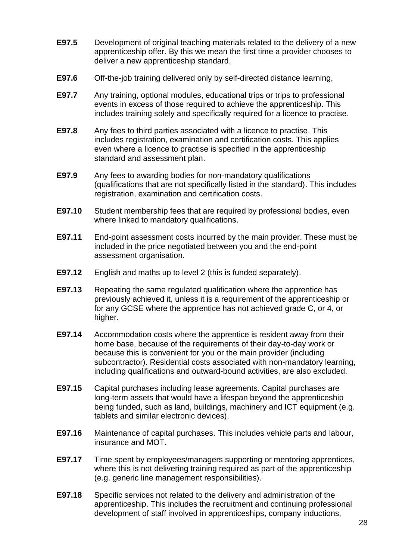- **E97.5** Development of original teaching materials related to the delivery of a new apprenticeship offer. By this we mean the first time a provider chooses to deliver a new apprenticeship standard.
- <span id="page-28-0"></span>**E97.6** Off-the-job training delivered only by self-directed distance learning,
- **E97.7** Any training, optional modules, educational trips or trips to professional events in excess of those required to achieve the apprenticeship. This includes training solely and specifically required for a licence to practise.
- <span id="page-28-1"></span>**E97.8** Any fees to third parties associated with a licence to practise. This includes registration, examination and certification costs. This applies even where a licence to practise is specified in the apprenticeship standard and assessment plan.
- **E97.9** Any fees to awarding bodies for non-mandatory qualifications (qualifications that are not specifically listed in the standard). This includes registration, examination and certification costs.
- **E97.10** Student membership fees that are required by professional bodies, even where linked to mandatory qualifications.
- **E97.11** End-point assessment costs incurred by the main provider. These must be included in the price negotiated between you and the end-point assessment organisation.
- **E97.12** English and maths up to level 2 (this is funded separately).
- **E97.13** Repeating the same regulated qualification where the apprentice has previously achieved it, unless it is a requirement of the apprenticeship or for any GCSE where the apprentice has not achieved grade C, or 4, or higher.
- **E97.14** Accommodation costs where the apprentice is resident away from their home base, because of the requirements of their day-to-day work or because this is convenient for you or the main provider (including subcontractor). Residential costs associated with non-mandatory learning, including qualifications and outward-bound activities, are also excluded.
- **E97.15** Capital purchases including lease agreements. Capital purchases are long-term assets that would have a lifespan beyond the apprenticeship being funded, such as land, buildings, machinery and ICT equipment (e.g. tablets and similar electronic devices).
- **E97.16** Maintenance of capital purchases. This includes vehicle parts and labour, insurance and MOT.
- **E97.17** Time spent by employees/managers supporting or mentoring apprentices, where this is not delivering training required as part of the apprenticeship (e.g. generic line management responsibilities).
- <span id="page-28-2"></span>**E97.18** Specific services not related to the delivery and administration of the apprenticeship. This includes the recruitment and continuing professional development of staff involved in apprenticeships, company inductions,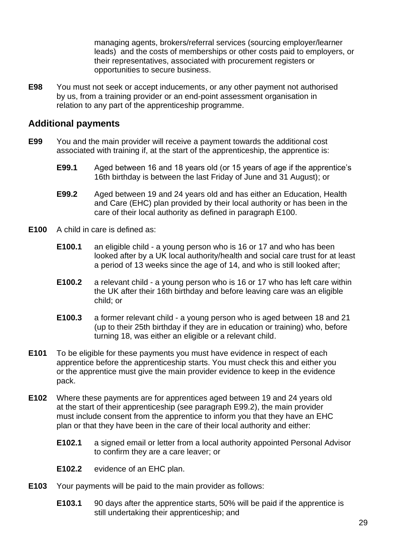managing agents, brokers/referral services (sourcing employer/learner leads) and the costs of memberships or other costs paid to employers, or their representatives, associated with procurement registers or opportunities to secure business.

**E98** You must not seek or accept inducements, or any other payment not authorised by us, from a training provider or an end-point assessment organisation in relation to any part of the apprenticeship programme.

#### <span id="page-29-0"></span>**Additional payments**

- **E99** You and the main provider will receive a payment towards the additional cost associated with training if, at the start of the apprenticeship, the apprentice is:
	- **E99.1** Aged between 16 and 18 years old (or 15 years of age if the apprentice's 16th birthday is between the last Friday of June and 31 August); or
	- **E99.2** Aged between 19 and 24 years old and has either an Education, Health and Care (EHC) plan provided by their local authority or has been in the care of their local authority as defined in paragraph [E100.](#page-29-1)
- <span id="page-29-2"></span><span id="page-29-1"></span>**E100** A child in care is defined as:
	- **E100.1** an eligible child a young person who is 16 or 17 and who has been looked after by a UK local authority/health and social care trust for at least a period of 13 weeks since the age of 14, and who is still looked after;
	- **E100.2** a relevant child a young person who is 16 or 17 who has left care within the UK after their 16th birthday and before leaving care was an eligible child; or
	- **E100.3** a former relevant child a young person who is aged between 18 and 21 (up to their 25th birthday if they are in education or training) who, before turning 18, was either an eligible or a relevant child.
- **E101** To be eligible for these payments you must have evidence in respect of each apprentice before the apprenticeship starts. You must check this and either you or the apprentice must give the main provider evidence to keep in the evidence pack.
- **E102** Where these payments are for apprentices aged between 19 and 24 years old at the start of their apprenticeship (see paragraph [E99.2\)](#page-29-2), the main provider must include consent from the apprentice to inform you that they have an EHC plan or that they have been in the care of their local authority and either:
	- **E102.1** a signed email or letter from a local authority appointed Personal Advisor to confirm they are a care leaver; or
	- **E102.2** evidence of an EHC plan.
- **E103** Your payments will be paid to the main provider as follows:
	- **E103.1** 90 days after the apprentice starts, 50% will be paid if the apprentice is still undertaking their apprenticeship; and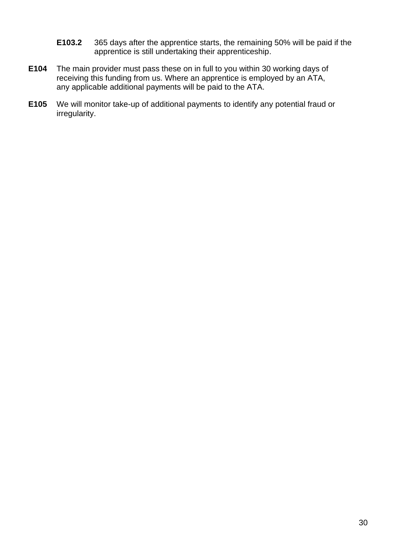- **E103.2** 365 days after the apprentice starts, the remaining 50% will be paid if the apprentice is still undertaking their apprenticeship.
- **E104** The main provider must pass these on in full to you within 30 working days of receiving this funding from us. Where an apprentice is employed by an ATA, any applicable additional payments will be paid to the ATA.
- **E105** We will monitor take-up of additional payments to identify any potential fraud or irregularity.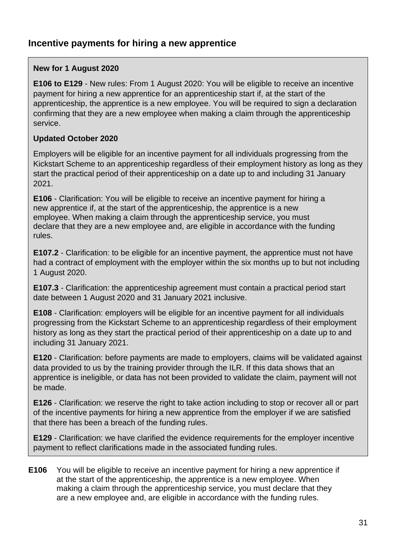## <span id="page-31-0"></span>**Incentive payments for hiring a new apprentice**

#### **New for 1 August 2020**

**[E106](#page-31-1) to [E129](#page-34-0)** - New rules: From 1 August 2020: You will be eligible to receive an incentive payment for hiring a new apprentice for an apprenticeship start if, at the start of the apprenticeship, the apprentice is a new employee. You will be required to sign a declaration confirming that they are a new employee when making a claim through the apprenticeship service.

#### **Updated October 2020**

Employers will be eligible for an incentive payment for all individuals progressing from the Kickstart Scheme to an apprenticeship regardless of their employment history as long as they start the practical period of their apprenticeship on a date up to and including 31 January 2021.

**[E106](#page-31-1)** - Clarification: You will be eligible to receive an incentive payment for hiring a new apprentice if, at the start of the apprenticeship, the apprentice is a new employee. When making a claim through the apprenticeship service, you must declare that they are a new employee and, are eligible in accordance with the funding rules.

**[E107.2](#page-32-0)** - Clarification: to be eligible for an incentive payment, the apprentice must not have had a contract of employment with the employer within the six months up to but not including 1 August 2020.

**[E107.3](#page-32-1)** - Clarification: the apprenticeship agreement must contain a practical period start date between 1 August 2020 and 31 January 2021 inclusive.

**[E108](#page-32-2)** - Clarification: employers will be eligible for an incentive payment for all individuals progressing from the Kickstart Scheme to an apprenticeship regardless of their employment history as long as they start the practical period of their apprenticeship on a date up to and including 31 January 2021.

**[E120](#page-34-1)** - Clarification: before payments are made to employers, claims will be validated against data provided to us by the training provider through the ILR. If this data shows that an apprentice is ineligible, or data has not been provided to validate the claim, payment will not be made.

**[E126](#page-34-2)** - Clarification: we reserve the right to take action including to stop or recover all or part of the incentive payments for hiring a new apprentice from the employer if we are satisfied that there has been a breach of the funding rules.

**[E129](#page-34-0)** - Clarification: we have clarified the evidence requirements for the employer incentive payment to reflect clarifications made in the associated funding rules.

<span id="page-31-1"></span>**E106** You will be eligible to receive an incentive payment for hiring a new apprentice if at the start of the apprenticeship, the apprentice is a new employee. When making a claim through the apprenticeship service, you must declare that they are a new employee and, are eligible in accordance with the funding rules.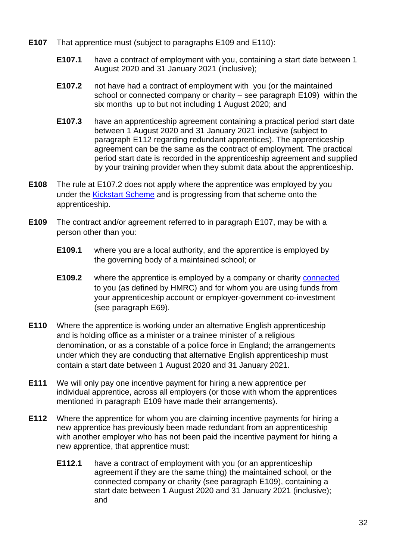- <span id="page-32-6"></span><span id="page-32-0"></span>**E107** That apprentice must (subject to paragraphs [E109](#page-32-3) and [E110\)](#page-32-4):
	- **E107.1** have a contract of employment with you, containing a start date between 1 August 2020 and 31 January 2021 (inclusive);
	- **E107.2** not have had a contract of employment with you (or the maintained school or connected company or charity – see paragraph [E109\)](#page-32-3) within the six months up to but not including 1 August 2020; and
	- **E107.3** have an apprenticeship agreement containing a practical period start date between 1 August 2020 and 31 January 2021 inclusive (subject to paragraph [E112](#page-32-5) regarding redundant apprentices). The apprenticeship agreement can be the same as the contract of employment. The practical period start date is recorded in the apprenticeship agreement and supplied by your training provider when they submit data about the apprenticeship.
- <span id="page-32-2"></span><span id="page-32-1"></span>**E108** The rule at [E107.2](#page-32-0) does not apply where the apprentice was employed by you under the [Kickstart Scheme](https://www.gov.uk/government/collections/kickstart-scheme) and is progressing from that scheme onto the apprenticeship.
- <span id="page-32-3"></span>**E109** The contract and/or agreement referred to in paragraph [E107,](#page-32-6) may be with a person other than you:
	- **E109.1** where you are a local authority, and the apprentice is employed by the governing body of a maintained school; or
	- **E109.2** where the apprentice is employed by a company or charity [connected](https://www.gov.uk/hmrc-internal-manuals/apprenticeship-levy/alm11000)  to you (as defined by HMRC) and for whom you are using funds from your apprenticeship account or employer-government co-investment (see paragraph [E69\)](#page-22-5).
- <span id="page-32-4"></span>**E110** Where the apprentice is working under an alternative English apprenticeship and is holding office as a minister or a trainee minister of a religious denomination, or as a constable of a police force in England; the arrangements under which they are conducting that alternative English apprenticeship must contain a start date between 1 August 2020 and 31 January 2021.
- **E111** We will only pay one incentive payment for hiring a new apprentice per individual apprentice, across all employers (or those with whom the apprentices mentioned in paragraph [E109](#page-32-3) have made their arrangements).
- <span id="page-32-5"></span>**E112** Where the apprentice for whom you are claiming incentive payments for hiring a new apprentice has previously been made redundant from an apprenticeship with another employer who has not been paid the incentive payment for hiring a new apprentice, that apprentice must:
	- **E112.1** have a contract of employment with you (or an apprenticeship agreement if they are the same thing) the maintained school, or the connected company or charity (see paragraph [E109\)](#page-32-3), containing a start date between 1 August 2020 and 31 January 2021 (inclusive); and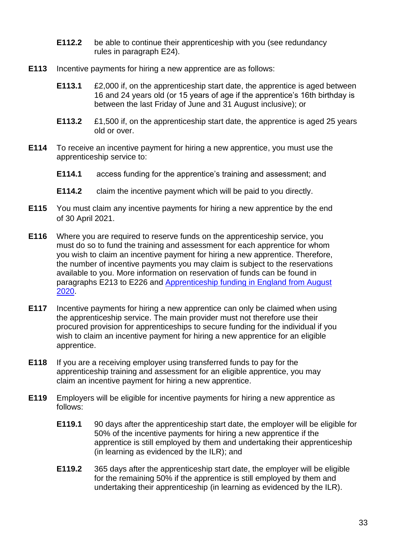- **E112.2** be able to continue their apprenticeship with you (see redundancy rules in paragraph [E24\)](#page-9-1).
- **E113** Incentive payments for hiring a new apprentice are as follows:
	- **E113.1** £2,000 if, on the apprenticeship start date, the apprentice is aged between 16 and 24 years old (or 15 years of age if the apprentice's 16th birthday is between the last Friday of June and 31 August inclusive); or
	- **E113.2** £1,500 if, on the apprenticeship start date, the apprentice is aged 25 years old or over.
- **E114** To receive an incentive payment for hiring a new apprentice, you must use the apprenticeship service to:
	- **E114.1** access funding for the apprentice's training and assessment; and
	- **E114.2** claim the incentive payment which will be paid to you directly.
- **E115** You must claim any incentive payments for hiring a new apprentice by the end of 30 April 2021.
- **E116** Where you are required to reserve funds on the apprenticeship service, you must do so to fund the training and assessment for each apprentice for whom you wish to claim an incentive payment for hiring a new apprentice. Therefore, the number of incentive payments you may claim is subject to the reservations available to you. More information on reservation of funds can be found in paragraphs [E213](#page-50-1) to [E226](#page-51-2) and Apprenticeship [funding in England from August](https://www.gov.uk/government/publications/apprenticeship-funding)  [2020.](https://www.gov.uk/government/publications/apprenticeship-funding)
- **E117** Incentive payments for hiring a new apprentice can only be claimed when using the apprenticeship service. The main provider must not therefore use their procured provision for apprenticeships to secure funding for the individual if you wish to claim an incentive payment for hiring a new apprentice for an eligible apprentice.
- **E118** If you are a receiving employer using transferred funds to pay for the apprenticeship training and assessment for an eligible apprentice, you may claim an incentive payment for hiring a new apprentice.
- **E119** Employers will be eligible for incentive payments for hiring a new apprentice as follows:
	- **E119.1** 90 days after the apprenticeship start date, the employer will be eligible for 50% of the incentive payments for hiring a new apprentice if the apprentice is still employed by them and undertaking their apprenticeship (in learning as evidenced by the ILR); and
	- **E119.2** 365 days after the apprenticeship start date, the employer will be eligible for the remaining 50% if the apprentice is still employed by them and undertaking their apprenticeship (in learning as evidenced by the ILR).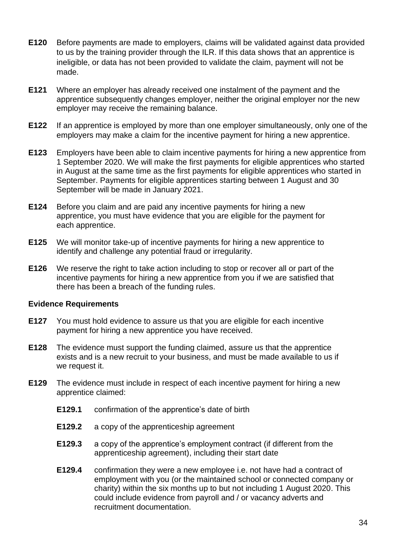- <span id="page-34-1"></span>**E120** Before payments are made to employers, claims will be validated against data provided to us by the training provider through the ILR. If this data shows that an apprentice is ineligible, or data has not been provided to validate the claim, payment will not be made.
- **E121** Where an employer has already received one instalment of the payment and the apprentice subsequently changes employer, neither the original employer nor the new employer may receive the remaining balance.
- **E122** If an apprentice is employed by more than one employer simultaneously, only one of the employers may make a claim for the incentive payment for hiring a new apprentice.
- **E123** Employers have been able to claim incentive payments for hiring a new apprentice from 1 September 2020. We will make the first payments for eligible apprentices who started in August at the same time as the first payments for eligible apprentices who started in September. Payments for eligible apprentices starting between 1 August and 30 September will be made in January 2021.
- **E124** Before you claim and are paid any incentive payments for hiring a new apprentice, you must have evidence that you are eligible for the payment for each apprentice.
- **E125** We will monitor take-up of incentive payments for hiring a new apprentice to identify and challenge any potential fraud or irregularity.
- <span id="page-34-2"></span>**E126** We reserve the right to take action including to stop or recover all or part of the incentive payments for hiring a new apprentice from you if we are satisfied that there has been a breach of the funding rules.

#### **Evidence Requirements**

- **E127** You must hold evidence to assure us that you are eligible for each incentive payment for hiring a new apprentice you have received.
- **E128** The evidence must support the funding claimed, assure us that the apprentice exists and is a new recruit to your business, and must be made available to us if we request it.
- <span id="page-34-0"></span>**E129** The evidence must include in respect of each incentive payment for hiring a new apprentice claimed:
	- **E129.1** confirmation of the apprentice's date of birth
	- **E129.2** a copy of the apprenticeship agreement
	- **E129.3** a copy of the apprentice's employment contract (if different from the apprenticeship agreement), including their start date
	- **E129.4** confirmation they were a new employee i.e. not have had a contract of employment with you (or the maintained school or connected company or charity) within the six months up to but not including 1 August 2020. This could include evidence from payroll and / or vacancy adverts and recruitment documentation.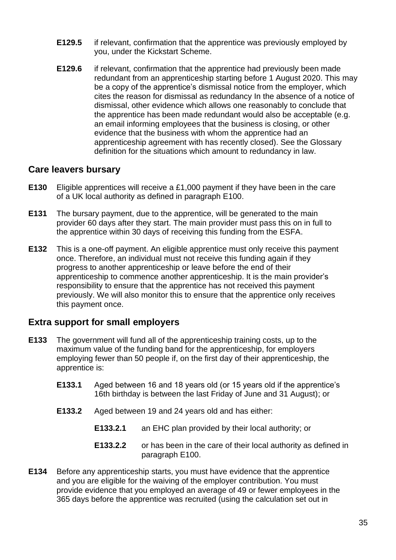- **E129.5** if relevant, confirmation that the apprentice was previously employed by you, under the Kickstart Scheme.
- **E129.6** if relevant, confirmation that the apprentice had previously been made redundant from an apprenticeship starting before 1 August 2020. This may be a copy of the apprentice's dismissal notice from the employer, which cites the reason for dismissal as redundancy In the absence of a notice of dismissal, other evidence which allows one reasonably to conclude that the apprentice has been made redundant would also be acceptable (e.g. an email informing employees that the business is closing, or other evidence that the business with whom the apprentice had an apprenticeship agreement with has recently closed). See the Glossary definition for the situations which amount to redundancy in law.

### <span id="page-35-0"></span>**Care leavers bursary**

- **E130** Eligible apprentices will receive a £1,000 payment if they have been in the care of a UK local authority as defined in paragraph [E100.](#page-29-1)
- **E131** The bursary payment, due to the apprentice, will be generated to the main provider 60 days after they start. The main provider must pass this on in full to the apprentice within 30 days of receiving this funding from the ESFA.
- **E132** This is a one-off payment. An eligible apprentice must only receive this payment once. Therefore, an individual must not receive this funding again if they progress to another apprenticeship or leave before the end of their apprenticeship to commence another apprenticeship. It is the main provider's responsibility to ensure that the apprentice has not received this payment previously. We will also monitor this to ensure that the apprentice only receives this payment once.

## <span id="page-35-1"></span>**Extra support for small employers**

- **E133** The government will fund all of the apprenticeship training costs, up to the maximum value of the funding band for the apprenticeship, for employers employing fewer than 50 people if, on the first day of their apprenticeship, the apprentice is:
	- **E133.1** Aged between 16 and 18 years old (or 15 years old if the apprentice's 16th birthday is between the last Friday of June and 31 August); or
	- **E133.2** Aged between 19 and 24 years old and has either:
		- **E133.2.1** an EHC plan provided by their local authority; or
		- **E133.2.2** or has been in the care of their local authority as defined in paragraph [E100.](#page-29-1)
- **E134** Before any apprenticeship starts, you must have evidence that the apprentice and you are eligible for the waiving of the employer contribution. You must provide evidence that you employed an average of 49 or fewer employees in the 365 days before the apprentice was recruited (using the calculation set out in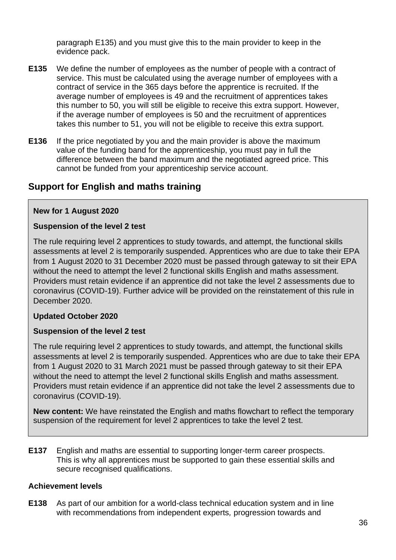paragraph [E135\)](#page-36-0) and you must give this to the main provider to keep in the evidence pack.

- <span id="page-36-0"></span>**E135** We define the number of employees as the number of people with a contract of service. This must be calculated using the average number of employees with a contract of service in the 365 days before the apprentice is recruited. If the average number of employees is 49 and the recruitment of apprentices takes this number to 50, you will still be eligible to receive this extra support. However, if the average number of employees is 50 and the recruitment of apprentices takes this number to 51, you will not be eligible to receive this extra support.
- <span id="page-36-3"></span>**E136** If the price negotiated by you and the main provider is above the maximum value of the funding band for the apprenticeship, you must pay in full the difference between the band maximum and the negotiated agreed price. This cannot be funded from your apprenticeship service account.

# **Support for English and maths training**

#### **New for 1 August 2020**

#### **Suspension of the level 2 test**

The rule requiring level 2 apprentices to study towards, and attempt, the functional skills assessments at level 2 is temporarily suspended. Apprentices who are due to take their EPA from 1 August 2020 to 31 December 2020 must be passed through gateway to sit their EPA without the need to attempt the level 2 functional skills English and maths assessment. Providers must retain evidence if an apprentice did not take the level 2 assessments due to coronavirus (COVID-19). Further advice will be provided on the reinstatement of this rule in December 2020.

## **Updated October 2020**

#### **Suspension of the level 2 test**

The rule requiring level 2 apprentices to study towards, and attempt, the functional skills assessments at level 2 is temporarily suspended. Apprentices who are due to take their EPA from 1 August 2020 to 31 March 2021 must be passed through gateway to sit their EPA without the need to attempt the level 2 functional skills English and maths assessment. Providers must retain evidence if an apprentice did not take the level 2 assessments due to coronavirus (COVID-19).

**New content:** We have reinstated the English and maths flowchart to reflect the temporary suspension of the requirement for level 2 apprentices to take the level 2 test.

<span id="page-36-2"></span>**E137** English and maths are essential to supporting longer-term career prospects. This is why all apprentices must be supported to gain these essential skills and secure recognised qualifications.

#### **Achievement levels**

<span id="page-36-1"></span>**E138** As part of our ambition for a world-class technical education system and in line with recommendations from independent experts*,* progression towards and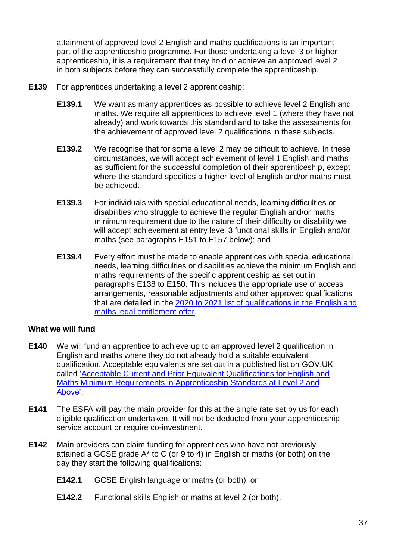attainment of approved level 2 English and maths qualifications is an important part of the apprenticeship programme. For those undertaking a level 3 or higher apprenticeship, it is a requirement that they hold or achieve an approved level 2 in both subjects before they can successfully complete the apprenticeship.

- **E139** For apprentices undertaking a level 2 apprenticeship:
	- **E139.1** We want as many apprentices as possible to achieve level 2 English and maths. We require all apprentices to achieve level 1 (where they have not already) and work towards this standard and to take the assessments for the achievement of approved level 2 qualifications in these subjects.
	- **E139.2** We recognise that for some a level 2 may be difficult to achieve. In these circumstances, we will accept achievement of level 1 English and maths as sufficient for the successful completion of their apprenticeship, except where the standard specifies a higher level of English and/or maths must be achieved.
	- **E139.3** For individuals with special educational needs, learning difficulties or disabilities who struggle to achieve the regular English and/or maths minimum requirement due to the nature of their difficulty or disability we will accept achievement at entry level 3 functional skills in English and/or maths (see paragraphs [E151](#page-39-0) to [E157](#page-40-0) below); and
	- **E139.4** Every effort must be made to enable apprentices with special educational needs, learning difficulties or disabilities achieve the minimum English and maths requirements of the specific apprenticeship as set out in paragraphs [E138](#page-36-1) to [E150.](#page-39-1) This includes the appropriate use of access arrangements, reasonable adjustments and other approved qualification[s](https://www.gov.uk/government/publications/qualifications-getting-approval-for-funding) that are detailed in the 2020 to 2021 [list of qualifications in the English and](https://www.gov.uk/government/publications/qualifications-getting-approval-for-funding)  [maths legal entitlement offer.](https://www.gov.uk/government/publications/qualifications-getting-approval-for-funding)

## **What we will fund**

- **E140** We will fund an apprentice to achieve up to an approved level 2 qualification in English and maths where they do not already hold a suitable equivalent qualification. Acceptable equivalents are set out in a published list on GOV.UK called 'Acceptable [Current and Prior Equivalent Qualifications for English and](https://www.gov.uk/government/publications/english-and-maths-requirements-in-apprenticeship-standards-at-level-2-and-above)  [Maths Minimum Requirements in Apprenticeship](https://www.gov.uk/government/publications/english-and-maths-requirements-in-apprenticeship-standards-at-level-2-and-above) Standards at Level 2 and A[bove'](https://www.gov.uk/government/publications/english-and-maths-requirements-in-apprenticeship-standards-at-level-2-and-above).
- **E141** The ESFA will pay the main provider for this at the single rate set by us for each eligible qualification undertaken. It will not be deducted from your apprenticeship service account or require co-investment.
- **E142** Main providers can claim funding for apprentices who have not previously attained a GCSE grade A\* to C (or 9 to 4) in English or maths (or both) on the day they start the following qualifications:
	- **E142.1** GCSE English language or maths (or both); or
	- **E142.2** Functional skills English or maths at level 2 (or both).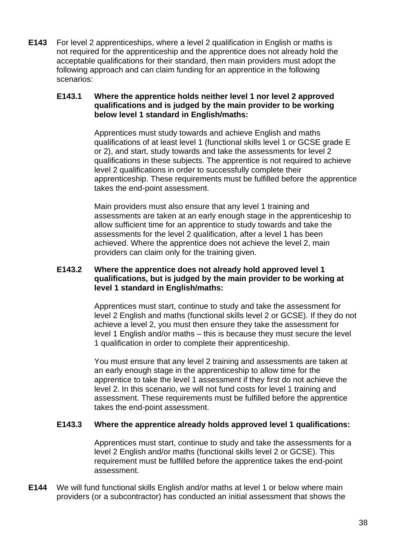**E143** For level 2 apprenticeships, where a level 2 qualification in English or maths is not required for the apprenticeship and the apprentice does not already hold the acceptable qualifications for their standard, then main providers must adopt the following approach and can claim funding for an apprentice in the following scenarios:

#### **E143.1 Where the apprentice holds neither level 1 nor level 2 approved qualifications and is judged by the main provider to be working below level 1 standard in English/maths:**

Apprentices must study towards and achieve English and maths qualifications of at least level 1 (functional skills level 1 or GCSE grade E or 2), and start, study towards and take the assessments for level 2 qualifications in these subjects. The apprentice is not required to achieve level 2 qualifications in order to successfully complete their apprenticeship. These requirements must be fulfilled before the apprentice takes the end-point assessment.

Main providers must also ensure that any level 1 training and assessments are taken at an early enough stage in the apprenticeship to allow sufficient time for an apprentice to study towards and take the assessments for the level 2 qualification, after a level 1 has been achieved. Where the apprentice does not achieve the level 2, main providers can claim only for the training given.

#### **E143.2 Where the apprentice does not already hold approved level 1 qualifications, but is judged by the main provider to be working at level 1 standard in English/maths:**

Apprentices must start, continue to study and take the assessment for level 2 English and maths (functional skills level 2 or GCSE). If they do not achieve a level 2, you must then ensure they take the assessment for level 1 English and/or maths – this is because they must secure the level 1 qualification in order to complete their apprenticeship.

You must ensure that any level 2 training and assessments are taken at an early enough stage in the apprenticeship to allow time for the apprentice to take the level 1 assessment if they first do not achieve the level 2. In this scenario, we will not fund costs for level 1 training and assessment. These requirements must be fulfilled before the apprentice takes the end-point assessment.

## **E143.3 Where the apprentice already holds approved level 1 qualifications:**

Apprentices must start, continue to study and take the assessments for a level 2 English and/or maths (functional skills level 2 or GCSE). This requirement must be fulfilled before the apprentice takes the end-point assessment.

**E144** We will fund functional skills English and/or maths at level 1 or below where main providers (or a subcontractor) has conducted an initial assessment that shows the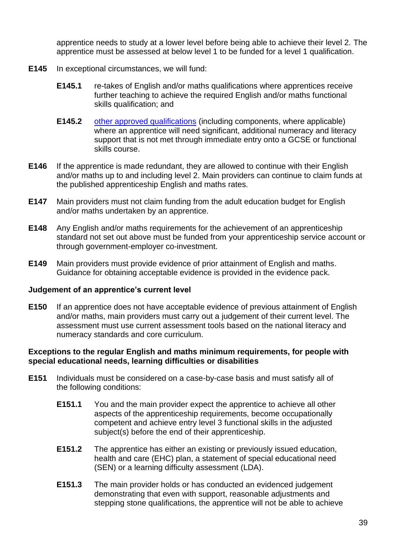apprentice needs to study at a lower level before being able to achieve their level 2. The apprentice must be assessed at below level 1 to be funded for a level 1 qualification.

- **E145** In exceptional circumstances, we will fund:
	- **E145.1** re-takes of English and/or maths qualifications where apprentices receive further teaching to achieve the required English and/or maths functional skills qualification; and
	- **E145.2** [other approved qualifications](https://www.gov.uk/government/publications/qualifications-getting-approval-for-funding) (including components, where applicable) where an apprentice will need significant, additional numeracy and literacy support that is not met through immediate entry onto a GCSE or functional skills course.
- **E146** If the apprentice is made redundant, they are allowed to continue with their English and/or maths up to and including level 2. Main providers can continue to claim funds at the published apprenticeship English and maths rates.
- **E147** Main providers must not claim funding from the adult education budget for English and/or maths undertaken by an apprentice.
- **E148** Any English and/or maths requirements for the achievement of an apprenticeship standard not set out above must be funded from your apprenticeship service account or through government-employer co-investment.
- **E149** Main providers must provide evidence of prior attainment of English and maths. Guidance for obtaining acceptable evidence is provided in the evidence pack.

## **Judgement of an apprentice's current level**

<span id="page-39-1"></span>**E150** If an apprentice does not have acceptable evidence of previous attainment of English and/or maths, main providers must carry out a judgement of their current level. The assessment must use current assessment tools based on the national literacy and numeracy standards and core curriculum.

#### **Exceptions to the regular English and maths minimum requirements, for people with special educational needs, learning difficulties or disabilities**

- <span id="page-39-0"></span>**E151** Individuals must be considered on a case-by-case basis and must satisfy all of the following conditions:
	- **E151.1** You and the main provider expect the apprentice to achieve all other aspects of the apprenticeship requirements, become occupationally competent and achieve entry level 3 functional skills in the adjusted subject(s) before the end of their apprenticeship.
	- **E151.2** The apprentice has either an existing or previously issued education, health and care (EHC) plan, a statement of special educational need (SEN) or a learning difficulty assessment (LDA).
	- **E151.3** The main provider holds or has conducted an evidenced judgement demonstrating that even with support, reasonable adjustments and stepping stone qualifications, the apprentice will not be able to achieve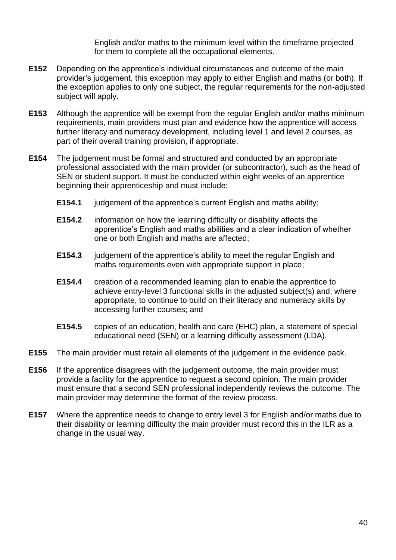English and/or maths to the minimum level within the timeframe projected for them to complete all the occupational elements.

- **E152** Depending on the apprentice's individual circumstances and outcome of the main provider's judgement, this exception may apply to either English and maths (or both). If the exception applies to only one subject, the regular requirements for the non-adjusted subject will apply.
- **E153** Although the apprentice will be exempt from the regular English and/or maths minimum requirements, main providers must plan and evidence how the apprentice will access further literacy and numeracy development, including level 1 and level 2 courses, as part of their overall training provision, if appropriate.
- **E154** The judgement must be formal and structured and conducted by an appropriate professional associated with the main provider (or subcontractor), such as the head of SEN or student support. It must be conducted within eight weeks of an apprentice beginning their apprenticeship and must include:
	- **E154.1** judgement of the apprentice's current English and maths ability;
	- **E154.2** information on how the learning difficulty or disability affects the apprentice's English and maths abilities and a clear indication of whether one or both English and maths are affected;
	- **E154.3** judgement of the apprentice's ability to meet the regular English and maths requirements even with appropriate support in place;
	- **E154.4** creation of a recommended learning plan to enable the apprentice to achieve entry-level 3 functional skills in the adjusted subject(s) and, where appropriate, to continue to build on their literacy and numeracy skills by accessing further courses; and
	- **E154.5** copies of an education, health and care (EHC) plan, a statement of special educational need (SEN) or a learning difficulty assessment (LDA).
- **E155** The main provider must retain all elements of the judgement in the evidence pack.
- **E156** If the apprentice disagrees with the judgement outcome, the main provider must provide a facility for the apprentice to request a second opinion. The main provider must ensure that a second SEN professional independently reviews the outcome. The main provider may determine the format of the review process.
- <span id="page-40-0"></span>**E157** Where the apprentice needs to change to entry level 3 for English and/or maths due to their disability or learning difficulty the main provider must record this in the ILR as a change in the usual way.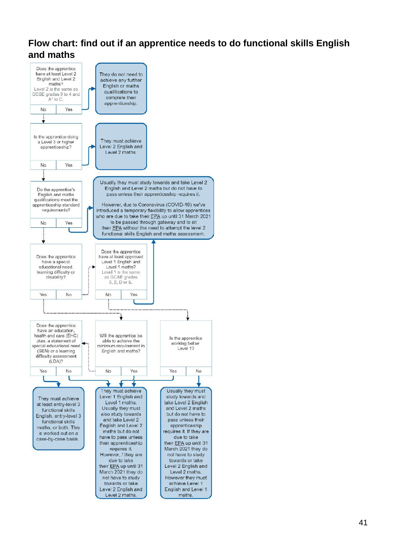# **Flow chart: find out if an apprentice needs to do functional skills English and maths**

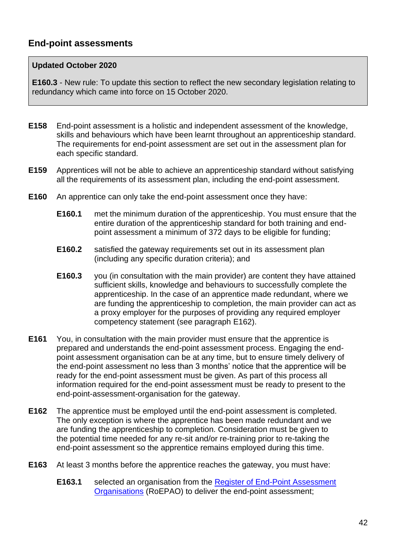## **Updated October 2020**

**[E160.3](#page-42-0)** - New rule: To update this section to reflect the new secondary legislation relating to redundancy which came into force on 15 October 2020.

- **E158** End-point assessment is a holistic and independent assessment of the knowledge, skills and behaviours which have been learnt throughout an apprenticeship standard. The requirements for end-point assessment are set out in the assessment plan for each specific standard.
- **E159** Apprentices will not be able to achieve an apprenticeship standard without satisfying all the requirements of its assessment plan, including the end-point assessment.
- **E160** An apprentice can only take the end-point assessment once they have:
	- **E160.1** met the minimum duration of the apprenticeship. You must ensure that the entire duration of the apprenticeship standard for both training and endpoint assessment a minimum of 372 days to be eligible for funding;
	- **E160.2** satisfied the gateway requirements set out in its assessment plan (including any specific duration criteria); and
	- **E160.3** you (in consultation with the main provider) are content they have attained sufficient skills, knowledge and behaviours to successfully complete the apprenticeship. In the case of an apprentice made redundant, where we are funding the apprenticeship to completion, the main provider can act as a proxy employer for the purposes of providing any required employer competency statement (see paragraph [E162\)](#page-42-1).
- <span id="page-42-0"></span>**E161** You, in consultation with the main provider must ensure that the apprentice is prepared and understands the end-point assessment process. Engaging the endpoint assessment organisation can be at any time, but to ensure timely delivery of the end-point assessment no less than 3 months' notice that the apprentice will be ready for the end-point assessment must be given. As part of this process all information required for the end-point assessment must be ready to present to the end-point-assessment-organisation for the gateway.
- <span id="page-42-1"></span>**E162** The apprentice must be employed until the end-point assessment is completed. The only exception is where the apprentice has been made redundant and we are funding the apprenticeship to completion. Consideration must be given to the potential time needed for any re-sit and/or re-training prior to re-taking the end-point assessment so the apprentice remains employed during this time.
- **E163** At least 3 months before the apprentice reaches the gateway, you must have:
	- **E163.1** selected an organisation from the [Register of End-Point Assessment](https://www.gov.uk/guidance/register-of-end-point-assessment-organisations)  [Organisations](https://www.gov.uk/guidance/register-of-end-point-assessment-organisations) (RoEPAO) to deliver the end-point assessment;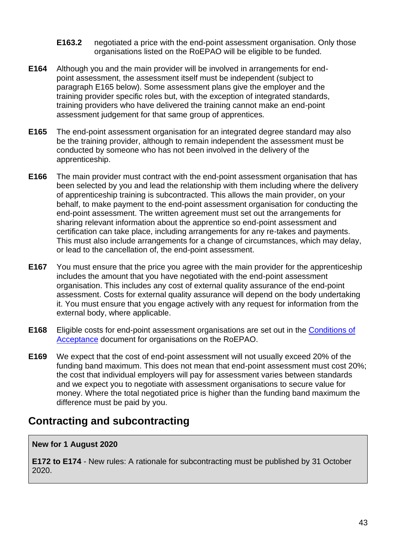- **E163.2** negotiated a price with the end-point assessment organisation. Only those organisations listed on the RoEPAO will be eligible to be funded.
- **E164** Although you and the main provider will be involved in arrangements for endpoint assessment, the assessment itself must be independent (subject to paragraph [E165](#page-43-0) below). Some assessment plans give the employer and the training provider specific roles but, with the exception of integrated standards, training providers who have delivered the training cannot make an end-point assessment judgement for that same group of apprentices.
- <span id="page-43-0"></span>**E165** The end-point assessment organisation for an integrated degree standard may also be the training provider, although to remain independent the assessment must be conducted by someone who has not been involved in the delivery of the apprenticeship.
- **E166** The main provider must contract with the end-point assessment organisation that has been selected by you and lead the relationship with them including where the delivery of apprenticeship training is subcontracted. This allows the main provider, on your behalf, to make payment to the end-point assessment organisation for conducting the end-point assessment. The written agreement must set out the arrangements for sharing relevant information about the apprentice so end-point assessment and certification can take place, including arrangements for any re-takes and payments. This must also include arrangements for a change of circumstances, which may delay, or lead to the cancellation of, the end-point assessment.
- **E167** You must ensure that the price you agree with the main provider for the apprenticeship includes the amount that you have negotiated with the end-point assessment organisation. This includes any cost of external quality assurance of the end-point assessment. Costs for external quality assurance will depend on the body undertaking it. You must ensure that you engage actively with any request for information from the external body, where applicable.
- **E168** Eligible costs for end-point assessment organisations are set out in the [Conditions of](https://www.gov.uk/guidance/conditions-for-being-on-the-register-of-end-point-assessment-organisations)  [Acceptance](https://www.gov.uk/guidance/conditions-for-being-on-the-register-of-end-point-assessment-organisations) document for organisations on the RoEPAO.
- **E169** We expect that the cost of end-point assessment will not usually exceed 20% of the funding band maximum. This does not mean that end-point assessment must cost 20%; the cost that individual employers will pay for assessment varies between standards and we expect you to negotiate with assessment organisations to secure value for money. Where the total negotiated price is higher than the funding band maximum the difference must be paid by you.

# **Contracting and subcontracting**

## **New for 1 August 2020**

**[E172](#page-44-0) to [E174](#page-44-1)** - New rules: A rationale for subcontracting must be published by 31 October 2020.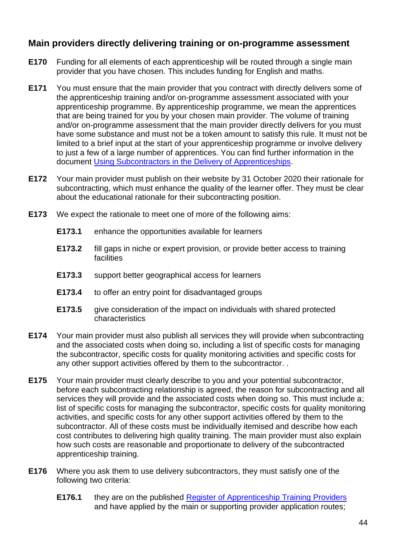## **Main providers directly delivering training or on-programme assessment**

- **E170** Funding for all elements of each apprenticeship will be routed through a single main provider that you have chosen. This includes funding for English and maths.
- **E171** You must ensure that the main provider that you contract with directly delivers some of the apprenticeship training and/or on-programme assessment associated with your apprenticeship programme. By apprenticeship programme, we mean the apprentices that are being trained for you by your chosen main provider. The volume of training and/or on-programme assessment that the main provider directly delivers for you must have some substance and must not be a token amount to satisfy this rule. It must not be limited to a brief input at the start of your apprenticeship programme or involve delivery to just a few of a large number of apprentices. You can find further information in the document [Using Subcontractors in the Delivery of Apprenticeships.](https://www.gov.uk/government/publications/apprenticeships-subcontracting)
- <span id="page-44-0"></span>**E172** Your main provider must publish on their website by 31 October 2020 their rationale for subcontracting, which must enhance the quality of the learner offer. They must be clear about the educational rationale for their subcontracting position.
- **E173** We expect the rationale to meet one of more of the following aims:
	- **E173.1** enhance the opportunities available for learners
	- **E173.2** fill gaps in niche or expert provision, or provide better access to training facilities
	- **E173.3** support better geographical access for learners
	- **E173.4** to offer an entry point for disadvantaged groups
	- **E173.5** give consideration of the impact on individuals with shared protected characteristics
- <span id="page-44-1"></span>**E174** Your main provider must also publish all services they will provide when subcontracting and the associated costs when doing so, including a list of specific costs for managing the subcontractor, specific costs for quality monitoring activities and specific costs for any other support activities offered by them to the subcontractor. .
- **E175** Your main provider must clearly describe to you and your potential subcontractor, before each subcontracting relationship is agreed, the reason for subcontracting and all services they will provide and the associated costs when doing so. This must include a; list of specific costs for managing the subcontractor, specific costs for quality monitoring activities, and specific costs for any other support activities offered by them to the subcontractor. All of these costs must be individually itemised and describe how each cost contributes to delivering high quality training. The main provider must also explain how such costs are reasonable and proportionate to delivery of the subcontracted apprenticeship training.
- **E176** Where you ask them to use delivery subcontractors, they must satisfy one of the following two criteria:
	- **E176.1** they are on the published [Register of Apprenticeship Training Providers](https://www.gov.uk/guidance/register-of-apprenticeship-training-providers) and have applied by the main or supporting provider application routes;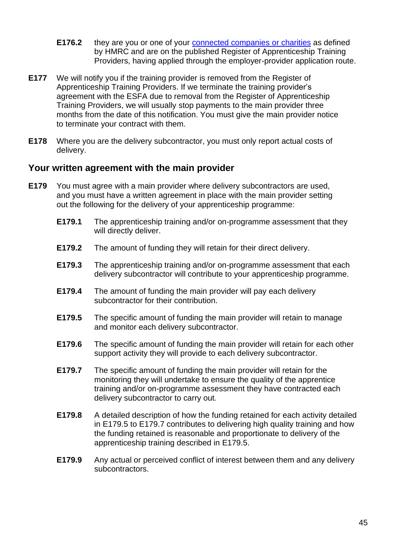- **E176.2** they are you or one of your [connected companies or charities](https://www.gov.uk/hmrc-internal-manuals/apprenticeship-levy/alm11000) as defined by HMRC and are on the published Register of Apprenticeship Training Providers, having applied through the employer-provider application route.
- **E177** We will notify you if the training provider is removed from the Register of Apprenticeship Training Providers. If we terminate the training provider's agreement with the ESFA due to removal from the Register of Apprenticeship Training Providers, we will usually stop payments to the main provider three months from the date of this notification. You must give the main provider notice to terminate your contract with them.
- **E178** Where you are the delivery subcontractor, you must only report actual costs of delivery.

## **Your written agreement with the main provider**

- <span id="page-45-1"></span><span id="page-45-0"></span>**E179** You must agree with a main provider where delivery subcontractors are used, and you must have a written agreement in place with the main provider setting out the following for the delivery of your apprenticeship programme:
	- **E179.1** The apprenticeship training and/or on-programme assessment that they will directly deliver.
	- **E179.2** The amount of funding they will retain for their direct delivery.
	- **E179.3** The apprenticeship training and/or on-programme assessment that each delivery subcontractor will contribute to your apprenticeship programme.
	- **E179.4** The amount of funding the main provider will pay each delivery subcontractor for their contribution.
	- **E179.5** The specific amount of funding the main provider will retain to manage and monitor each delivery subcontractor.
	- **E179.6** The specific amount of funding the main provider will retain for each other support activity they will provide to each delivery subcontractor.
	- **E179.7** The specific amount of funding the main provider will retain for the monitoring they will undertake to ensure the quality of the apprentice training and/or on-programme assessment they have contracted each delivery subcontractor to carry out.
	- **E179.8** A detailed description of how the funding retained for each activity detailed in [E179.5](#page-45-0) to [E179.7](#page-45-1) contributes to delivering high quality training and how the funding retained is reasonable and proportionate to delivery of the apprenticeship training described in [E179.5.](#page-45-0)
	- **E179.9** Any actual or perceived conflict of interest between them and any delivery subcontractors.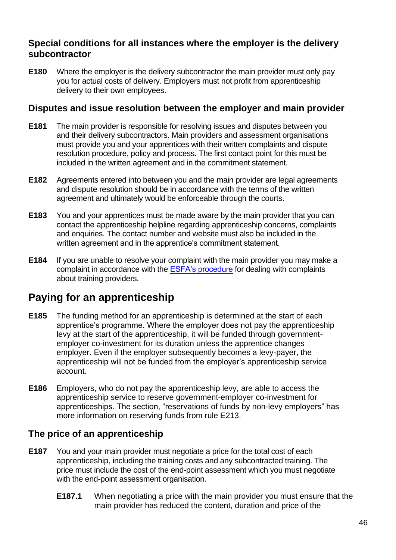# **Special conditions for all instances where the employer is the delivery subcontractor**

**E180** Where the employer is the delivery subcontractor the main provider must only pay you for actual costs of delivery. Employers must not profit from apprenticeship delivery to their own employees.

## **Disputes and issue resolution between the employer and main provider**

- **E181** The main provider is responsible for resolving issues and disputes between you and their delivery subcontractors. Main providers and assessment organisations must provide you and your apprentices with their written complaints and dispute resolution procedure, policy and process. The first contact point for this must be included in the written agreement and in the commitment statement.
- **E182** Agreements entered into between you and the main provider are legal agreements and dispute resolution should be in accordance with the terms of the written agreement and ultimately would be enforceable through the courts.
- **E183** You and your apprentices must be made aware by the main provider that you can contact the apprenticeship helpline regarding apprenticeship concerns, complaints and enquiries. The contact number and website must also be included in the written agreement and in the apprentice's commitment statement.
- **E184** If you are unable to resolve your complaint with the main provider you may make a complaint in accordance with the [ESFA's procedure](https://www.gov.uk/government/publications/complaints-about-post-16-education-and-training-provision-funded-by-esfa/complaints-about-post-16-education-and-training-provision-funded-by-esfa) for dealing with complaints about training providers.

# **Paying for an apprenticeship**

- **E185** The funding method for an apprenticeship is determined at the start of each apprentice's programme. Where the employer does not pay the apprenticeship levy at the start of the apprenticeship, it will be funded through governmentemployer co-investment for its duration unless the apprentice changes employer. Even if the employer subsequently becomes a levy-payer, the apprenticeship will not be funded from the employer's apprenticeship service account.
- **E186** Employers, who do not pay the apprenticeship levy, are able to access the apprenticeship service to reserve government-employer co-investment for apprenticeships. The section, "reservations of funds by non-levy employers" has more information on reserving funds from rule [E213.](#page-50-0)

# **The price of an apprenticeship**

- **E187** You and your main provider must negotiate a price for the total cost of each apprenticeship, including the training costs and any subcontracted training. The price must include the cost of the end-point assessment which you must negotiate with the end-point assessment organisation.
	- **E187.1** When negotiating a price with the main provider you must ensure that the main provider has reduced the content, duration and price of the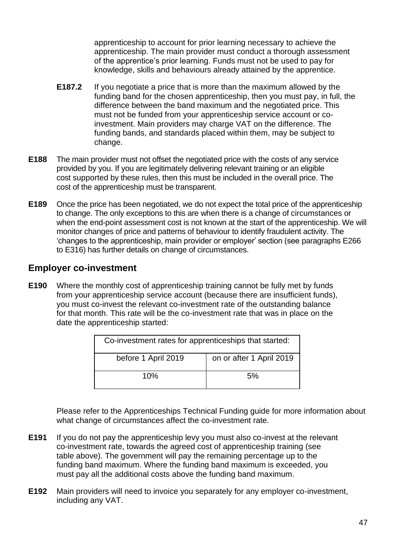apprenticeship to account for prior learning necessary to achieve the apprenticeship. The main provider must conduct a thorough assessment of the apprentice's prior learning. Funds must not be used to pay for knowledge, skills and behaviours already attained by the apprentice.

- **E187.2** If you negotiate a price that is more than the maximum allowed by the funding band for the chosen apprenticeship, then you must pay, in full, the difference between the band maximum and the negotiated price. This must not be funded from your apprenticeship service account or coinvestment. Main providers may charge VAT on the difference. The funding bands, and standards placed within them, may be subject to change.
- **E188** The main provider must not offset the negotiated price with the costs of any service provided by you. If you are legitimately delivering relevant training or an eligible cost supported by these rules, then this must be included in the overall price. The cost of the apprenticeship must be transparent.
- **E189** Once the price has been negotiated, we do not expect the total price of the apprenticeship to change. The only exceptions to this are when there is a change of circumstances or when the end-point assessment cost is not known at the start of the apprenticeship. We will monitor changes of price and patterns of behaviour to identify fraudulent activity. The 'changes to the apprenticeship, main provider or employer' section (see paragraphs [E266](#page-56-0) to [E316\)](#page-74-0) has further details on change of circumstances.

# **Employer co-investment**

<span id="page-47-0"></span>**E190** Where the monthly cost of apprenticeship training cannot be fully met by funds from your apprenticeship service account (because there are insufficient funds), you must co-invest the relevant co-investment rate of the outstanding balance for that month. This rate will be the co-investment rate that was in place on the date the apprenticeship started:

| Co-investment rates for apprenticeships that started: |                          |
|-------------------------------------------------------|--------------------------|
| before 1 April 2019                                   | on or after 1 April 2019 |
| 10%                                                   | 5%                       |

Please refer to the Apprenticeships Technical Funding guide for more information about what change of circumstances affect the co-investment rate.

- **E191** If you do not pay the apprenticeship levy you must also co-invest at the relevant co-investment rate, towards the agreed cost of apprenticeship training (see table above). The government will pay the remaining percentage up to the funding band maximum. Where the funding band maximum is exceeded, you must pay all the additional costs above the funding band maximum.
- **E192** Main providers will need to invoice you separately for any employer co-investment, including any VAT.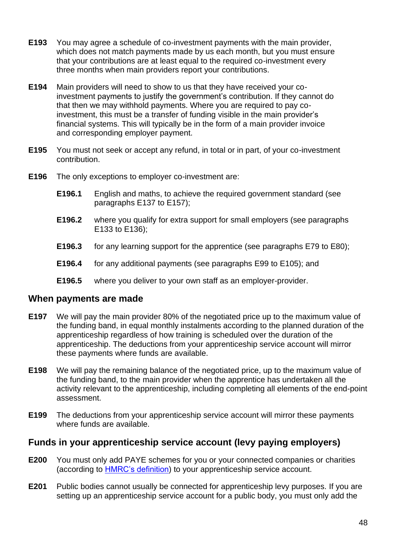- **E193** You may agree a schedule of co-investment payments with the main provider, which does not match payments made by us each month, but you must ensure that your contributions are at least equal to the required co-investment every three months when main providers report your contributions.
- **E194** Main providers will need to show to us that they have received your coinvestment payments to justify the government's contribution. If they cannot do that then we may withhold payments. Where you are required to pay coinvestment, this must be a transfer of funding visible in the main provider's financial systems. This will typically be in the form of a main provider invoice and corresponding employer payment.
- **E195** You must not seek or accept any refund, in total or in part, of your co-investment contribution.
- **E196** The only exceptions to employer co-investment are:
	- **E196.1** English and maths, to achieve the required government standard (see paragraphs [E137](#page-36-2) to [E157\)](#page-40-0);
	- **E196.2** where you qualify for extra support for small employers (see paragraphs [E133](#page-35-0) to [E136\)](#page-36-3);
	- **E196.3** for any learning support for the apprentice (see paragraphs [E79](#page-24-0) to [E80\)](#page-24-1);
	- **E196.4** for any additional payments (see paragraphs [E99](#page-29-0) to [E105\)](#page-30-0); and
	- **E196.5** where you deliver to your own staff as an employer-provider.

## **When payments are made**

- **E197** We will pay the main provider 80% of the negotiated price up to the maximum value of the funding band, in equal monthly instalments according to the planned duration of the apprenticeship regardless of how training is scheduled over the duration of the apprenticeship. The deductions from your apprenticeship service account will mirror these payments where funds are available.
- **E198** We will pay the remaining balance of the negotiated price, up to the maximum value of the funding band, to the main provider when the apprentice has undertaken all the activity relevant to the apprenticeship, including completing all elements of the end-point assessment.
- <span id="page-48-0"></span>**E199** The deductions from your apprenticeship service account will mirror these payments where funds are available.

## **Funds in your apprenticeship service account (levy paying employers)**

- **E200** You must only add PAYE schemes for you or your connected companies or charities (according to [HMRC's definition](https://www.gov.uk/hmrc-internal-manuals/apprenticeship-levy/alm11000)) to your apprenticeship service account.
- **E201** Public bodies cannot usually be connected for apprenticeship levy purposes. If you are setting up an apprenticeship service account for a public body, you must only add the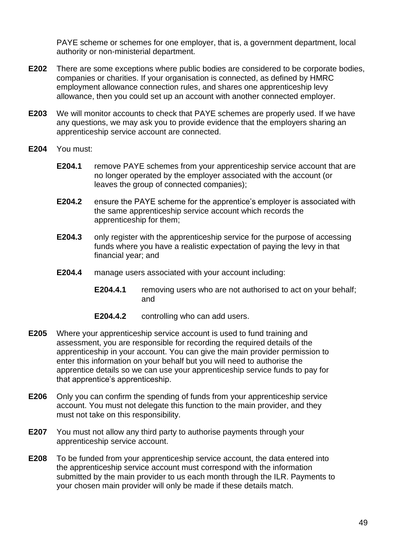PAYE scheme or schemes for one employer, that is, a government department, local authority or non-ministerial department.

- **E202** There are some exceptions where public bodies are considered to be corporate bodies, companies or charities. If your organisation is connected, as defined by HMRC employment allowance connection rules, and shares one apprenticeship levy allowance, then you could set up an account with another connected employer.
- **E203** We will monitor accounts to check that PAYE schemes are properly used. If we have any questions, we may ask you to provide evidence that the employers sharing an apprenticeship service account are connected.
- **E204** You must:
	- **E204.1** remove PAYE schemes from your apprenticeship service account that are no longer operated by the employer associated with the account (or leaves the group of connected companies);
	- **E204.2** ensure the PAYE scheme for the apprentice's employer is associated with the same apprenticeship service account which records the apprenticeship for them;
	- **E204.3** only register with the apprenticeship service for the purpose of accessing funds where you have a realistic expectation of paying the levy in that financial year; and
	- **E204.4** manage users associated with your account including:
		- **E204.4.1** removing users who are not authorised to act on your behalf; and
		- **E204.4.2** controlling who can add users.
- **E205** Where your apprenticeship service account is used to fund training and assessment, you are responsible for recording the required details of the apprenticeship in your account. You can give the main provider permission to enter this information on your behalf but you will need to authorise the apprentice details so we can use your apprenticeship service funds to pay for that apprentice's apprenticeship.
- **E206** Only you can confirm the spending of funds from your apprenticeship service account. You must not delegate this function to the main provider, and they must not take on this responsibility.
- **E207** You must not allow any third party to authorise payments through your apprenticeship service account.
- **E208** To be funded from your apprenticeship service account, the data entered into the apprenticeship service account must correspond with the information submitted by the main provider to us each month through the ILR. Payments to your chosen main provider will only be made if these details match.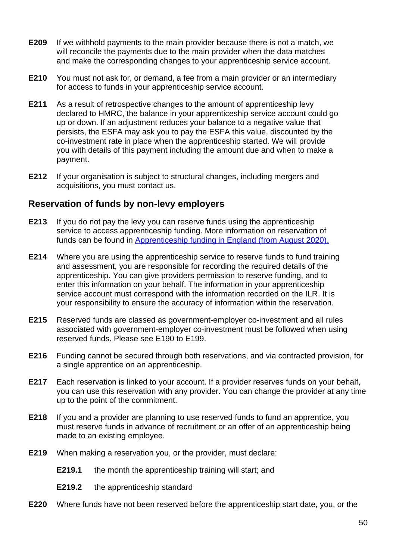- **E209** If we withhold payments to the main provider because there is not a match, we will reconcile the payments due to the main provider when the data matches and make the corresponding changes to your apprenticeship service account.
- **E210** You must not ask for, or demand, a fee from a main provider or an intermediary for access to funds in your apprenticeship service account.
- **E211** As a result of retrospective changes to the amount of apprenticeship levy declared to HMRC, the balance in your apprenticeship service account could go up or down. If an adjustment reduces your balance to a negative value that persists, the ESFA may ask you to pay the ESFA this value, discounted by the co-investment rate in place when the apprenticeship started. We will provide you with details of this payment including the amount due and when to make a payment.
- **E212** If your organisation is subject to structural changes, including mergers and acquisitions, you must contact us.

# **Reservation of funds by non-levy employers**

- <span id="page-50-0"></span>**E213** If you do not pay the levy you can reserve funds using the apprenticeship service to access apprenticeship funding. More information on reservation of funds can be found in [Apprenticeship funding in England \(from August 2020\).](https://www.gov.uk/government/publications/apprenticeship-funding)
- **E214** Where you are using the apprenticeship service to reserve funds to fund training and assessment, you are responsible for recording the required details of the apprenticeship. You can give providers permission to reserve funding, and to enter this information on your behalf. The information in your apprenticeship service account must correspond with the information recorded on the ILR. It is your responsibility to ensure the accuracy of information within the reservation.
- **E215** Reserved funds are classed as government-employer co-investment and all rules associated with government-employer co-investment must be followed when using reserved funds. Please see [E190](#page-47-0) to [E199.](#page-48-0)
- **E216** Funding cannot be secured through both reservations, and via contracted provision, for a single apprentice on an apprenticeship.
- **E217** Each reservation is linked to your account. If a provider reserves funds on your behalf, you can use this reservation with any provider. You can change the provider at any time up to the point of the commitment.
- **E218** If you and a provider are planning to use reserved funds to fund an apprentice, you must reserve funds in advance of recruitment or an offer of an apprenticeship being made to an existing employee.
- **E219** When making a reservation you, or the provider, must declare:
	- **E219.1** the month the apprenticeship training will start; and
	- **E219.2** the apprenticeship standard
- **E220** Where funds have not been reserved before the apprenticeship start date, you, or the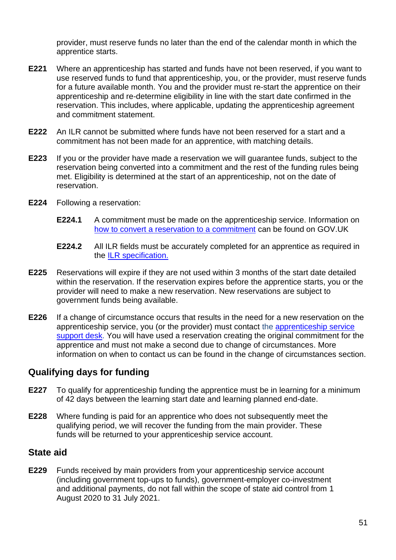provider, must reserve funds no later than the end of the calendar month in which the apprentice starts.

- **E221** Where an apprenticeship has started and funds have not been reserved, if you want to use reserved funds to fund that apprenticeship, you, or the provider, must reserve funds for a future available month. You and the provider must re-start the apprentice on their apprenticeship and re-determine eligibility in line with the start date confirmed in the reservation. This includes, where applicable, updating the apprenticeship agreement and commitment statement.
- **E222** An ILR cannot be submitted where funds have not been reserved for a start and a commitment has not been made for an apprentice, with matching details.
- **E223** If you or the provider have made a reservation we will guarantee funds, subject to the reservation being converted into a commitment and the rest of the funding rules being met. Eligibility is determined at the start of an apprenticeship, not on the date of reservation.
- **E224** Following a reservation:
	- **E224.1** A commitment must be made on the apprenticeship service. Information on [how to convert a reservation to a commitment](https://www.gov.uk/guidance/manage-apprenticeship-funds) can be found on GOV.UK
	- **E224.2** All ILR fields must be accurately completed for an apprentice as required in the [ILR specification.](https://www.gov.uk/government/publications/ilr-specification-validation-rules-and-appendices-2019-to-2020)
- **E225** Reservations will expire if they are not used within 3 months of the start date detailed within the reservation. If the reservation expires before the apprentice starts, you or the provider will need to make a new reservation. New reservations are subject to government funds being available.
- **E226** If a change of circumstance occurs that results in the need for a new reservation on the apprenticeship service, you (or the provider) must contact the [apprenticeship service](mailto:helpdesk@manage-apprenticeships.service.gov.uk)  [support desk.](mailto:helpdesk@manage-apprenticeships.service.gov.uk) You will have used a reservation creating the original commitment for the apprentice and must not make a second due to change of circumstances. More information on when to contact us can be found in the change of circumstances section.

# **Qualifying days for funding**

- **E227** To qualify for apprenticeship funding the apprentice must be in learning for a minimum of 42 days between the learning start date and learning planned end-date.
- **E228** Where funding is paid for an apprentice who does not subsequently meet the qualifying period, we will recover the funding from the main provider. These funds will be returned to your apprenticeship service account.

## **State aid**

**E229** Funds received by main providers from your apprenticeship service account (including government top-ups to funds), government-employer co-investment and additional payments, do not fall within the scope of state aid control from 1 August 2020 to 31 July 2021.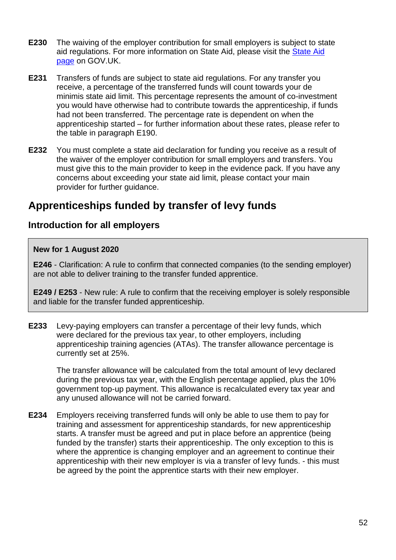- **E230** The waiving of the employer contribution for small employers is subject to state aid regulations. For more information on State Aid, please visit the [State Aid](https://www.gov.uk/guidance/state-aid)  [page](https://www.gov.uk/guidance/state-aid) on GOV.UK.
- **E231** Transfers of funds are subject to state aid regulations. For any transfer you receive, a percentage of the transferred funds will count towards your de minimis state aid limit. This percentage represents the amount of co-investment you would have otherwise had to contribute towards the apprenticeship, if funds had not been transferred. The percentage rate is dependent on when the apprenticeship started – for further information about these rates, please refer to the table in paragraph [E190.](#page-47-0)
- **E232** You must complete a state aid declaration for funding you receive as a result of the waiver of the employer contribution for small employers and transfers. You must give this to the main provider to keep in the evidence pack. If you have any concerns about exceeding your state aid limit, please contact your main provider for further guidance.

# **Apprenticeships funded by transfer of levy funds**

# **Introduction for all employers**

## **New for 1 August 2020**

**[E246](#page-53-0)** - Clarification: A rule to confirm that connected companies (to the sending employer) are not able to deliver training to the transfer funded apprentice.

**[E249](#page-54-0) / [E253](#page-54-1)** - New rule: A rule to confirm that the receiving employer is solely responsible and liable for the transfer funded apprenticeship.

**E233** Levy-paying employers can transfer a percentage of their levy funds, which were declared for the previous tax year, to other employers, including apprenticeship training agencies (ATAs). The transfer allowance percentage is currently set at 25%.

The transfer allowance will be calculated from the total amount of levy declared during the previous tax year, with the English percentage applied, plus the 10% government top-up payment. This allowance is recalculated every tax year and any unused allowance will not be carried forward.

**E234** Employers receiving transferred funds will only be able to use them to pay for training and assessment for apprenticeship standards, for new apprenticeship starts. A transfer must be agreed and put in place before an apprentice (being funded by the transfer) starts their apprenticeship. The only exception to this is where the apprentice is changing employer and an agreement to continue their apprenticeship with their new employer is via a transfer of levy funds. - this must be agreed by the point the apprentice starts with their new employer.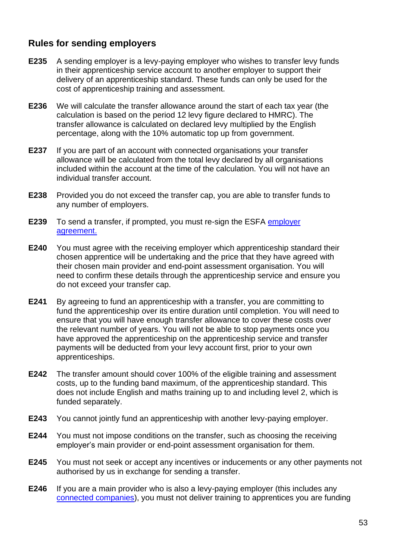# **Rules for sending employers**

- **E235** A sending employer is a levy-paying employer who wishes to transfer levy funds in their apprenticeship service account to another employer to support their delivery of an apprenticeship standard. These funds can only be used for the cost of apprenticeship training and assessment.
- **E236** We will calculate the transfer allowance around the start of each tax year (the calculation is based on the period 12 levy figure declared to HMRC). The transfer allowance is calculated on declared levy multiplied by the English percentage, along with the 10% automatic top up from government.
- **E237** If you are part of an account with connected organisations your transfer allowance will be calculated from the total levy declared by all organisations included within the account at the time of the calculation. You will not have an individual transfer account.
- **E238** Provided you do not exceed the transfer cap, you are able to transfer funds to any number of employers.
- **E239** To send a transfer, if prompted, you must re-sign the ESFA [employer](https://www.gov.uk/government/publications/apprenticeship-funding-legal-agreement-to-enable-spending)  [agreement.](https://www.gov.uk/government/publications/apprenticeship-funding-legal-agreement-to-enable-spending)
- **E240** You must agree with the receiving employer which apprenticeship standard their chosen apprentice will be undertaking and the price that they have agreed with their chosen main provider and end-point assessment organisation. You will need to confirm these details through the apprenticeship service and ensure you do not exceed your transfer cap.
- **E241** By agreeing to fund an apprenticeship with a transfer, you are committing to fund the apprenticeship over its entire duration until completion. You will need to ensure that you will have enough transfer allowance to cover these costs over the relevant number of years. You will not be able to stop payments once you have approved the apprenticeship on the apprenticeship service and transfer payments will be deducted from your levy account first, prior to your own apprenticeships.
- **E242** The transfer amount should cover 100% of the eligible training and assessment costs, up to the funding band maximum, of the apprenticeship standard. This does not include English and maths training up to and including level 2, which is funded separately.
- **E243** You cannot jointly fund an apprenticeship with another levy-paying employer.
- **E244** You must not impose conditions on the transfer, such as choosing the receiving employer's main provider or end-point assessment organisation for them.
- **E245** You must not seek or accept any incentives or inducements or any other payments not authorised by us in exchange for sending a transfer.
- <span id="page-53-0"></span>**E246** If you are a main provider who is also a levy-paying employer (this includes any [connected companies\)](https://www.gov.uk/hmrc-internal-manuals/apprenticeship-levy/alm11000), you must not deliver training to apprentices you are funding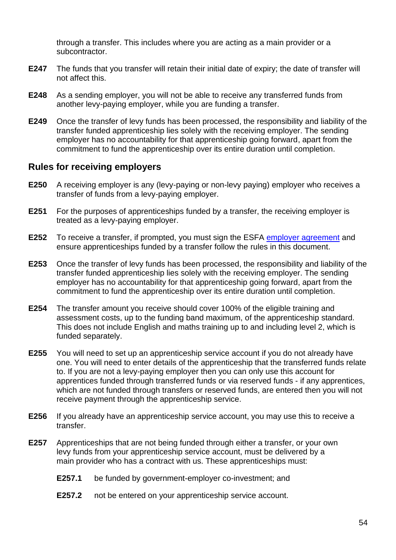through a transfer. This includes where you are acting as a main provider or a subcontractor.

- **E247** The funds that you transfer will retain their initial date of expiry; the date of transfer will not affect this.
- **E248** As a sending employer, you will not be able to receive any transferred funds from another levy-paying employer, while you are funding a transfer.
- <span id="page-54-0"></span>**E249** Once the transfer of levy funds has been processed, the responsibility and liability of the transfer funded apprenticeship lies solely with the receiving employer. The sending employer has no accountability for that apprenticeship going forward, apart from the commitment to fund the apprenticeship over its entire duration until completion.

## **Rules for receiving employers**

- **E250** A receiving employer is any (levy-paying or non-levy paying) employer who receives a transfer of funds from a levy-paying employer.
- **E251** For the purposes of apprenticeships funded by a transfer, the receiving employer is treated as a levy-paying employer.
- **E252** To receive a transfer, if prompted, you must sign the ESFA [employer agreement](https://www.gov.uk/government/publications/apprenticeship-funding-legal-agreement-to-enable-spending) and ensure apprenticeships funded by a transfer follow the rules in this document.
- <span id="page-54-1"></span>**E253** Once the transfer of levy funds has been processed, the responsibility and liability of the transfer funded apprenticeship lies solely with the receiving employer. The sending employer has no accountability for that apprenticeship going forward, apart from the commitment to fund the apprenticeship over its entire duration until completion.
- **E254** The transfer amount you receive should cover 100% of the eligible training and assessment costs, up to the funding band maximum, of the apprenticeship standard. This does not include English and maths training up to and including level 2, which is funded separately.
- **E255** You will need to set up an apprenticeship service account if you do not already have one. You will need to enter details of the apprenticeship that the transferred funds relate to. If you are not a levy-paying employer then you can only use this account for apprentices funded through transferred funds or via reserved funds - if any apprentices, which are not funded through transfers or reserved funds, are entered then you will not receive payment through the apprenticeship service.
- **E256** If you already have an apprenticeship service account, you may use this to receive a transfer.
- **E257** Apprenticeships that are not being funded through either a transfer, or your own levy funds from your apprenticeship service account, must be delivered by a main provider who has a contract with us. These apprenticeships must:
	- **E257.1** be funded by government-employer co-investment; and
	- **E257.2** not be entered on your apprenticeship service account.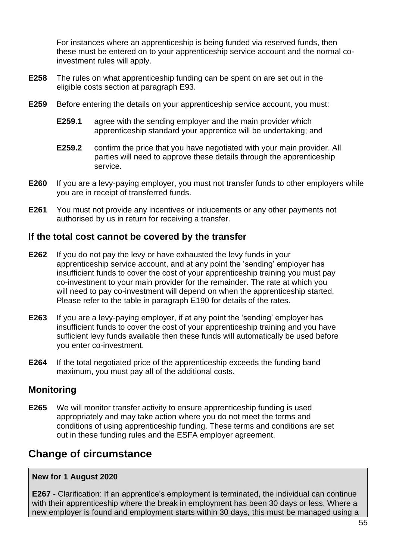For instances where an apprenticeship is being funded via reserved funds, then these must be entered on to your apprenticeship service account and the normal coinvestment rules will apply.

- **E258** The rules on what apprenticeship funding can be spent on are set out in the eligible costs section at paragraph [E93.](#page-25-0)
- **E259** Before entering the details on your apprenticeship service account, you must:
	- **E259.1** agree with the sending employer and the main provider which apprenticeship standard your apprentice will be undertaking; and
	- **E259.2** confirm the price that you have negotiated with your main provider. All parties will need to approve these details through the apprenticeship service.
- **E260** If you are a levy-paying employer, you must not transfer funds to other employers while you are in receipt of transferred funds.
- **E261** You must not provide any incentives or inducements or any other payments not authorised by us in return for receiving a transfer.

## **If the total cost cannot be covered by the transfer**

- **E262** If you do not pay the levy or have exhausted the levy funds in your apprenticeship service account, and at any point the 'sending' employer has insufficient funds to cover the cost of your apprenticeship training you must pay co-investment to your main provider for the remainder. The rate at which you will need to pay co-investment will depend on when the apprenticeship started. Please refer to the table in paragraph [E190](#page-47-0) for details of the rates.
- **E263** If you are a levy-paying employer, if at any point the 'sending' employer has insufficient funds to cover the cost of your apprenticeship training and you have sufficient levy funds available then these funds will automatically be used before you enter co-investment.
- **E264** If the total negotiated price of the apprenticeship exceeds the funding band maximum, you must pay all of the additional costs.

# **Monitoring**

**E265** We will monitor transfer activity to ensure apprenticeship funding is used appropriately and may take action where you do not meet the terms and conditions of using apprenticeship funding. These terms and conditions are set out in these funding rules and the ESFA employer agreement.

# **Change of circumstance**

## **New for 1 August 2020**

**[E267](#page-56-1)** - Clarification: If an apprentice's employment is terminated, the individual can continue with their apprenticeship where the break in employment has been 30 days or less. Where a new employer is found and employment starts within 30 days, this must be managed using a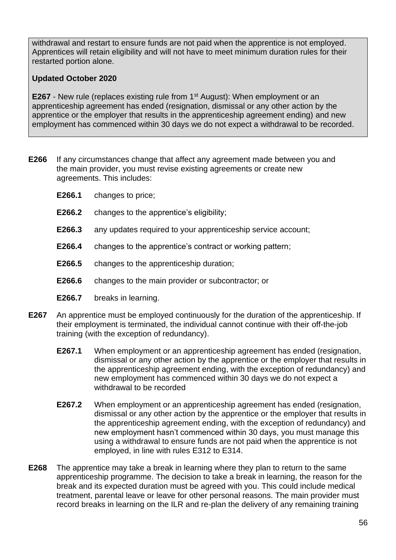withdrawal and restart to ensure funds are not paid when the apprentice is not employed. Apprentices will retain eligibility and will not have to meet minimum duration rules for their restarted portion alone.

## **Updated October 2020**

**[E267](#page-56-1)** - New rule (replaces existing rule from 1<sup>st</sup> August): When employment or an apprenticeship agreement has ended (resignation, dismissal or any other action by the apprentice or the employer that results in the apprenticeship agreement ending) and new employment has commenced within 30 days we do not expect a withdrawal to be recorded.

- <span id="page-56-0"></span>**E266** If any circumstances change that affect any agreement made between you and the main provider, you must revise existing agreements or create new agreements. This includes:
	- **E266.1** changes to price;
	- **E266.2** changes to the apprentice's eligibility;
	- **E266.3** any updates required to your apprenticeship service account;
	- **E266.4** changes to the apprentice's contract or working pattern;
	- **E266.5** changes to the apprenticeship duration;
	- **E266.6** changes to the main provider or subcontractor; or
	- **E266.7** breaks in learning.
- <span id="page-56-1"></span>**E267** An apprentice must be employed continuously for the duration of the apprenticeship. If their employment is terminated, the individual cannot continue with their off-the-job training (with the exception of redundancy).
	- **E267.1** When employment or an apprenticeship agreement has ended (resignation, dismissal or any other action by the apprentice or the employer that results in the apprenticeship agreement ending, with the exception of redundancy) and new employment has commenced within 30 days we do not expect a withdrawal to be recorded
	- **E267.2** When employment or an apprenticeship agreement has ended (resignation, dismissal or any other action by the apprentice or the employer that results in the apprenticeship agreement ending, with the exception of redundancy) and new employment hasn't commenced within 30 days, you must manage this using a withdrawal to ensure funds are not paid when the apprentice is not employed, in line with rules [E312](#page-73-0) to [E314.](#page-73-1)
- **E268** The apprentice may take a break in learning where they plan to return to the same apprenticeship programme. The decision to take a break in learning, the reason for the break and its expected duration must be agreed with you. This could include medical treatment, parental leave or leave for other personal reasons. The main provider must record breaks in learning on the ILR and re-plan the delivery of any remaining training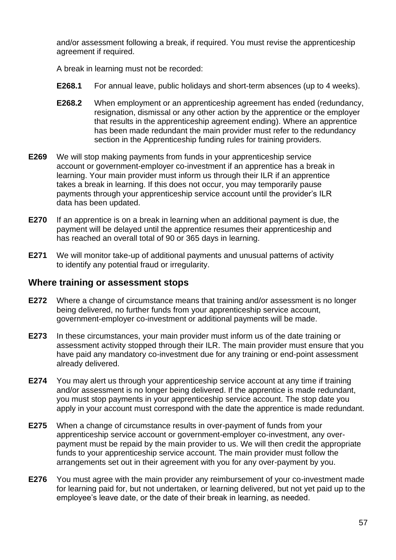and/or assessment following a break, if required. You must revise the apprenticeship agreement if required.

A break in learning must not be recorded:

- **E268.1** For annual leave, public holidays and short-term absences (up to 4 weeks).
- **E268.2** When employment or an apprenticeship agreement has ended (redundancy, resignation, dismissal or any other action by the apprentice or the employer that results in the apprenticeship agreement ending). Where an apprentice has been made redundant the main provider must refer to the redundancy section in the Apprenticeship funding rules for training providers.
- **E269** We will stop making payments from funds in your apprenticeship service account or government-employer co-investment if an apprentice has a break in learning. Your main provider must inform us through their ILR if an apprentice takes a break in learning. If this does not occur, you may temporarily pause payments through your apprenticeship service account until the provider's ILR data has been updated.
- **E270** If an apprentice is on a break in learning when an additional payment is due, the payment will be delayed until the apprentice resumes their apprenticeship and has reached an overall total of 90 or 365 days in learning.
- **E271** We will monitor take-up of additional payments and unusual patterns of activity to identify any potential fraud or irregularity.

## **Where training or assessment stops**

- **E272** Where a change of circumstance means that training and/or assessment is no longer being delivered, no further funds from your apprenticeship service account, government-employer co-investment or additional payments will be made.
- **E273** In these circumstances, your main provider must inform us of the date training or assessment activity stopped through their ILR. The main provider must ensure that you have paid any mandatory co-investment due for any training or end-point assessment already delivered.
- **E274** You may alert us through your apprenticeship service account at any time if training and/or assessment is no longer being delivered. If the apprentice is made redundant, you must stop payments in your apprenticeship service account. The stop date you apply in your account must correspond with the date the apprentice is made redundant.
- **E275** When a change of circumstance results in over-payment of funds from your apprenticeship service account or government-employer co-investment, any overpayment must be repaid by the main provider to us. We will then credit the appropriate funds to your apprenticeship service account. The main provider must follow the arrangements set out in their agreement with you for any over-payment by you.
- **E276** You must agree with the main provider any reimbursement of your co-investment made for learning paid for, but not undertaken, or learning delivered, but not yet paid up to the employee's leave date, or the date of their break in learning, as needed.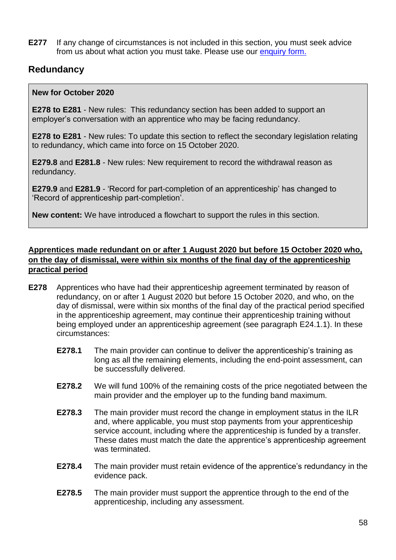**E277** If any change of circumstances is not included in this section, you must seek advice from us about what action you must take. Please use our [enquiry form.](https://form.education.gov.uk/en/AchieveForms/?form_uri=sandbox-publish://AF-Process-f9f4f5a1-936f-448b-bbeb-9dcdd595f468/AF-Stage-8aa41278-3cdd-45a3-ad87-80cbffb8b992/definition.json&redirectlink=%2Fen&cancelRedirectLink=%2Fen)

# **Redundancy**

#### **New for October 2020**

**[E278](#page-58-0) to [E281](#page-61-0)** - New rules: This redundancy section has been added to support an employer's conversation with an apprentice who may be facing redundancy.

**[E278](#page-58-0) to [E281](#page-61-0)** - New rules: To update this section to reflect the secondary legislation relating to redundancy, which came into force on 15 October 2020.

**[E279.8](#page-59-0)** and **[E281.8](#page-61-1)** - New rules: New requirement to record the withdrawal reason as redundancy.

**[E279.9](#page-60-0)** and **[E281.9](#page-61-2)** - 'Record for part-completion of an apprenticeship' has changed to 'Record of apprenticeship part-completion'.

**New content:** We have introduced a flowchart to support the rules in this section.

## **Apprentices made redundant on or after 1 August 2020 but before 15 October 2020 who, on the day of dismissal, were within six months of the final day of the apprenticeship practical period**

- <span id="page-58-1"></span><span id="page-58-0"></span>**E278** Apprentices who have had their apprenticeship agreement terminated by reason of redundancy, on or after 1 August 2020 but before 15 October 2020, and who, on the day of dismissal, were within six months of the final day of the practical period specified in the apprenticeship agreement, may continue their apprenticeship training without being employed under an apprenticeship agreement (see paragraph [E24.1.1\)](#page-9-0). In these circumstances:
	- **E278.1** The main provider can continue to deliver the apprenticeship's training as long as all the remaining elements, including the end-point assessment, can be successfully delivered.
	- **E278.2** We will fund 100% of the remaining costs of the price negotiated between the main provider and the employer up to the funding band maximum.
	- **E278.3** The main provider must record the change in employment status in the ILR and, where applicable, you must stop payments from your apprenticeship service account, including where the apprenticeship is funded by a transfer. These dates must match the date the apprentice's apprenticeship agreement was terminated.
	- **E278.4** The main provider must retain evidence of the apprentice's redundancy in the evidence pack.
	- **E278.5** The main provider must support the apprentice through to the end of the apprenticeship, including any assessment.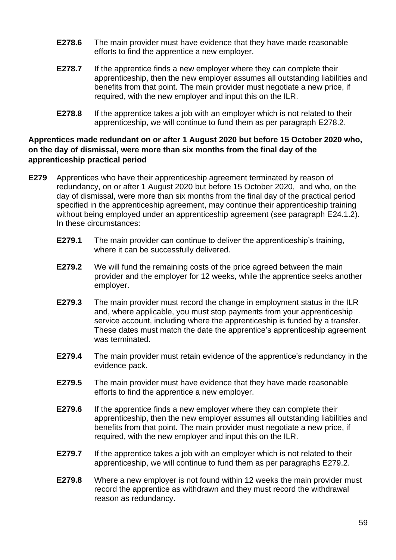- **E278.6** The main provider must have evidence that they have made reasonable efforts to find the apprentice a new employer.
- **E278.7** If the apprentice finds a new employer where they can complete their apprenticeship, then the new employer assumes all outstanding liabilities and benefits from that point. The main provider must negotiate a new price, if required, with the new employer and input this on the ILR.
- **E278.8** If the apprentice takes a job with an employer which is not related to their apprenticeship, we will continue to fund them as per paragraph [E278.2.](#page-58-1)

## **Apprentices made redundant on or after 1 August 2020 but before 15 October 2020 who, on the day of dismissal, were more than six months from the final day of the apprenticeship practical period**

- <span id="page-59-1"></span><span id="page-59-0"></span>**E279** Apprentices who have their apprenticeship agreement terminated by reason of redundancy, on or after 1 August 2020 but before 15 October 2020, and who, on the day of dismissal, were more than six months from the final day of the practical period specified in the apprenticeship agreement, may continue their apprenticeship training without being employed under an apprenticeship agreement (see paragraph [E24.1.2\)](#page-10-0). In these circumstances:
	- **E279.1** The main provider can continue to deliver the apprenticeship's training, where it can be successfully delivered.
	- **E279.2** We will fund the remaining costs of the price agreed between the main provider and the employer for 12 weeks, while the apprentice seeks another employer.
	- **E279.3** The main provider must record the change in employment status in the ILR and, where applicable, you must stop payments from your apprenticeship service account, including where the apprenticeship is funded by a transfer. These dates must match the date the apprentice's apprenticeship agreement was terminated.
	- **E279.4** The main provider must retain evidence of the apprentice's redundancy in the evidence pack.
	- **E279.5** The main provider must have evidence that they have made reasonable efforts to find the apprentice a new employer.
	- **E279.6** If the apprentice finds a new employer where they can complete their apprenticeship, then the new employer assumes all outstanding liabilities and benefits from that point. The main provider must negotiate a new price, if required, with the new employer and input this on the ILR.
	- **E279.7** If the apprentice takes a job with an employer which is not related to their apprenticeship, we will continue to fund them as per paragraphs [E279.2.](#page-59-1)
	- **E279.8** Where a new employer is not found within 12 weeks the main provider must record the apprentice as withdrawn and they must record the withdrawal reason as redundancy.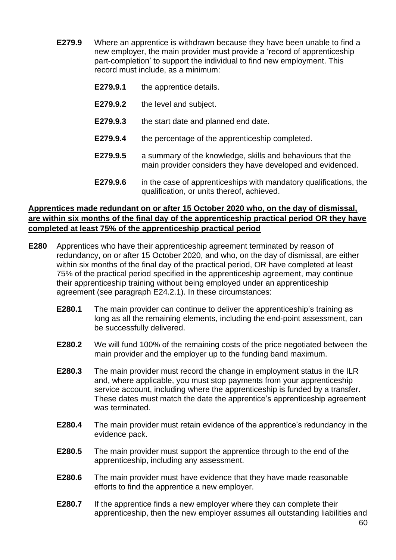- <span id="page-60-0"></span>**E279.9** Where an apprentice is withdrawn because they have been unable to find a new employer, the main provider must provide a 'record of apprenticeship part-completion' to support the individual to find new employment. This record must include, as a minimum:
	- **E279.9.1** the apprentice details.
	- **E279.9.2** the level and subject.
	- **E279.9.3** the start date and planned end date.
	- **E279.9.4** the percentage of the apprenticeship completed.
	- **E279.9.5** a summary of the knowledge, skills and behaviours that the main provider considers they have developed and evidenced.
	- **E279.9.6** in the case of apprenticeships with mandatory qualifications, the qualification, or units thereof, achieved.

#### **Apprentices made redundant on or after 15 October 2020 who, on the day of dismissal, are within six months of the final day of the apprenticeship practical period OR they have completed at least 75% of the apprenticeship practical period**

- <span id="page-60-1"></span>**E280** Apprentices who have their apprenticeship agreement terminated by reason of redundancy, on or after 15 October 2020, and who, on the day of dismissal, are either within six months of the final day of the practical period, OR have completed at least 75% of the practical period specified in the apprenticeship agreement, may continue their apprenticeship training without being employed under an apprenticeship agreement (see paragraph [E24.2.1\)](#page-10-1). In these circumstances:
	- **E280.1** The main provider can continue to deliver the apprenticeship's training as long as all the remaining elements, including the end-point assessment, can be successfully delivered.
	- **E280.2** We will fund 100% of the remaining costs of the price negotiated between the main provider and the employer up to the funding band maximum.
	- **E280.3** The main provider must record the change in employment status in the ILR and, where applicable, you must stop payments from your apprenticeship service account, including where the apprenticeship is funded by a transfer. These dates must match the date the apprentice's apprenticeship agreement was terminated.
	- **E280.4** The main provider must retain evidence of the apprentice's redundancy in the evidence pack.
	- **E280.5** The main provider must support the apprentice through to the end of the apprenticeship, including any assessment.
	- **E280.6** The main provider must have evidence that they have made reasonable efforts to find the apprentice a new employer.
	- **E280.7** If the apprentice finds a new employer where they can complete their apprenticeship, then the new employer assumes all outstanding liabilities and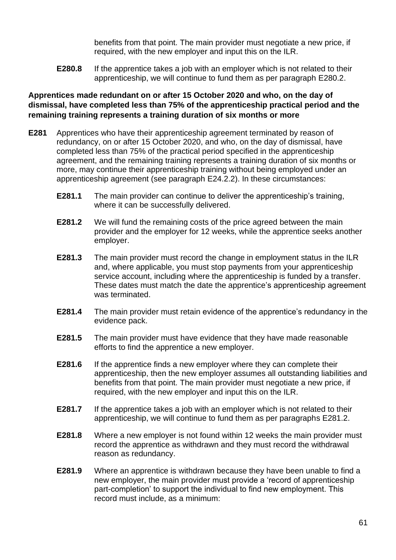benefits from that point. The main provider must negotiate a new price, if required, with the new employer and input this on the ILR.

**E280.8** If the apprentice takes a job with an employer which is not related to their apprenticeship, we will continue to fund them as per paragraph [E280.2.](#page-60-1)

## **Apprentices made redundant on or after 15 October 2020 and who, on the day of dismissal, have completed less than 75% of the apprenticeship practical period and the remaining training represents a training duration of six months or more**

- <span id="page-61-3"></span><span id="page-61-2"></span><span id="page-61-1"></span><span id="page-61-0"></span>**E281** Apprentices who have their apprenticeship agreement terminated by reason of redundancy, on or after 15 October 2020, and who, on the day of dismissal, have completed less than 75% of the practical period specified in the apprenticeship agreement, and the remaining training represents a training duration of six months or more, may continue their apprenticeship training without being employed under an apprenticeship agreement (see paragraph [E24.2.2\)](#page-10-2). In these circumstances:
	- **E281.1** The main provider can continue to deliver the apprenticeship's training, where it can be successfully delivered.
	- **E281.2** We will fund the remaining costs of the price agreed between the main provider and the employer for 12 weeks, while the apprentice seeks another employer.
	- **E281.3** The main provider must record the change in employment status in the ILR and, where applicable, you must stop payments from your apprenticeship service account, including where the apprenticeship is funded by a transfer. These dates must match the date the apprentice's apprenticeship agreement was terminated.
	- **E281.4** The main provider must retain evidence of the apprentice's redundancy in the evidence pack.
	- **E281.5** The main provider must have evidence that they have made reasonable efforts to find the apprentice a new employer.
	- **E281.6** If the apprentice finds a new employer where they can complete their apprenticeship, then the new employer assumes all outstanding liabilities and benefits from that point. The main provider must negotiate a new price, if required, with the new employer and input this on the ILR.
	- **E281.7** If the apprentice takes a job with an employer which is not related to their apprenticeship, we will continue to fund them as per paragraphs [E281.2.](#page-61-3)
	- **E281.8** Where a new employer is not found within 12 weeks the main provider must record the apprentice as withdrawn and they must record the withdrawal reason as redundancy.
	- **E281.9** Where an apprentice is withdrawn because they have been unable to find a new employer, the main provider must provide a 'record of apprenticeship part-completion' to support the individual to find new employment. This record must include, as a minimum: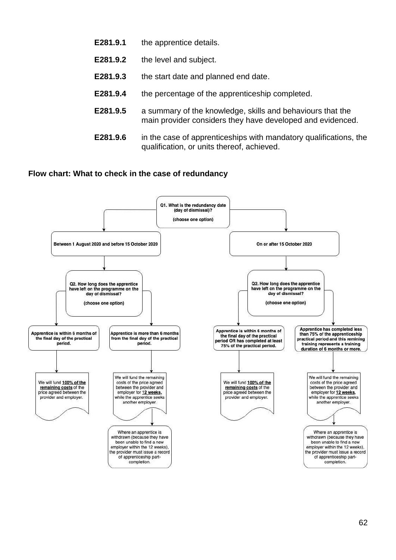- **E281.9.1** the apprentice details.
- **E281.9.2** the level and subject.
- **E281.9.3** the start date and planned end date.
- **E281.9.4** the percentage of the apprenticeship completed.
- **E281.9.5** a summary of the knowledge, skills and behaviours that the main provider considers they have developed and evidenced.
- **E281.9.6** in the case of apprenticeships with mandatory qualifications, the qualification, or units thereof, achieved.

#### **Flow chart: What to check in the case of redundancy**

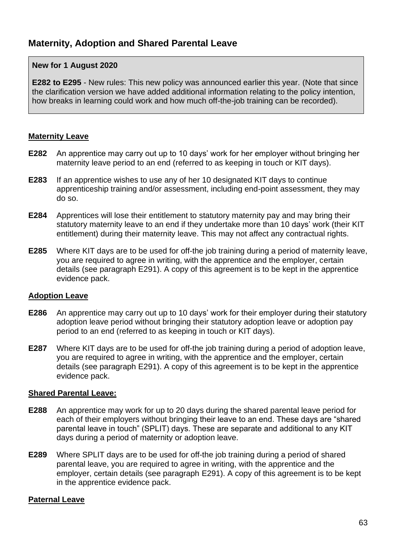### **New for 1 August 2020**

**[E282](#page-63-0) to [E295](#page-65-0)** - New rules: This new policy was announced earlier this year. (Note that since the clarification version we have added additional information relating to the policy intention, how breaks in learning could work and how much off-the-job training can be recorded).

#### **Maternity Leave**

- <span id="page-63-0"></span>**E282** An apprentice may carry out up to 10 days' work for her employer without bringing her maternity leave period to an end (referred to as keeping in touch or KIT days).
- **E283** If an apprentice wishes to use any of her 10 designated KIT days to continue apprenticeship training and/or assessment, including end-point assessment, they may do so.
- **E284** Apprentices will lose their entitlement to statutory maternity pay and may bring their statutory maternity leave to an end if they undertake more than 10 days' work (their KIT entitlement) during their maternity leave. This may not affect any contractual rights.
- **E285** Where KIT days are to be used for off-the job training during a period of maternity leave, you are required to agree in writing, with the apprentice and the employer, certain details (see paragraph [E291\)](#page-64-0). A copy of this agreement is to be kept in the apprentice evidence pack.

#### **Adoption Leave**

- **E286** An apprentice may carry out up to 10 days' work for their employer during their statutory adoption leave period without bringing their statutory adoption leave or adoption pay period to an end (referred to as keeping in touch or KIT days).
- **E287** Where KIT days are to be used for off-the job training during a period of adoption leave, you are required to agree in writing, with the apprentice and the employer, certain details (see paragraph [E291\)](#page-64-0). A copy of this agreement is to be kept in the apprentice evidence pack.

#### **Shared Parental Leave:**

- **E288** An apprentice may work for up to 20 days during the shared parental leave period for each of their employers without bringing their leave to an end. These days are "shared parental leave in touch" (SPLIT) days. These are separate and additional to any KIT days during a period of maternity or adoption leave.
- **E289** Where SPLIT days are to be used for off-the job training during a period of shared parental leave, you are required to agree in writing, with the apprentice and the employer, certain details (see paragraph [E291\)](#page-64-0). A copy of this agreement is to be kept in the apprentice evidence pack.

#### **Paternal Leave**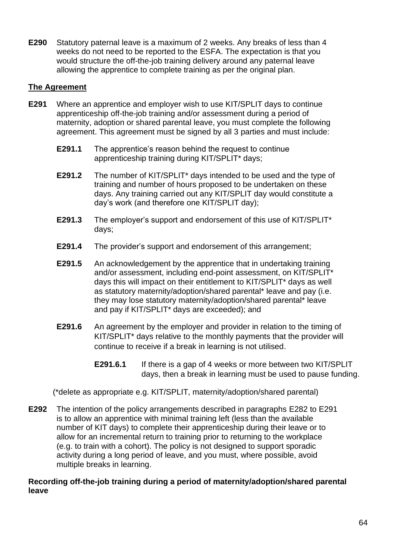**E290** Statutory paternal leave is a maximum of 2 weeks. Any breaks of less than 4 weeks do not need to be reported to the ESFA. The expectation is that you would structure the off-the-job training delivery around any paternal leave allowing the apprentice to complete training as per the original plan.

#### **The Agreement**

- <span id="page-64-0"></span>**E291** Where an apprentice and employer wish to use KIT/SPLIT days to continue apprenticeship off-the-job training and/or assessment during a period of maternity, adoption or shared parental leave, you must complete the following agreement. This agreement must be signed by all 3 parties and must include:
	- **E291.1** The apprentice's reason behind the request to continue apprenticeship training during KIT/SPLIT\* days;
	- **E291.2** The number of KIT/SPLIT\* days intended to be used and the type of training and number of hours proposed to be undertaken on these days. Any training carried out any KIT/SPLIT day would constitute a day's work (and therefore one KIT/SPLIT day);
	- **E291.3** The employer's support and endorsement of this use of KIT/SPLIT\* days;
	- **E291.4** The provider's support and endorsement of this arrangement;
	- **E291.5** An acknowledgement by the apprentice that in undertaking training and/or assessment, including end-point assessment, on KIT/SPLIT\* days this will impact on their entitlement to KIT/SPLIT\* days as well as statutory maternity/adoption/shared parental\* leave and pay (i.e. they may lose statutory maternity/adoption/shared parental\* leave and pay if KIT/SPLIT\* days are exceeded); and
	- **E291.6** An agreement by the employer and provider in relation to the timing of KIT/SPLIT\* days relative to the monthly payments that the provider will continue to receive if a break in learning is not utilised.
		- **E291.6.1** If there is a gap of 4 weeks or more between two KIT/SPLIT days, then a break in learning must be used to pause funding.

(\*delete as appropriate e.g. KIT/SPLIT, maternity/adoption/shared parental)

**E292** The intention of the policy arrangements described in paragraphs [E282](#page-63-0) to [E291](#page-64-0) is to allow an apprentice with minimal training left (less than the available number of KIT days) to complete their apprenticeship during their leave or to allow for an incremental return to training prior to returning to the workplace (e.g. to train with a cohort). The policy is not designed to support sporadic activity during a long period of leave, and you must, where possible, avoid multiple breaks in learning.

#### **Recording off-the-job training during a period of maternity/adoption/shared parental leave**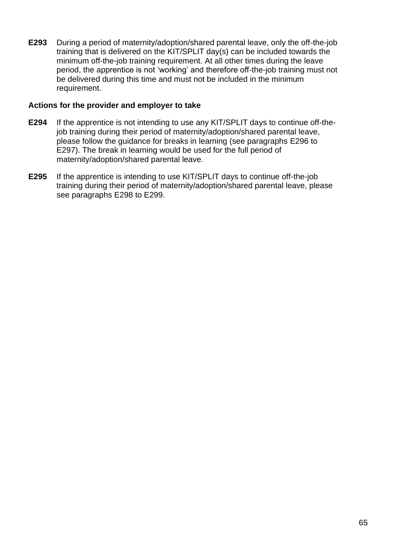**E293** During a period of maternity/adoption/shared parental leave, only the off-the-job training that is delivered on the KIT/SPLIT day(s) can be included towards the minimum off-the-job training requirement. At all other times during the leave period, the apprentice is not 'working' and therefore off-the-job training must not be delivered during this time and must not be included in the minimum requirement.

#### **Actions for the provider and employer to take**

- **E294** If the apprentice is not intending to use any KIT/SPLIT days to continue off-thejob training during their period of maternity/adoption/shared parental leave, please follow the guidance for breaks in learning (see paragraphs [E296](#page-67-0) to [E297\)](#page-67-1). The break in learning would be used for the full period of maternity/adoption/shared parental leave.
- <span id="page-65-0"></span>**E295** If the apprentice is intending to use KIT/SPLIT days to continue off-the-job training during their period of maternity/adoption/shared parental leave, please see paragraphs [E298](#page-68-0) to [E299.](#page-68-1)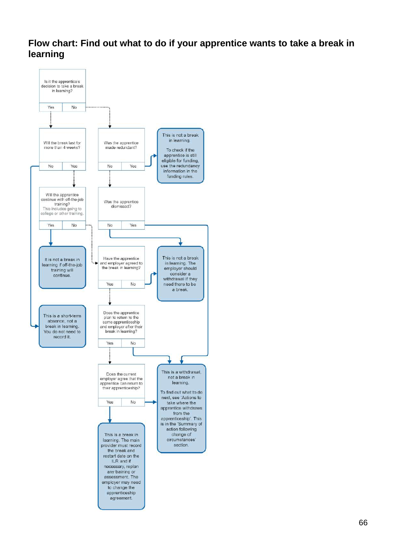# **Flow chart: Find out what to do if your apprentice wants to take a break in learning**

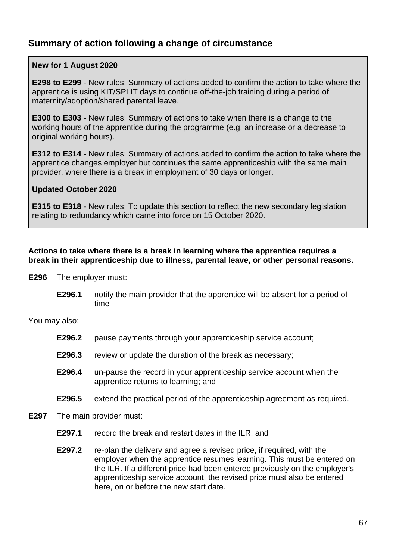# **Summary of action following a change of circumstance**

### **New for 1 August 2020**

**[E298](#page-68-0) to [E299](#page-68-1)** - New rules: Summary of actions added to confirm the action to take where the apprentice is using KIT/SPLIT days to continue off-the-job training during a period of maternity/adoption/shared parental leave.

**[E300](#page-69-0) to [E303](#page-69-1)** - New rules: Summary of actions to take when there is a change to the working hours of the apprentice during the programme (e.g. an increase or a decrease to original working hours).

**[E312](#page-73-0) to [E314](#page-73-1)** - New rules: Summary of actions added to confirm the action to take where the apprentice changes employer but continues the same apprenticeship with the same main provider, where there is a break in employment of 30 days or longer.

#### **Updated October 2020**

**[E315](#page-74-1) to [E318](#page-75-0)** - New rules: To update this section to reflect the new secondary legislation relating to redundancy which came into force on 15 October 2020.

#### **Actions to take where there is a break in learning where the apprentice requires a break in their apprenticeship due to illness, parental leave, or other personal reasons.**

- <span id="page-67-0"></span>**E296** The employer must:
	- **E296.1** notify the main provider that the apprentice will be absent for a period of time

You may also:

- **E296.2** pause payments through your apprenticeship service account;
- **E296.3** review or update the duration of the break as necessary;
- **E296.4** un-pause the record in your apprenticeship service account when the apprentice returns to learning; and
- **E296.5** extend the practical period of the apprenticeship agreement as required.
- <span id="page-67-1"></span>**E297** The main provider must:
	- **E297.1** record the break and restart dates in the ILR; and
	- **E297.2** re-plan the delivery and agree a revised price, if required, with the employer when the apprentice resumes learning. This must be entered on the ILR. If a different price had been entered previously on the employer's apprenticeship service account, the revised price must also be entered here, on or before the new start date.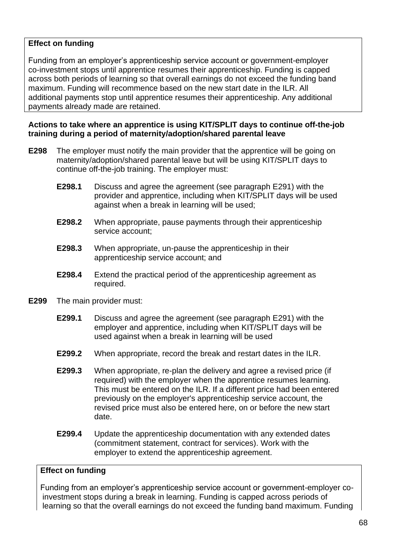## **Effect on funding**

Funding from an employer's apprenticeship service account or government-employer co-investment stops until apprentice resumes their apprenticeship. Funding is capped across both periods of learning so that overall earnings do not exceed the funding band maximum. Funding will recommence based on the new start date in the ILR. All additional payments stop until apprentice resumes their apprenticeship. Any additional payments already made are retained.

## **Actions to take where an apprentice is using KIT/SPLIT days to continue off-the-job training during a period of maternity/adoption/shared parental leave**

- <span id="page-68-0"></span>**E298** The employer must notify the main provider that the apprentice will be going on maternity/adoption/shared parental leave but will be using KIT/SPLIT days to continue off-the-job training. The employer must:
	- **E298.1** Discuss and agree the agreement (see paragraph [E291\)](#page-64-0) with the provider and apprentice, including when KIT/SPLIT days will be used against when a break in learning will be used;
	- **E298.2** When appropriate, pause payments through their apprenticeship service account;
	- **E298.3** When appropriate, un-pause the apprenticeship in their apprenticeship service account; and
	- **E298.4** Extend the practical period of the apprenticeship agreement as required.
- <span id="page-68-1"></span>**E299** The main provider must:
	- **E299.1** Discuss and agree the agreement (see paragraph [E291\)](#page-64-0) with the employer and apprentice, including when KIT/SPLIT days will be used against when a break in learning will be used
	- **E299.2** When appropriate, record the break and restart dates in the ILR.
	- **E299.3** When appropriate, re-plan the delivery and agree a revised price (if required) with the employer when the apprentice resumes learning. This must be entered on the ILR. If a different price had been entered previously on the employer's apprenticeship service account, the revised price must also be entered here, on or before the new start date.
	- **E299.4** Update the apprenticeship documentation with any extended dates (commitment statement, contract for services). Work with the employer to extend the apprenticeship agreement.

## **Effect on funding**

Funding from an employer's apprenticeship service account or government-employer coinvestment stops during a break in learning. Funding is capped across periods of learning so that the overall earnings do not exceed the funding band maximum. Funding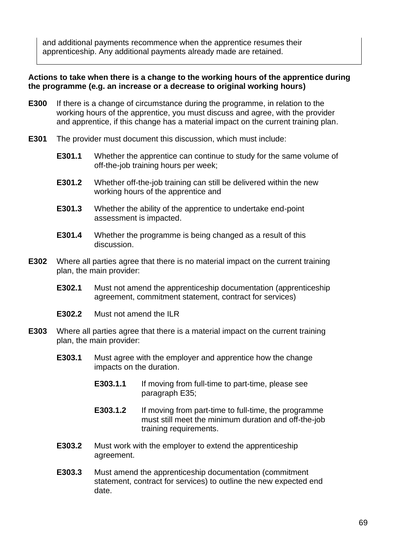and additional payments recommence when the apprentice resumes their apprenticeship. Any additional payments already made are retained.

#### **Actions to take when there is a change to the working hours of the apprentice during the programme (e.g. an increase or a decrease to original working hours)**

- <span id="page-69-0"></span>**E300** If there is a change of circumstance during the programme, in relation to the working hours of the apprentice, you must discuss and agree, with the provider and apprentice, if this change has a material impact on the current training plan.
- **E301** The provider must document this discussion, which must include:
	- **E301.1** Whether the apprentice can continue to study for the same volume of off-the-job training hours per week;
	- **E301.2** Whether off-the-job training can still be delivered within the new working hours of the apprentice and
	- **E301.3** Whether the ability of the apprentice to undertake end-point assessment is impacted.
	- **E301.4** Whether the programme is being changed as a result of this discussion.
- **E302** Where all parties agree that there is no material impact on the current training plan, the main provider:
	- **E302.1** Must not amend the apprenticeship documentation (apprenticeship agreement, commitment statement, contract for services)
	- **E302.2** Must not amend the ILR
- <span id="page-69-1"></span>**E303** Where all parties agree that there is a material impact on the current training plan, the main provider:
	- **E303.1** Must agree with the employer and apprentice how the change impacts on the duration.
		- **E303.1.1** If moving from full-time to part-time, please see paragraph [E35;](#page-12-0)
		- **E303.1.2** If moving from part-time to full-time, the programme must still meet the minimum duration and off-the-job training requirements.
	- **E303.2** Must work with the employer to extend the apprenticeship agreement.
	- **E303.3** Must amend the apprenticeship documentation (commitment statement, contract for services) to outline the new expected end date.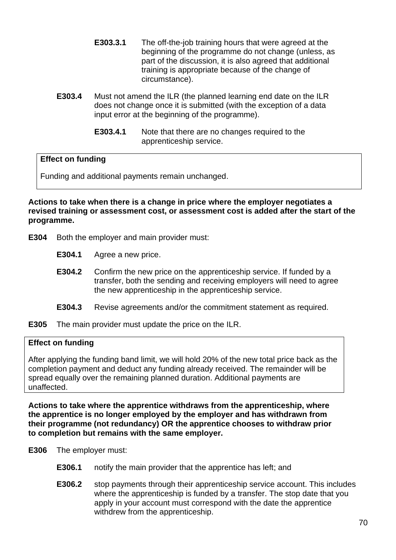- **E303.3.1** The off-the-job training hours that were agreed at the beginning of the programme do not change (unless, as part of the discussion, it is also agreed that additional training is appropriate because of the change of circumstance).
- **E303.4** Must not amend the ILR (the planned learning end date on the ILR does not change once it is submitted (with the exception of a data input error at the beginning of the programme).
	- **E303.4.1** Note that there are no changes required to the apprenticeship service.

## **Effect on funding**

Funding and additional payments remain unchanged.

**Actions to take when there is a change in price where the employer negotiates a revised training or assessment cost, or assessment cost is added after the start of the programme.** 

- **E304** Both the employer and main provider must:
	- **E304.1** Agree a new price.
	- **E304.2** Confirm the new price on the apprenticeship service. If funded by a transfer, both the sending and receiving employers will need to agree the new apprenticeship in the apprenticeship service.
	- **E304.3** Revise agreements and/or the commitment statement as required.

**E305** The main provider must update the price on the ILR.

## **Effect on funding**

After applying the funding band limit, we will hold 20% of the new total price back as the completion payment and deduct any funding already received. The remainder will be spread equally over the remaining planned duration. Additional payments are unaffected.

**Actions to take where the apprentice withdraws from the apprenticeship, where the apprentice is no longer employed by the employer and has withdrawn from their programme (not redundancy) OR the apprentice chooses to withdraw prior to completion but remains with the same employer.**

- **E306** The employer must:
	- **E306.1** notify the main provider that the apprentice has left; and
	- **E306.2** stop payments through their apprenticeship service account. This includes where the apprenticeship is funded by a transfer. The stop date that you apply in your account must correspond with the date the apprentice withdrew from the apprenticeship.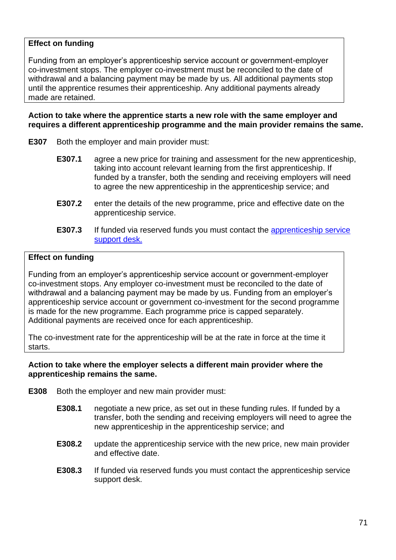## **Effect on funding**

Funding from an employer's apprenticeship service account or government-employer co-investment stops. The employer co-investment must be reconciled to the date of withdrawal and a balancing payment may be made by us. All additional payments stop until the apprentice resumes their apprenticeship. Any additional payments already made are retained.

#### **Action to take where the apprentice starts a new role with the same employer and requires a different apprenticeship programme and the main provider remains the same.**

- **E307** Both the employer and main provider must:
	- **E307.1** agree a new price for training and assessment for the new apprenticeship, taking into account relevant learning from the first apprenticeship. If funded by a transfer, both the sending and receiving employers will need to agree the new apprenticeship in the apprenticeship service; and
	- **E307.2** enter the details of the new programme, price and effective date on the apprenticeship service.
	- **E307.3** If funded via reserved funds you must contact the apprenticeship service [support desk.](mailto:helpdesk@manage-apprenticeships.service.gov.uk)

#### **Effect on funding**

Funding from an employer's apprenticeship service account or government-employer co-investment stops. Any employer co-investment must be reconciled to the date of withdrawal and a balancing payment may be made by us. Funding from an employer's apprenticeship service account or government co-investment for the second programme is made for the new programme. Each programme price is capped separately. Additional payments are received once for each apprenticeship.

The co-investment rate for the apprenticeship will be at the rate in force at the time it starts.

#### **Action to take where the employer selects a different main provider where the apprenticeship remains the same.**

- **E308** Both the employer and new main provider must:
	- **E308.1** negotiate a new price, as set out in these funding rules. If funded by a transfer, both the sending and receiving employers will need to agree the new apprenticeship in the apprenticeship service; and
	- **E308.2** update the apprenticeship service with the new price, new main provider and effective date.
	- **E308.3** If funded via reserved funds you must contact the apprenticeship service support desk.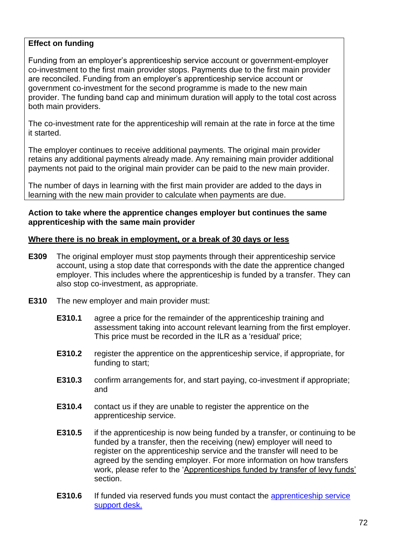#### **Effect on funding**

Funding from an employer's apprenticeship service account or government-employer co-investment to the first main provider stops. Payments due to the first main provider are reconciled. Funding from an employer's apprenticeship service account or government co-investment for the second programme is made to the new main provider. The funding band cap and minimum duration will apply to the total cost across both main providers.

The co-investment rate for the apprenticeship will remain at the rate in force at the time it started.

The employer continues to receive additional payments. The original main provider retains any additional payments already made. Any remaining main provider additional payments not paid to the original main provider can be paid to the new main provider.

The number of days in learning with the first main provider are added to the days in learning with the new main provider to calculate when payments are due.

#### **Action to take where the apprentice changes employer but continues the same apprenticeship with the same main provider**

#### **Where there is no break in employment, or a break of 30 days or less**

- **E309** The original employer must stop payments through their apprenticeship service account, using a stop date that corresponds with the date the apprentice changed employer. This includes where the apprenticeship is funded by a transfer. They can also stop co-investment, as appropriate.
- **E310** The new employer and main provider must:
	- **E310.1** agree a price for the remainder of the apprenticeship training and assessment taking into account relevant learning from the first employer. This price must be recorded in the ILR as a 'residual' price;
	- **E310.2** register the apprentice on the apprenticeship service, if appropriate, for funding to start;
	- **E310.3** confirm arrangements for, and start paying, co-investment if appropriate; and
	- **E310.4** contact us if they are unable to register the apprentice on the apprenticeship service.
	- **E310.5** if the apprenticeship is now being funded by a transfer, or continuing to be funded by a transfer, then the receiving (new) employer will need to register on the apprenticeship service and the transfer will need to be agreed by the sending employer. For more information on how transfers work, please refer to the ['Apprenticeships funded by transfer of levy funds'](#page-52-0) section.
	- **E310.6** If funded via reserved funds you must contact the [apprenticeship service](mailto:helpdesk@manage-apprenticeships.service.gov.uk) [support desk.](mailto:helpdesk@manage-apprenticeships.service.gov.uk)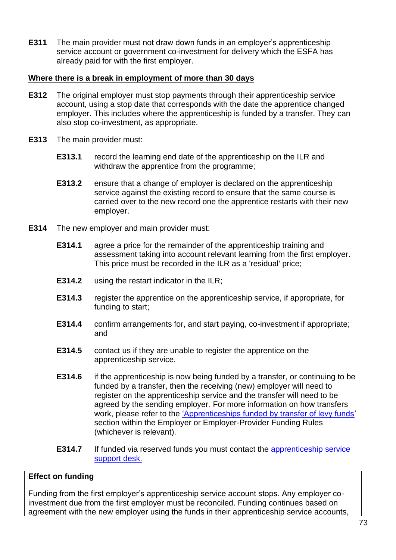**E311** The main provider must not draw down funds in an employer's apprenticeship service account or government co-investment for delivery which the ESFA has already paid for with the first employer.

#### **Where there is a break in employment of more than 30 days**

- **E312** The original employer must stop payments through their apprenticeship service account, using a stop date that corresponds with the date the apprentice changed employer. This includes where the apprenticeship is funded by a transfer. They can also stop co-investment, as appropriate.
- **E313** The main provider must:
	- **E313.1** record the learning end date of the apprenticeship on the ILR and withdraw the apprentice from the programme;
	- **E313.2** ensure that a change of employer is declared on the apprenticeship service against the existing record to ensure that the same course is carried over to the new record one the apprentice restarts with their new employer.
- **E314** The new employer and main provider must:
	- **E314.1** agree a price for the remainder of the apprenticeship training and assessment taking into account relevant learning from the first employer. This price must be recorded in the ILR as a 'residual' price;
	- **E314.2** using the restart indicator in the ILR;
	- **E314.3** register the apprentice on the apprenticeship service, if appropriate, for funding to start;
	- **E314.4** confirm arrangements for, and start paying, co-investment if appropriate; and
	- **E314.5** contact us if they are unable to register the apprentice on the apprenticeship service.
	- **E314.6** if the apprenticeship is now being funded by a transfer, or continuing to be funded by a transfer, then the receiving (new) employer will need to register on the apprenticeship service and the transfer will need to be agreed by the sending employer. For more information on how transfers work, please refer to the ['Apprenticeships funded by transfer of levy funds'](#page-52-0) section within the Employer or Employer-Provider Funding Rules (whichever is relevant).
	- **E314.7** If funded via reserved funds you must contact the apprenticeship service [support desk.](mailto:helpdesk@manage-apprenticeships.service.gov.uk)

#### **Effect on funding**

Funding from the first employer's apprenticeship service account stops. Any employer coinvestment due from the first employer must be reconciled. Funding continues based on agreement with the new employer using the funds in their apprenticeship service accounts,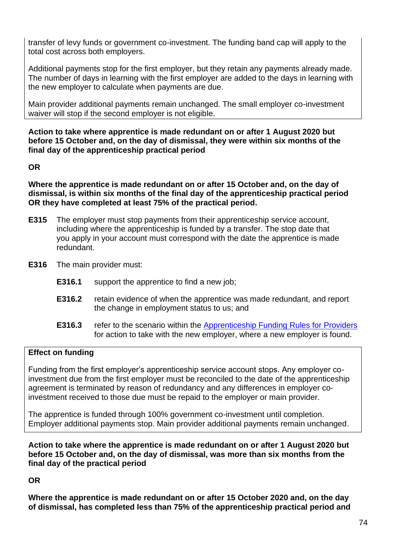transfer of levy funds or government co-investment. The funding band cap will apply to the total cost across both employers.

Additional payments stop for the first employer, but they retain any payments already made. The number of days in learning with the first employer are added to the days in learning with the new employer to calculate when payments are due.

Main provider additional payments remain unchanged. The small employer co-investment waiver will stop if the second employer is not eligible.

**Action to take where apprentice is made redundant on or after 1 August 2020 but before 15 October and, on the day of dismissal, they were within six months of the final day of the apprenticeship practical period** 

**OR** 

**Where the apprentice is made redundant on or after 15 October and, on the day of dismissal, is within six months of the final day of the apprenticeship practical period OR they have completed at least 75% of the practical period.**

- **E315** The employer must stop payments from their apprenticeship service account, including where the apprenticeship is funded by a transfer. The stop date that you apply in your account must correspond with the date the apprentice is made redundant.
- **E316** The main provider must:
	- **E316.1** support the apprentice to find a new job;
	- **E316.2** retain evidence of when the apprentice was made redundant, and report the change in employment status to us; and
	- **E316.3** refer to the scenario within the [Apprenticeship Funding Rules for Providers](https://www.gov.uk/guidance/apprenticeship-funding-rules) for action to take with the new employer, where a new employer is found.

#### **Effect on funding**

Funding from the first employer's apprenticeship service account stops. Any employer coinvestment due from the first employer must be reconciled to the date of the apprenticeship agreement is terminated by reason of redundancy and any differences in employer coinvestment received to those due must be repaid to the employer or main provider.

The apprentice is funded through 100% government co-investment until completion. Employer additional payments stop. Main provider additional payments remain unchanged.

**Action to take where the apprentice is made redundant on or after 1 August 2020 but before 15 October and, on the day of dismissal, was more than six months from the final day of the practical period** 

**OR** 

**Where the apprentice is made redundant on or after 15 October 2020 and, on the day of dismissal, has completed less than 75% of the apprenticeship practical period and**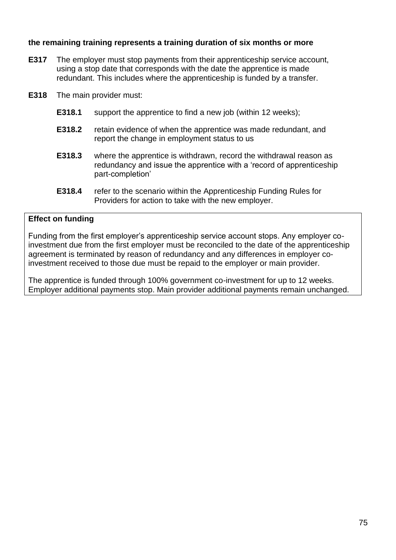#### **the remaining training represents a training duration of six months or more**

- **E317** The employer must stop payments from their apprenticeship service account, using a stop date that corresponds with the date the apprentice is made redundant. This includes where the apprenticeship is funded by a transfer.
- **E318** The main provider must:
	- **E318.1** support the apprentice to find a new job (within 12 weeks);
	- **E318.2** retain evidence of when the apprentice was made redundant, and report the change in employment status to us
	- **E318.3** where the apprentice is withdrawn, record the withdrawal reason as redundancy and issue the apprentice with a 'record of apprenticeship part-completion'
	- **E318.4** refer to the scenario within the Apprenticeship Funding Rules for Providers for action to take with the new employer.

#### **Effect on funding**

Funding from the first employer's apprenticeship service account stops. Any employer coinvestment due from the first employer must be reconciled to the date of the apprenticeship agreement is terminated by reason of redundancy and any differences in employer coinvestment received to those due must be repaid to the employer or main provider.

The apprentice is funded through 100% government co-investment for up to 12 weeks. Employer additional payments stop. Main provider additional payments remain unchanged.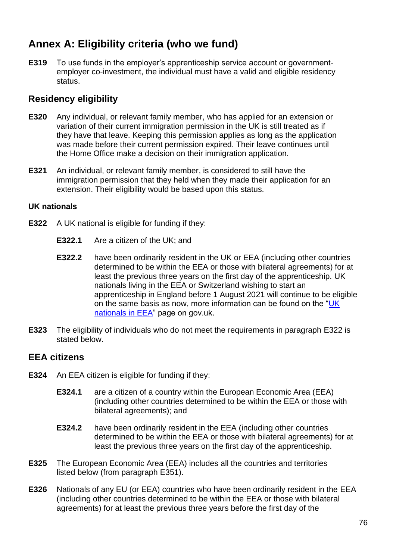# **Annex A: Eligibility criteria (who we fund)**

**E319** To use funds in the employer's apprenticeship service account or governmentemployer co-investment, the individual must have a valid and eligible residency status.

## **Residency eligibility**

- **E320** Any individual, or relevant family member, who has applied for an extension or variation of their current immigration permission in the UK is still treated as if they have that leave. Keeping this permission applies as long as the application was made before their current permission expired. Their leave continues until the Home Office make a decision on their immigration application.
- **E321** An individual, or relevant family member, is considered to still have the immigration permission that they held when they made their application for an extension. Their eligibility would be based upon this status.

### **UK nationals**

- <span id="page-76-0"></span>**E322** A UK national is eligible for funding if they:
	- **E322.1** Are a citizen of the UK; and
	- **E322.2** have been ordinarily resident in the UK or EEA (including other countries determined to be within the EEA or those with bilateral agreements) for at least the previous three years on the first day of the apprenticeship. UK nationals living in the EEA or Switzerland wishing to start an apprenticeship in England before 1 August 2021 will continue to be eligible on the same basis as now, more information can be found on the "UK [nationals in EEA](https://www.gov.uk/guidance/uk-nationals-in-the-eea-and-switzerland-access-to-apprenticeships)" page on gov.uk.
- **E323** The eligibility of individuals who do not meet the requirements in paragraph [E322](#page-76-0) is stated below.

## **EEA citizens**

- <span id="page-76-1"></span>**E324** An EEA citizen is eligible for funding if they:
	- **E324.1** are a citizen of a country within the European Economic Area (EEA) (including other countries determined to be within the EEA or those with bilateral agreements); and
	- **E324.2** have been ordinarily resident in the EEA (including other countries determined to be within the EEA or those with bilateral agreements) for at least the previous three years on the first day of the apprenticeship.
- **E325** The European Economic Area (EEA) includes all the countries and territories listed below (from paragraph [E351\)](#page-81-0).
- **E326** Nationals of any EU (or EEA) countries who have been ordinarily resident in the EEA (including other countries determined to be within the EEA or those with bilateral agreements) for at least the previous three years before the first day of the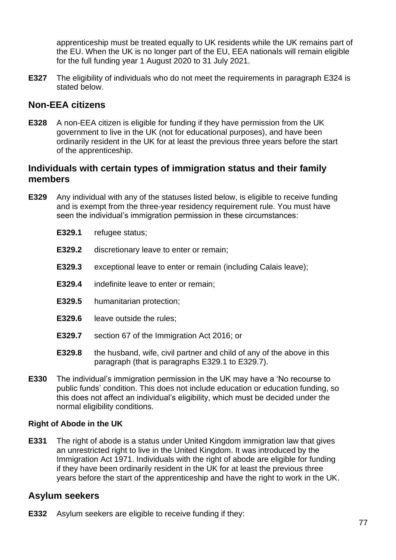apprenticeship must be treated equally to UK residents while the UK remains part of the EU. When the UK is no longer part of the EU, EEA nationals will remain eligible for the full funding year 1 August 2020 to 31 July 2021.

**E327** The eligibility of individuals who do not meet the requirements in paragraph [E324](#page-76-1) is stated below.

## **Non-EEA citizens**

**E328** A non-EEA citizen is eligible for funding if they have permission from the UK government to live in the UK (not for educational purposes), and have been ordinarily resident in the UK for at least the previous three years before the start of the apprenticeship.

## **Individuals with certain types of immigration status and their family members**

- <span id="page-77-0"></span>**E329** Any individual with any of the statuses listed below, is eligible to receive funding and is exempt from the three-year residency requirement rule. You must have seen the individual's immigration permission in these circumstances:
	- **E329.1** refugee status;
	- **E329.2** discretionary leave to enter or remain;
	- **E329.3** exceptional leave to enter or remain (including Calais leave);
	- **E329.4** indefinite leave to enter or remain;
	- **E329.5** humanitarian protection;
	- **E329.6** leave outside the rules;
	- **E329.7** section 67 of the Immigration Act 2016; or
	- **E329.8** the husband, wife, civil partner and child of any of the above in this paragraph (that is paragraphs [E329.1](#page-77-0) to [E329.7\)](#page-77-1).
- <span id="page-77-1"></span>**E330** The individual's immigration permission in the UK may have a 'No recourse to public funds' condition. This does not include education or education funding, so this does not affect an individual's eligibility, which must be decided under the normal eligibility conditions.

#### **Right of Abode in the UK**

**E331** The right of abode is a status under United Kingdom immigration law that gives an unrestricted right to live in the United Kingdom. It was introduced by the Immigration Act 1971. Individuals with the right of abode are eligible for funding if they have been ordinarily resident in the UK for at least the previous three years before the start of the apprenticeship and have the right to work in the UK.

### **Asylum seekers**

**E332** Asylum seekers are eligible to receive funding if they: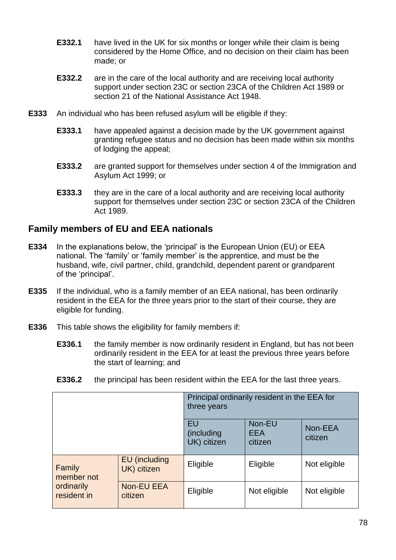- **E332.1** have lived in the UK for six months or longer while their claim is being considered by the Home Office, and no decision on their claim has been made; or
- **E332.2** are in the care of the local authority and are receiving local authority support under section 23C or section 23CA of the Children Act 1989 or section 21 of the National Assistance Act 1948.
- **E333** An individual who has been refused asylum will be eligible if they:
	- **E333.1** have appealed against a decision made by the UK government against granting refugee status and no decision has been made within six months of lodging the appeal;
	- **E333.2** are granted support for themselves under section 4 of the Immigration and Asylum Act 1999; or
	- **E333.3** they are in the care of a local authority and are receiving local authority support for themselves under section 23C or section 23CA of the Children Act 1989.

## **Family members of EU and EEA nationals**

- **E334** In the explanations below, the 'principal' is the European Union (EU) or EEA national. The 'family' or 'family member' is the apprentice, and must be the husband, wife, civil partner, child, grandchild, dependent parent or grandparent of the 'principal'.
- **E335** If the individual, who is a family member of an EEA national, has been ordinarily resident in the EEA for the three years prior to the start of their course, they are eligible for funding.
- **E336** This table shows the eligibility for family members if:
	- **E336.1** the family member is now ordinarily resident in England, but has not been ordinarily resident in the EEA for at least the previous three years before the start of learning; and
	- **E336.2** the principal has been resident within the EEA for the last three years.

|                                                   |                              | Principal ordinarily resident in the EEA for<br>three years |                                 |                    |
|---------------------------------------------------|------------------------------|-------------------------------------------------------------|---------------------------------|--------------------|
|                                                   |                              | EU<br>(including<br>UK) citizen                             | Non-EU<br><b>EEA</b><br>citizen | Non-EEA<br>citizen |
| Family<br>member not<br>ordinarily<br>resident in | EU (including<br>UK) citizen | Eligible                                                    | Eligible                        | Not eligible       |
|                                                   | Non-EU EEA<br>citizen        | Eligible                                                    | Not eligible                    | Not eligible       |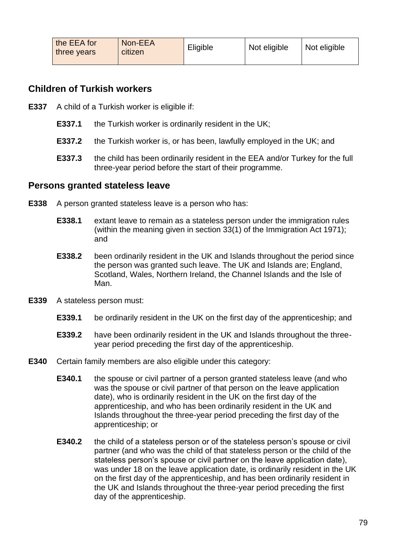| the EEA for<br>three years | Non-EEA<br>citizen | Eligible | Not eligible | Not eligible |
|----------------------------|--------------------|----------|--------------|--------------|
|                            |                    |          |              |              |

## **Children of Turkish workers**

- **E337** A child of a Turkish worker is eligible if:
	- **E337.1** the Turkish worker is ordinarily resident in the UK;
	- **E337.2** the Turkish worker is, or has been, lawfully employed in the UK; and
	- **E337.3** the child has been ordinarily resident in the EEA and/or Turkey for the full three-year period before the start of their programme.

#### **Persons granted stateless leave**

- **E338** A person granted stateless leave is a person who has:
	- **E338.1** extant leave to remain as a stateless person under the immigration rules (within the meaning given in section 33(1) of the Immigration Act 1971); and
	- **E338.2** been ordinarily resident in the UK and Islands throughout the period since the person was granted such leave. The UK and Islands are; England, Scotland, Wales, Northern Ireland, the Channel Islands and the Isle of Man.
- **E339** A stateless person must:
	- **E339.1** be ordinarily resident in the UK on the first day of the apprenticeship; and
	- **E339.2** have been ordinarily resident in the UK and Islands throughout the threeyear period preceding the first day of the apprenticeship.
- **E340** Certain family members are also eligible under this category:
	- **E340.1** the spouse or civil partner of a person granted stateless leave (and who was the spouse or civil partner of that person on the leave application date), who is ordinarily resident in the UK on the first day of the apprenticeship, and who has been ordinarily resident in the UK and Islands throughout the three-year period preceding the first day of the apprenticeship; or
	- **E340.2** the child of a stateless person or of the stateless person's spouse or civil partner (and who was the child of that stateless person or the child of the stateless person's spouse or civil partner on the leave application date), was under 18 on the leave application date, is ordinarily resident in the UK on the first day of the apprenticeship, and has been ordinarily resident in the UK and Islands throughout the three-year period preceding the first day of the apprenticeship.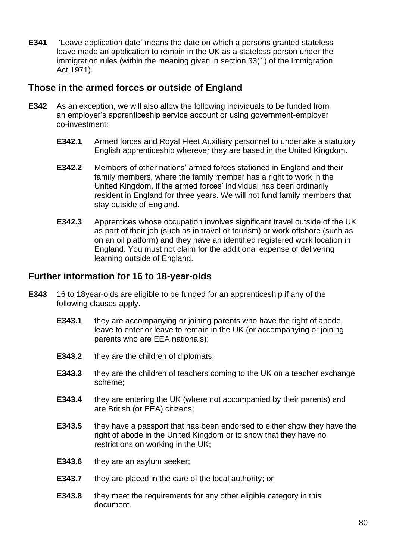**E341** 'Leave application date' means the date on which a persons granted stateless leave made an application to remain in the UK as a stateless person under the immigration rules (within the meaning given in section 33(1) of the Immigration Act 1971).

## **Those in the armed forces or outside of England**

- **E342** As an exception, we will also allow the following individuals to be funded from an employer's apprenticeship service account or using government-employer co-investment:
	- **E342.1** Armed forces and Royal Fleet Auxiliary personnel to undertake a statutory English apprenticeship wherever they are based in the United Kingdom.
	- **E342.2** Members of other nations' armed forces stationed in England and their family members, where the family member has a right to work in the United Kingdom, if the armed forces' individual has been ordinarily resident in England for three years. We will not fund family members that stay outside of England.
	- **E342.3** Apprentices whose occupation involves significant travel outside of the UK as part of their job (such as in travel or tourism) or work offshore (such as on an oil platform) and they have an identified registered work location in England. You must not claim for the additional expense of delivering learning outside of England.

## **Further information for 16 to 18-year-olds**

- **E343** 16 to 18year-olds are eligible to be funded for an apprenticeship if any of the following clauses apply.
	- **E343.1** they are accompanying or joining parents who have the right of abode, leave to enter or leave to remain in the UK (or accompanying or joining parents who are EEA nationals);
	- **E343.2** they are the children of diplomats;
	- **E343.3** they are the children of teachers coming to the UK on a teacher exchange scheme;
	- **E343.4** they are entering the UK (where not accompanied by their parents) and are British (or EEA) citizens;
	- **E343.5** they have a passport that has been endorsed to either show they have the right of abode in the United Kingdom or to show that they have no restrictions on working in the UK;
	- **E343.6** they are an asylum seeker;
	- **E343.7** they are placed in the care of the local authority; or
	- **E343.8** they meet the requirements for any other eligible category in this document.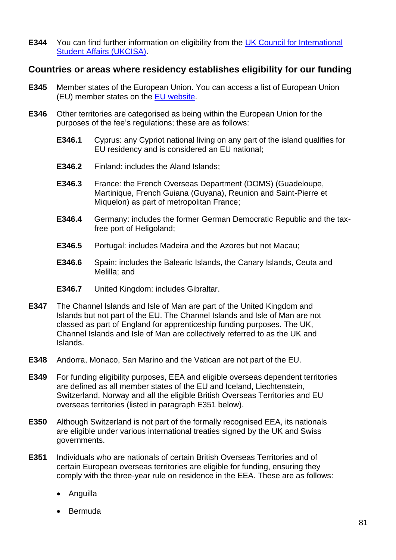**E344** You can find further information on eligibility from the [UK Council for International](https://www.ukcisa.org.uk/)  [Student Affairs](https://www.ukcisa.org.uk/) (UKCISA).

### **Countries or areas where residency establishes eligibility for our funding**

- **E345** Member states of the European Union. You can access a list of European Union (EU) member states on the [EU website.](https://europa.eu/european-union/about-eu/countries_en)
- **E346** Other territories are categorised as being within the European Union for the purposes of the fee's regulations; these are as follows:
	- **E346.1** Cyprus: any Cypriot national living on any part of the island qualifies for EU residency and is considered an EU national;
	- **E346.2** Finland: includes the Aland Islands;
	- **E346.3** France: the French Overseas Department (DOMS) (Guadeloupe, Martinique, French Guiana (Guyana), Reunion and Saint-Pierre et Miquelon) as part of metropolitan France;
	- **E346.4** Germany: includes the former German Democratic Republic and the taxfree port of Heligoland;
	- **E346.5** Portugal: includes Madeira and the Azores but not Macau;
	- **E346.6** Spain: includes the Balearic Islands, the Canary Islands, Ceuta and Melilla; and
	- **E346.7** United Kingdom: includes Gibraltar.
- **E347** The Channel Islands and Isle of Man are part of the United Kingdom and Islands but not part of the EU. The Channel Islands and Isle of Man are not classed as part of England for apprenticeship funding purposes. The UK, Channel Islands and Isle of Man are collectively referred to as the UK and Islands.
- **E348** Andorra, Monaco, San Marino and the Vatican are not part of the EU.
- **E349** For funding eligibility purposes, EEA and eligible overseas dependent territories are defined as all member states of the EU and Iceland, Liechtenstein, Switzerland, Norway and all the eligible British Overseas Territories and EU overseas territories (listed in paragraph [E351](#page-81-0) below).
- **E350** Although Switzerland is not part of the formally recognised EEA, its nationals are eligible under various international treaties signed by the UK and Swiss governments.
- <span id="page-81-0"></span>**E351** Individuals who are nationals of certain British Overseas Territories and of certain European overseas territories are eligible for funding, ensuring they comply with the three-year rule on residence in the EEA. These are as follows:
	- Anguilla
	- Bermuda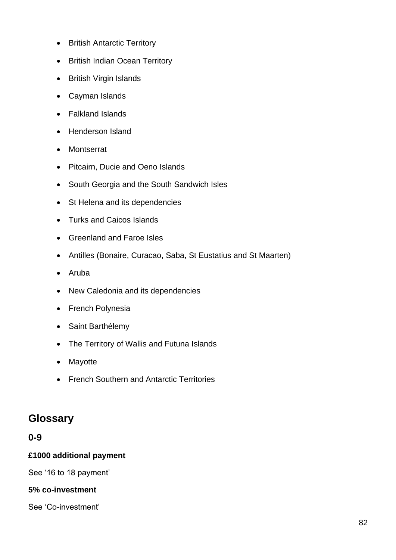- British Antarctic Territory
- British Indian Ocean Territory
- British Virgin Islands
- Cayman Islands
- Falkland Islands
- Henderson Island
- Montserrat
- Pitcairn, Ducie and Oeno Islands
- South Georgia and the South Sandwich Isles
- St Helena and its dependencies
- Turks and Caicos Islands
- Greenland and Faroe Isles
- Antilles (Bonaire, Curacao, Saba, St Eustatius and St Maarten)
- Aruba
- New Caledonia and its dependencies
- French Polynesia
- Saint Barthélemy
- The Territory of Wallis and Futuna Islands
- Mayotte
- French Southern and Antarctic Territories

# **Glossary**

### **0-9**

#### **£1000 additional payment**

See '16 to 18 payment'

#### **5% co-investment**

See 'Co-investment'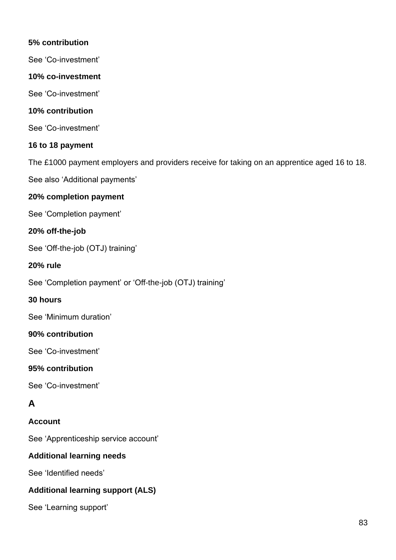### **5% contribution**

See 'Co-investment'

### **10% co-investment**

See 'Co-investment'

#### **10% contribution**

See 'Co-investment'

### **16 to 18 payment**

The £1000 payment employers and providers receive for taking on an apprentice aged 16 to 18.

See also 'Additional payments'

### **20% completion payment**

See 'Completion payment'

### **20% off-the-job**

See 'Off-the-job (OTJ) training'

#### **20% rule**

See 'Completion payment' or 'Off-the-job (OTJ) training'

#### **30 hours**

See 'Minimum duration'

### **90% contribution**

See 'Co-investment'

#### **95% contribution**

See 'Co-investment'

## **A**

### **Account**

See 'Apprenticeship service account'

### **Additional learning needs**

See 'Identified needs'

### **Additional learning support (ALS)**

See 'Learning support'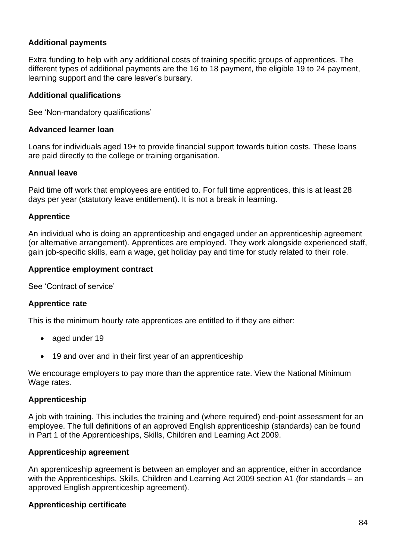#### **Additional payments**

Extra funding to help with any additional costs of training specific groups of apprentices. The different types of additional payments are the 16 to 18 payment, the eligible 19 to 24 payment, learning support and the care leaver's bursary.

#### **Additional qualifications**

See 'Non-mandatory qualifications'

#### **Advanced learner loan**

Loans for individuals aged 19+ to provide financial support towards tuition costs. These loans are paid directly to the college or training organisation.

#### **Annual leave**

Paid time off work that employees are entitled to. For full time apprentices, this is at least 28 days per year (statutory leave entitlement). It is not a break in learning.

#### **Apprentice**

An individual who is doing an apprenticeship and engaged under an apprenticeship agreement (or alternative arrangement). Apprentices are employed. They work alongside experienced staff, gain job-specific skills, earn a wage, get holiday pay and time for study related to their role.

#### **Apprentice employment contract**

See 'Contract of service'

#### **Apprentice rate**

This is the minimum hourly rate apprentices are entitled to if they are either:

- aged under 19
- 19 and over and in their first year of an apprenticeship

We encourage employers to pay more than the apprentice rate. View the National Minimum Wage rates.

#### **Apprenticeship**

A job with training. This includes the training and (where required) end-point assessment for an employee. The full definitions of an approved English apprenticeship (standards) can be found in Part 1 of the Apprenticeships, Skills, Children and Learning Act 2009.

#### **Apprenticeship agreement**

An apprenticeship agreement is between an employer and an apprentice, either in accordance with the Apprenticeships, Skills, Children and Learning Act 2009 section A1 (for standards – an approved English apprenticeship agreement).

#### **Apprenticeship certificate**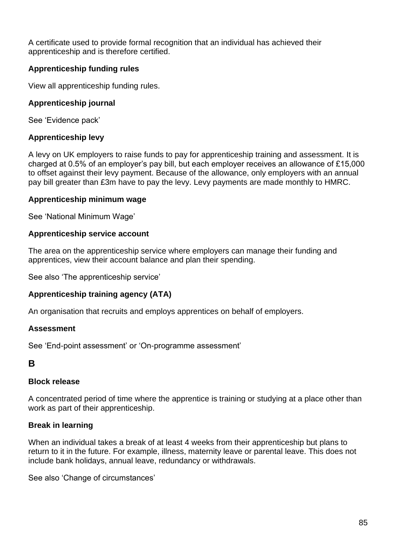A certificate used to provide formal recognition that an individual has achieved their apprenticeship and is therefore certified.

### **Apprenticeship funding rules**

View all apprenticeship funding rules.

#### **Apprenticeship journal**

See 'Evidence pack'

#### **Apprenticeship levy**

A levy on UK employers to raise funds to pay for apprenticeship training and assessment. It is charged at 0.5% of an employer's pay bill, but each employer receives an allowance of £15,000 to offset against their levy payment. Because of the allowance, only employers with an annual pay bill greater than £3m have to pay the levy. Levy payments are made monthly to HMRC.

#### **Apprenticeship minimum wage**

See 'National Minimum Wage'

#### **Apprenticeship service account**

The area on the apprenticeship service where employers can manage their funding and apprentices, view their account balance and plan their spending.

See also 'The apprenticeship service'

### **Apprenticeship training agency (ATA)**

An organisation that recruits and employs apprentices on behalf of employers.

#### **Assessment**

See 'End-point assessment' or 'On-programme assessment'

#### **B**

#### **Block release**

A concentrated period of time where the apprentice is training or studying at a place other than work as part of their apprenticeship.

#### **Break in learning**

When an individual takes a break of at least 4 weeks from their apprenticeship but plans to return to it in the future. For example, illness, maternity leave or parental leave. This does not include bank holidays, annual leave, redundancy or withdrawals.

See also 'Change of circumstances'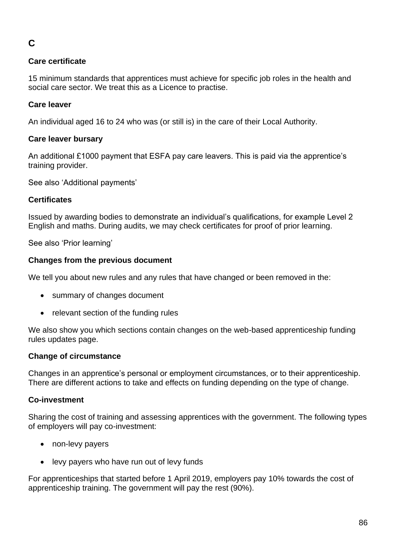# **C**

### **Care certificate**

15 minimum standards that apprentices must achieve for specific job roles in the health and social care sector. We treat this as a Licence to practise.

### **Care leaver**

An individual aged 16 to 24 who was (or still is) in the care of their Local Authority.

### **Care leaver bursary**

An additional £1000 payment that ESFA pay care leavers. This is paid via the apprentice's training provider.

See also 'Additional payments'

### **Certificates**

Issued by awarding bodies to demonstrate an individual's qualifications, for example Level 2 English and maths. During audits, we may check certificates for proof of prior learning.

See also 'Prior learning'

### **Changes from the previous document**

We tell you about new rules and any rules that have changed or been removed in the:

- summary of changes document
- relevant section of the funding rules

We also show you which sections contain changes on the web-based apprenticeship funding rules updates page.

### **Change of circumstance**

Changes in an apprentice's personal or employment circumstances, or to their apprenticeship. There are different actions to take and effects on funding depending on the type of change.

### **Co-investment**

Sharing the cost of training and assessing apprentices with the government. The following types of employers will pay co-investment:

- non-levy payers
- levy payers who have run out of levy funds

For apprenticeships that started before 1 April 2019, employers pay 10% towards the cost of apprenticeship training. The government will pay the rest (90%).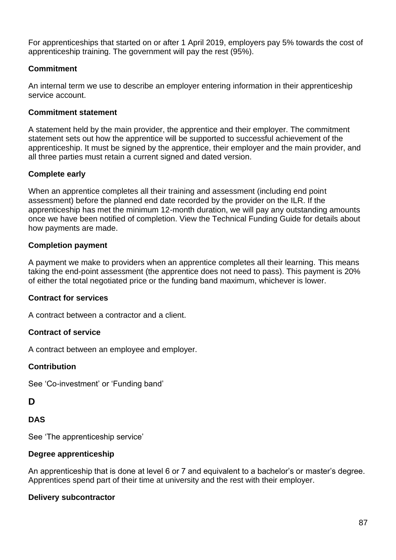For apprenticeships that started on or after 1 April 2019, employers pay 5% towards the cost of apprenticeship training. The government will pay the rest (95%).

### **Commitment**

An internal term we use to describe an employer entering information in their apprenticeship service account.

#### **Commitment statement**

A statement held by the main provider, the apprentice and their employer. The commitment statement sets out how the apprentice will be supported to successful achievement of the apprenticeship. It must be signed by the apprentice, their employer and the main provider, and all three parties must retain a current signed and dated version.

### **Complete early**

When an apprentice completes all their training and assessment (including end point assessment) before the planned end date recorded by the provider on the ILR. If the apprenticeship has met the minimum 12-month duration, we will pay any outstanding amounts once we have been notified of completion. View the Technical Funding Guide for details about how payments are made.

### **Completion payment**

A payment we make to providers when an apprentice completes all their learning. This means taking the end-point assessment (the apprentice does not need to pass). This payment is 20% of either the total negotiated price or the funding band maximum, whichever is lower.

#### **Contract for services**

A contract between a contractor and a client.

#### **Contract of service**

A contract between an employee and employer.

#### **Contribution**

See 'Co-investment' or 'Funding band'

### **D**

#### **DAS**

See 'The apprenticeship service'

#### **Degree apprenticeship**

An apprenticeship that is done at level 6 or 7 and equivalent to a bachelor's or master's degree. Apprentices spend part of their time at university and the rest with their employer.

#### **Delivery subcontractor**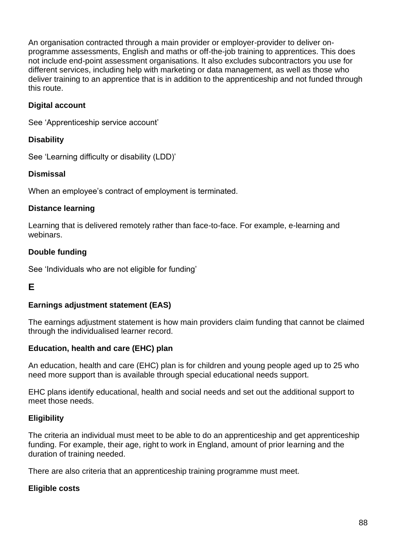An organisation contracted through a main provider or employer-provider to deliver onprogramme assessments, English and maths or off-the-job training to apprentices. This does not include end-point assessment organisations. It also excludes subcontractors you use for different services, including help with marketing or data management, as well as those who deliver training to an apprentice that is in addition to the apprenticeship and not funded through this route.

### **Digital account**

See 'Apprenticeship service account'

#### **Disability**

See 'Learning difficulty or disability (LDD)'

#### **Dismissal**

When an employee's contract of employment is terminated.

#### **Distance learning**

Learning that is delivered remotely rather than face-to-face. For example, e-learning and webinars.

#### **Double funding**

See 'Individuals who are not eligible for funding'

### **E**

#### **Earnings adjustment statement (EAS)**

The earnings adjustment statement is how main providers claim funding that cannot be claimed through the individualised learner record.

#### **Education, health and care (EHC) plan**

An education, health and care (EHC) plan is for children and young people aged up to 25 who need more support than is available through special educational needs support.

EHC plans identify educational, health and social needs and set out the additional support to meet those needs.

#### **Eligibility**

The criteria an individual must meet to be able to do an apprenticeship and get apprenticeship funding. For example, their age, right to work in England, amount of prior learning and the duration of training needed.

There are also criteria that an apprenticeship training programme must meet.

#### **Eligible costs**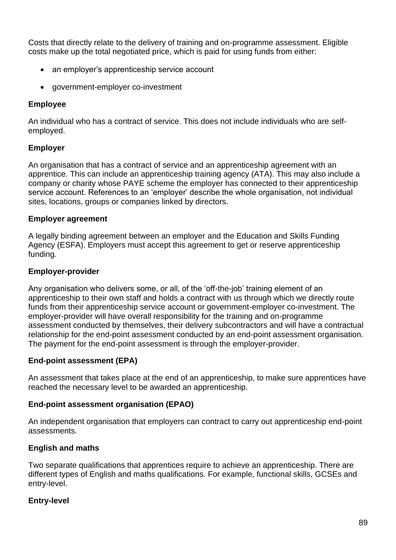Costs that directly relate to the delivery of training and on-programme assessment. Eligible costs make up the total negotiated price, which is paid for using funds from either:

- an employer's apprenticeship service account
- government-employer co-investment

#### **Employee**

An individual who has a contract of service. This does not include individuals who are selfemployed.

#### **Employer**

An organisation that has a contract of service and an apprenticeship agreement with an apprentice. This can include an apprenticeship training agency (ATA). This may also include a company or charity whose PAYE scheme the employer has connected to their apprenticeship service account. References to an 'employer' describe the whole organisation, not individual sites, locations, groups or companies linked by directors.

#### **Employer agreement**

A legally binding agreement between an employer and the Education and Skills Funding Agency (ESFA). Employers must accept this agreement to get or reserve apprenticeship funding.

#### **Employer-provider**

Any organisation who delivers some, or all, of the 'off-the-job' training element of an apprenticeship to their own staff and holds a contract with us through which we directly route funds from their apprenticeship service account or government-employer co-investment. The employer-provider will have overall responsibility for the training and on-programme assessment conducted by themselves, their delivery subcontractors and will have a contractual relationship for the end-point assessment conducted by an end-point assessment organisation. The payment for the end-point assessment is through the employer-provider.

#### **End-point assessment (EPA)**

An assessment that takes place at the end of an apprenticeship, to make sure apprentices have reached the necessary level to be awarded an apprenticeship.

#### **End-point assessment organisation (EPAO)**

An independent organisation that employers can contract to carry out apprenticeship end-point assessments.

#### **English and maths**

Two separate qualifications that apprentices require to achieve an apprenticeship. There are different types of English and maths qualifications. For example, functional skills, GCSEs and entry-level.

#### **Entry-level**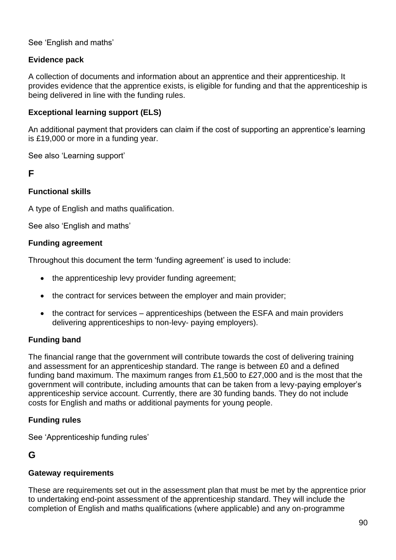#### See 'English and maths'

### **Evidence pack**

A collection of documents and information about an apprentice and their apprenticeship. It provides evidence that the apprentice exists, is eligible for funding and that the apprenticeship is being delivered in line with the funding rules.

### **Exceptional learning support (ELS)**

An additional payment that providers can claim if the cost of supporting an apprentice's learning is £19,000 or more in a funding year.

See also 'Learning support'

### **F**

#### **Functional skills**

A type of English and maths qualification.

See also 'English and maths'

#### **Funding agreement**

Throughout this document the term 'funding agreement' is used to include:

- the apprenticeship levy provider funding agreement;
- the contract for services between the employer and main provider;
- the contract for services apprenticeships (between the ESFA and main providers delivering apprenticeships to non-levy- paying employers).

#### **Funding band**

The financial range that the government will contribute towards the cost of delivering training and assessment for an apprenticeship standard. The range is between £0 and a defined funding band maximum. The maximum ranges from £1,500 to £27,000 and is the most that the government will contribute, including amounts that can be taken from a levy-paying employer's apprenticeship service account. Currently, there are 30 funding bands. They do not include costs for English and maths or additional payments for young people.

#### **Funding rules**

See 'Apprenticeship funding rules'

### **G**

#### **Gateway requirements**

These are requirements set out in the assessment plan that must be met by the apprentice prior to undertaking end-point assessment of the apprenticeship standard. They will include the completion of English and maths qualifications (where applicable) and any on-programme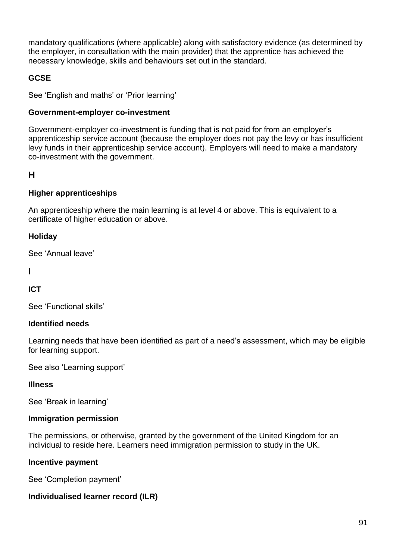mandatory qualifications (where applicable) along with satisfactory evidence (as determined by the employer, in consultation with the main provider) that the apprentice has achieved the necessary knowledge, skills and behaviours set out in the standard.

### **GCSE**

See 'English and maths' or 'Prior learning'

#### **Government-employer co-investment**

Government-employer co-investment is funding that is not paid for from an employer's apprenticeship service account (because the employer does not pay the levy or has insufficient levy funds in their apprenticeship service account). Employers will need to make a mandatory co-investment with the government.

## **H**

#### **Higher apprenticeships**

An apprenticeship where the main learning is at level 4 or above. This is equivalent to a certificate of higher education or above.

#### **Holiday**

See 'Annual leave'

### **I**

#### **ICT**

See 'Functional skills'

#### **Identified needs**

Learning needs that have been identified as part of a need's assessment, which may be eligible for learning support.

See also 'Learning support'

#### **Illness**

See 'Break in learning'

#### **Immigration permission**

The permissions, or otherwise, granted by the government of the United Kingdom for an individual to reside here. Learners need immigration permission to study in the UK.

#### **Incentive payment**

See 'Completion payment'

#### **Individualised learner record (ILR)**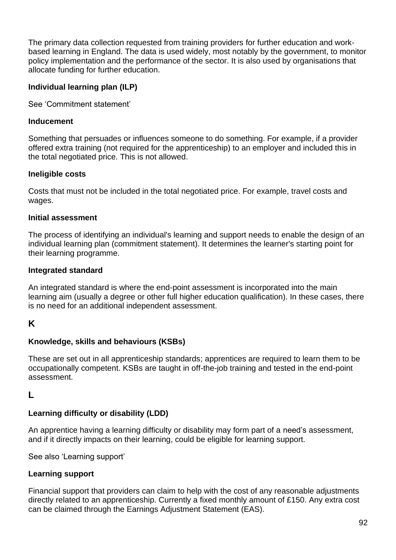The primary data collection requested from training providers for further education and workbased learning in England. The data is used widely, most notably by the government, to monitor policy implementation and the performance of the sector. It is also used by organisations that allocate funding for further education.

#### **Individual learning plan (ILP)**

See 'Commitment statement'

#### **Inducement**

Something that persuades or influences someone to do something. For example, if a provider offered extra training (not required for the apprenticeship) to an employer and included this in the total negotiated price. This is not allowed.

#### **Ineligible costs**

Costs that must not be included in the total negotiated price. For example, travel costs and wages.

#### **Initial assessment**

The process of identifying an individual's learning and support needs to enable the design of an individual learning plan (commitment statement). It determines the learner's starting point for their learning programme.

#### **Integrated standard**

An integrated standard is where the end-point assessment is incorporated into the main learning aim (usually a degree or other full higher education qualification). In these cases, there is no need for an additional independent assessment.

### **K**

### **Knowledge, skills and behaviours (KSBs)**

These are set out in all apprenticeship standards; apprentices are required to learn them to be occupationally competent. KSBs are taught in off-the-job training and tested in the end-point assessment.

### **L**

### **Learning difficulty or disability (LDD)**

An apprentice having a learning difficulty or disability may form part of a need's assessment, and if it directly impacts on their learning, could be eligible for learning support.

See also 'Learning support'

#### **Learning support**

Financial support that providers can claim to help with the cost of any reasonable adjustments directly related to an apprenticeship. Currently a fixed monthly amount of £150. Any extra cost can be claimed through the Earnings Adjustment Statement (EAS).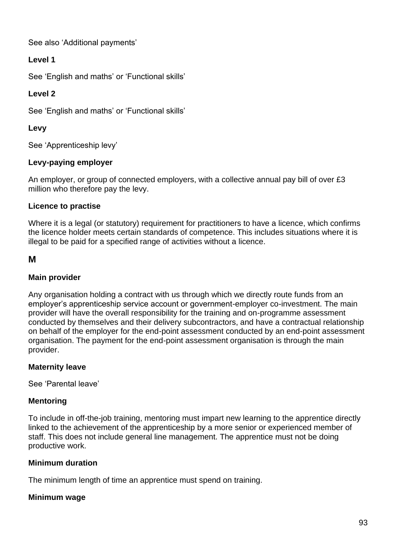See also 'Additional payments'

## **Level 1**

See 'English and maths' or 'Functional skills'

## **Level 2**

See 'English and maths' or 'Functional skills'

### **Levy**

See 'Apprenticeship levy'

### **Levy-paying employer**

An employer, or group of connected employers, with a collective annual pay bill of over £3 million who therefore pay the levy.

### **Licence to practise**

Where it is a legal (or statutory) requirement for practitioners to have a licence, which confirms the licence holder meets certain standards of competence. This includes situations where it is illegal to be paid for a specified range of activities without a licence.

### **M**

### **Main provider**

Any organisation holding a contract with us through which we directly route funds from an employer's apprenticeship service account or government-employer co-investment. The main provider will have the overall responsibility for the training and on-programme assessment conducted by themselves and their delivery subcontractors, and have a contractual relationship on behalf of the employer for the end-point assessment conducted by an end-point assessment organisation. The payment for the end-point assessment organisation is through the main provider.

### **Maternity leave**

See 'Parental leave'

#### **Mentoring**

To include in off-the-job training, mentoring must impart new learning to the apprentice directly linked to the achievement of the apprenticeship by a more senior or experienced member of staff. This does not include general line management. The apprentice must not be doing productive work.

#### **Minimum duration**

The minimum length of time an apprentice must spend on training.

#### **Minimum wage**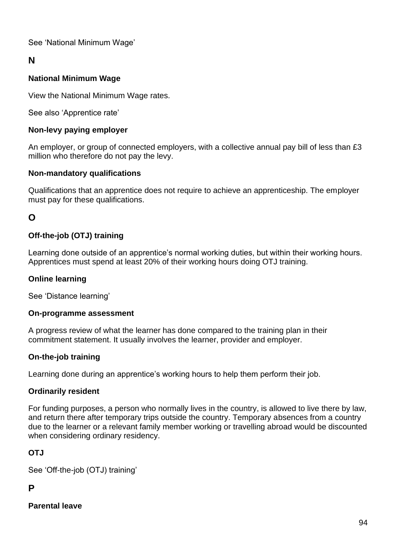See 'National Minimum Wage'

## **N**

### **National Minimum Wage**

View the National Minimum Wage rates.

See also 'Apprentice rate'

#### **Non-levy paying employer**

An employer, or group of connected employers, with a collective annual pay bill of less than £3 million who therefore do not pay the levy.

#### **Non-mandatory qualifications**

Qualifications that an apprentice does not require to achieve an apprenticeship. The employer must pay for these qualifications.

### **O**

### **Off-the-job (OTJ) training**

Learning done outside of an apprentice's normal working duties, but within their working hours. Apprentices must spend at least 20% of their working hours doing OTJ training.

#### **Online learning**

See 'Distance learning'

#### **On-programme assessment**

A progress review of what the learner has done compared to the training plan in their commitment statement. It usually involves the learner, provider and employer.

#### **On-the-job training**

Learning done during an apprentice's working hours to help them perform their job.

#### **Ordinarily resident**

For funding purposes, a person who normally lives in the country, is allowed to live there by law, and return there after temporary trips outside the country. Temporary absences from a country due to the learner or a relevant family member working or travelling abroad would be discounted when considering ordinary residency.

#### **OTJ**

See 'Off-the-job (OTJ) training'

## **P**

## **Parental leave**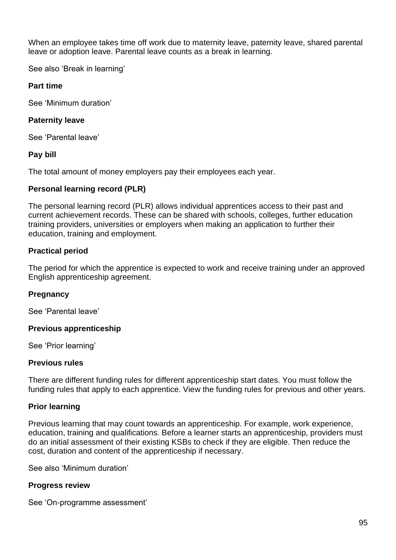When an employee takes time off work due to maternity leave, paternity leave, shared parental leave or adoption leave. Parental leave counts as a break in learning.

See also 'Break in learning'

#### **Part time**

See 'Minimum duration'

#### **Paternity leave**

See 'Parental leave'

#### **Pay bill**

The total amount of money employers pay their employees each year.

#### **Personal learning record (PLR)**

The personal learning record (PLR) allows individual apprentices access to their past and current achievement records. These can be shared with schools, colleges, further education training providers, universities or employers when making an application to further their education, training and employment.

### **Practical period**

The period for which the apprentice is expected to work and receive training under an approved English apprenticeship agreement.

#### **Pregnancy**

See 'Parental leave'

#### **Previous apprenticeship**

See 'Prior learning'

#### **Previous rules**

There are different funding rules for different apprenticeship start dates. You must follow the funding rules that apply to each apprentice. View the funding rules for previous and other years.

#### **Prior learning**

Previous learning that may count towards an apprenticeship. For example, work experience, education, training and qualifications. Before a learner starts an apprenticeship, providers must do an initial assessment of their existing KSBs to check if they are eligible. Then reduce the cost, duration and content of the apprenticeship if necessary.

See also 'Minimum duration'

#### **Progress review**

See 'On-programme assessment'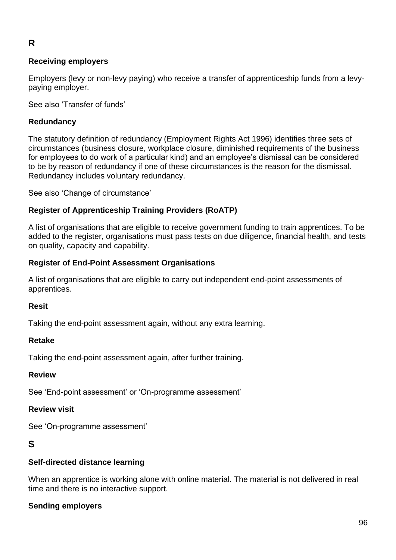# **R**

#### **Receiving employers**

Employers (levy or non-levy paying) who receive a transfer of apprenticeship funds from a levypaying employer.

See also 'Transfer of funds'

#### **Redundancy**

The statutory definition of redundancy (Employment Rights Act 1996) identifies three sets of circumstances (business closure, workplace closure, diminished requirements of the business for employees to do work of a particular kind) and an employee's dismissal can be considered to be by reason of redundancy if one of these circumstances is the reason for the dismissal. Redundancy includes voluntary redundancy.

See also 'Change of circumstance'

### **Register of Apprenticeship Training Providers (RoATP)**

A list of organisations that are eligible to receive government funding to train apprentices. To be added to the register, organisations must pass tests on due diligence, financial health, and tests on quality, capacity and capability.

#### **Register of End-Point Assessment Organisations**

A list of organisations that are eligible to carry out independent end-point assessments of apprentices.

#### **Resit**

Taking the end-point assessment again, without any extra learning.

#### **Retake**

Taking the end-point assessment again, after further training.

#### **Review**

See 'End-point assessment' or 'On-programme assessment'

#### **Review visit**

See 'On-programme assessment'

#### **S**

#### **Self-directed distance learning**

When an apprentice is working alone with online material. The material is not delivered in real time and there is no interactive support.

#### **Sending employers**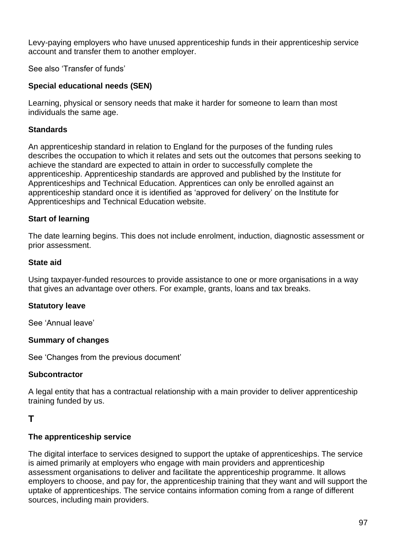Levy-paying employers who have unused apprenticeship funds in their apprenticeship service account and transfer them to another employer.

See also 'Transfer of funds'

## **Special educational needs (SEN)**

Learning, physical or sensory needs that make it harder for someone to learn than most individuals the same age.

### **Standards**

An apprenticeship standard in relation to England for the purposes of the funding rules describes the occupation to which it relates and sets out the outcomes that persons seeking to achieve the standard are expected to attain in order to successfully complete the apprenticeship. Apprenticeship standards are approved and published by the Institute for Apprenticeships and Technical Education. Apprentices can only be enrolled against an apprenticeship standard once it is identified as 'approved for delivery' on the Institute for Apprenticeships and Technical Education website.

### **Start of learning**

The date learning begins. This does not include enrolment, induction, diagnostic assessment or prior assessment.

### **State aid**

Using taxpayer-funded resources to provide assistance to one or more organisations in a way that gives an advantage over others. For example, grants, loans and tax breaks.

#### **Statutory leave**

See 'Annual leave'

#### **Summary of changes**

See 'Changes from the previous document'

#### **Subcontractor**

A legal entity that has a contractual relationship with a main provider to deliver apprenticeship training funded by us.

### **T**

#### **The apprenticeship service**

The digital interface to services designed to support the uptake of apprenticeships. The service is aimed primarily at employers who engage with main providers and apprenticeship assessment organisations to deliver and facilitate the apprenticeship programme. It allows employers to choose, and pay for, the apprenticeship training that they want and will support the uptake of apprenticeships. The service contains information coming from a range of different sources, including main providers.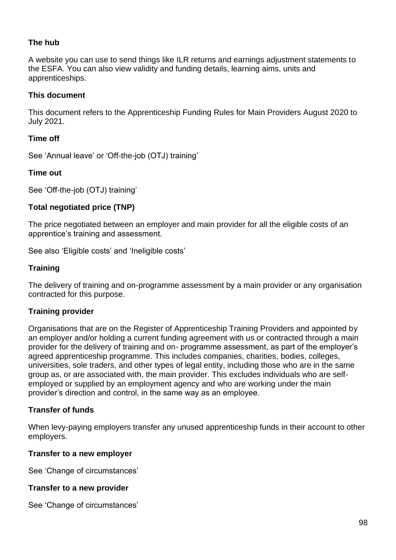### **The hub**

A website you can use to send things like ILR returns and earnings adjustment statements to the ESFA. You can also view validity and funding details, learning aims, units and apprenticeships.

#### **This document**

This document refers to the Apprenticeship Funding Rules for Main Providers August 2020 to July 2021.

#### **Time off**

See 'Annual leave' or 'Off-the-job (OTJ) training'

#### **Time out**

See 'Off-the-job (OTJ) training'

#### **Total negotiated price (TNP)**

The price negotiated between an employer and main provider for all the eligible costs of an apprentice's training and assessment.

See also 'Eligible costs' and 'Ineligible costs'

#### **Training**

The delivery of training and on-programme assessment by a main provider or any organisation contracted for this purpose.

#### **Training provider**

Organisations that are on the Register of Apprenticeship Training Providers and appointed by an employer and/or holding a current funding agreement with us or contracted through a main provider for the delivery of training and on- programme assessment, as part of the employer's agreed apprenticeship programme. This includes companies, charities, bodies, colleges, universities, sole traders, and other types of legal entity, including those who are in the same group as, or are associated with, the main provider. This excludes individuals who are selfemployed or supplied by an employment agency and who are working under the main provider's direction and control, in the same way as an employee.

#### **Transfer of funds**

When levy-paying employers transfer any unused apprenticeship funds in their account to other employers.

#### **Transfer to a new employer**

See 'Change of circumstances'

#### **Transfer to a new provider**

See 'Change of circumstances'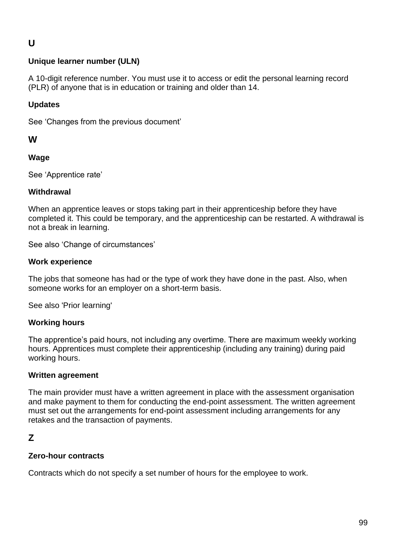# **U**

### **Unique learner number (ULN)**

A 10-digit reference number. You must use it to access or edit the personal learning record (PLR) of anyone that is in education or training and older than 14.

#### **Updates**

See 'Changes from the previous document'

#### **W**

#### **Wage**

See 'Apprentice rate'

#### **Withdrawal**

When an apprentice leaves or stops taking part in their apprenticeship before they have completed it. This could be temporary, and the apprenticeship can be restarted. A withdrawal is not a break in learning.

See also 'Change of circumstances'

#### **Work experience**

The jobs that someone has had or the type of work they have done in the past. Also, when someone works for an employer on a short-term basis.

See also 'Prior learning'

#### **Working hours**

The apprentice's paid hours, not including any overtime. There are maximum weekly working hours. Apprentices must complete their apprenticeship (including any training) during paid working hours.

#### **Written agreement**

The main provider must have a written agreement in place with the assessment organisation and make payment to them for conducting the end-point assessment. The written agreement must set out the arrangements for end-point assessment including arrangements for any retakes and the transaction of payments.

## **Z**

#### **Zero-hour contracts**

Contracts which do not specify a set number of hours for the employee to work.